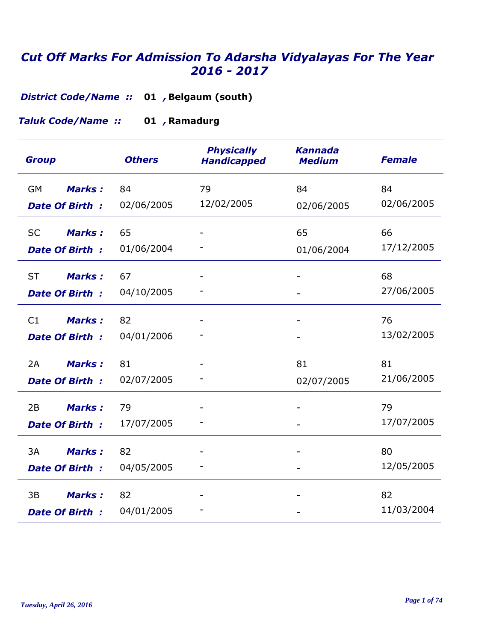**District Code/Name :: 01 , Belgaum (south)** 

**Ramadurg 01** *, Taluk Code/Name ::* 

| <b>Group</b>               | <b>Others</b> | <b>Physically</b><br><b>Handicapped</b> | <b>Kannada</b><br><b>Medium</b> | <b>Female</b> |
|----------------------------|---------------|-----------------------------------------|---------------------------------|---------------|
| <b>Marks:</b><br><b>GM</b> | 84            | 79                                      | 84                              | 84            |
| <b>Date Of Birth:</b>      | 02/06/2005    | 12/02/2005                              | 02/06/2005                      | 02/06/2005    |
| <b>Marks:</b><br><b>SC</b> | 65            |                                         | 65                              | 66            |
| <b>Date Of Birth:</b>      | 01/06/2004    |                                         | 01/06/2004                      | 17/12/2005    |
| <b>ST</b><br><b>Marks:</b> | 67            |                                         |                                 | 68            |
| <b>Date Of Birth:</b>      | 04/10/2005    |                                         |                                 | 27/06/2005    |
| <b>Marks:</b><br>C1        | 82            |                                         |                                 | 76            |
| <b>Date Of Birth:</b>      | 04/01/2006    |                                         |                                 | 13/02/2005    |
| <b>Marks:</b><br>2A        | 81            |                                         | 81                              | 81            |
| <b>Date Of Birth:</b>      | 02/07/2005    |                                         | 02/07/2005                      | 21/06/2005    |
| 2B<br><b>Marks:</b>        | 79            |                                         |                                 | 79            |
| <b>Date Of Birth:</b>      | 17/07/2005    |                                         |                                 | 17/07/2005    |
| 3A<br><b>Marks:</b>        | 82            |                                         |                                 | 80            |
| <b>Date Of Birth:</b>      | 04/05/2005    |                                         |                                 | 12/05/2005    |
| <b>Marks:</b><br>3B        | 82            |                                         |                                 | 82            |
| <b>Date Of Birth:</b>      | 04/01/2005    |                                         |                                 | 11/03/2004    |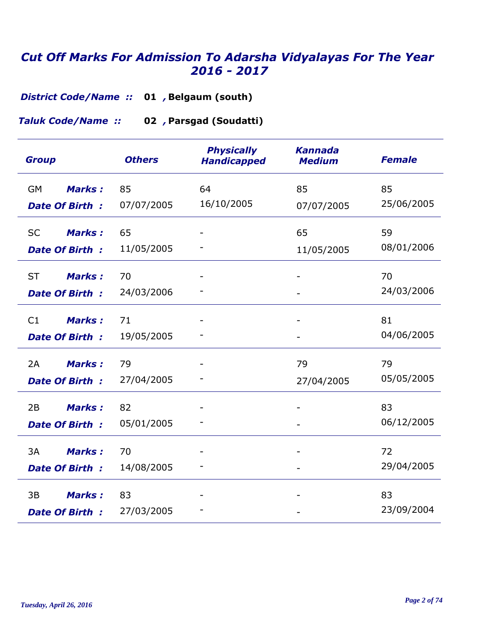**District Code/Name :: 01 , Belgaum (south)** 

**Parsgad (Soudatti) 02** *, Taluk Code/Name ::* 

| <b>Group</b>                                        | <b>Others</b>    | <b>Physically</b><br><b>Handicapped</b> | <b>Kannada</b><br><b>Medium</b> | <b>Female</b>    |
|-----------------------------------------------------|------------------|-----------------------------------------|---------------------------------|------------------|
| <b>Marks:</b><br><b>GM</b><br><b>Date Of Birth:</b> | 85<br>07/07/2005 | 64<br>16/10/2005                        | 85<br>07/07/2005                | 85<br>25/06/2005 |
| <b>SC</b><br><b>Marks:</b><br><b>Date Of Birth:</b> | 65<br>11/05/2005 |                                         | 65<br>11/05/2005                | 59<br>08/01/2006 |
| <b>ST</b><br><b>Marks:</b><br><b>Date Of Birth:</b> | 70<br>24/03/2006 |                                         |                                 | 70<br>24/03/2006 |
| C1<br><b>Marks:</b><br>Date Of Birth:               | 71<br>19/05/2005 |                                         |                                 | 81<br>04/06/2005 |
| 2A<br><b>Marks:</b><br><b>Date Of Birth:</b>        | 79<br>27/04/2005 |                                         | 79<br>27/04/2005                | 79<br>05/05/2005 |
| 2B<br><b>Marks:</b><br><b>Date Of Birth:</b>        | 82<br>05/01/2005 |                                         |                                 | 83<br>06/12/2005 |
| 3A<br><b>Marks:</b><br>Date Of Birth:               | 70<br>14/08/2005 |                                         |                                 | 72<br>29/04/2005 |
| 3B<br><b>Marks:</b><br><b>Date Of Birth:</b>        | 83<br>27/03/2005 |                                         |                                 | 83<br>23/09/2004 |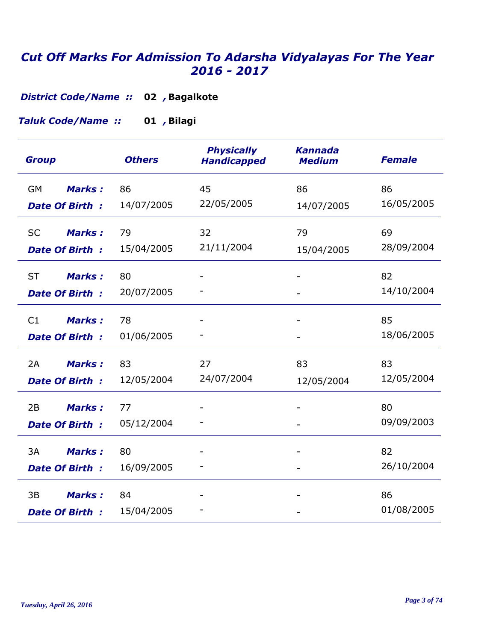**Bagalkote 02** *, District Code/Name ::* 

**Bilagi 01** *, Taluk Code/Name ::* 

| <b>Group</b>                                        | <b>Others</b>    | <b>Physically</b><br><b>Handicapped</b> | <b>Kannada</b><br><b>Medium</b> | <b>Female</b>    |
|-----------------------------------------------------|------------------|-----------------------------------------|---------------------------------|------------------|
| <b>Marks:</b><br><b>GM</b><br><b>Date Of Birth:</b> | 86<br>14/07/2005 | 45<br>22/05/2005                        | 86<br>14/07/2005                | 86<br>16/05/2005 |
| <b>SC</b><br><b>Marks:</b><br><b>Date Of Birth:</b> | 79<br>15/04/2005 | 32<br>21/11/2004                        | 79<br>15/04/2005                | 69<br>28/09/2004 |
| <b>ST</b><br><b>Marks:</b><br><b>Date Of Birth:</b> | 80<br>20/07/2005 |                                         |                                 | 82<br>14/10/2004 |
| <b>Marks:</b><br>C1<br>Date Of Birth:               | 78<br>01/06/2005 |                                         |                                 | 85<br>18/06/2005 |
| 2A<br><b>Marks:</b><br><b>Date Of Birth:</b>        | 83<br>12/05/2004 | 27<br>24/07/2004                        | 83<br>12/05/2004                | 83<br>12/05/2004 |
| <b>Marks:</b><br>2B<br><b>Date Of Birth:</b>        | 77<br>05/12/2004 |                                         |                                 | 80<br>09/09/2003 |
| 3A<br><b>Marks:</b><br><b>Date Of Birth:</b>        | 80<br>16/09/2005 |                                         |                                 | 82<br>26/10/2004 |
| 3B<br><b>Marks:</b><br><b>Date Of Birth:</b>        | 84<br>15/04/2005 |                                         |                                 | 86<br>01/08/2005 |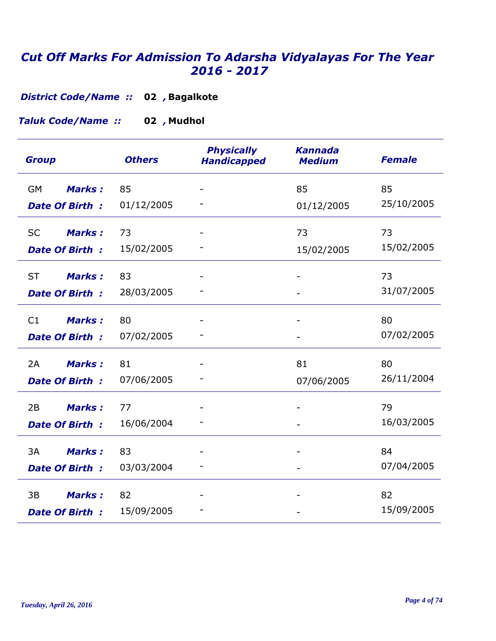**Bagalkote 02** *, District Code/Name ::* 

**Mudhol 02** *, Taluk Code/Name ::* 

| <b>Group</b>               | <b>Others</b> | <b>Physically</b><br><b>Handicapped</b> | <b>Kannada</b><br><b>Medium</b> | <b>Female</b> |
|----------------------------|---------------|-----------------------------------------|---------------------------------|---------------|
| <b>GM</b><br><b>Marks:</b> | 85            |                                         | 85                              | 85            |
| <b>Date Of Birth:</b>      | 01/12/2005    |                                         | 01/12/2005                      | 25/10/2005    |
| <b>SC</b><br><b>Marks:</b> | 73            |                                         | 73                              | 73            |
| <b>Date Of Birth:</b>      | 15/02/2005    |                                         | 15/02/2005                      | 15/02/2005    |
| <b>ST</b><br><b>Marks:</b> | 83            |                                         |                                 | 73            |
| <b>Date Of Birth:</b>      | 28/03/2005    |                                         |                                 | 31/07/2005    |
| <b>Marks:</b><br>C1        | 80            |                                         |                                 | 80            |
| Date Of Birth:             | 07/02/2005    |                                         |                                 | 07/02/2005    |
| Marks:<br>2A               | 81            |                                         | 81                              | 80            |
| <b>Date Of Birth:</b>      | 07/06/2005    |                                         | 07/06/2005                      | 26/11/2004    |
| <b>Marks:</b><br>2B        | 77            |                                         |                                 | 79            |
| <b>Date Of Birth:</b>      | 16/06/2004    |                                         |                                 | 16/03/2005    |
| 3A<br><b>Marks:</b>        | 83            |                                         |                                 | 84            |
| <b>Date Of Birth:</b>      | 03/03/2004    |                                         |                                 | 07/04/2005    |
| 3B<br><b>Marks:</b>        | 82            |                                         |                                 | 82            |
| <b>Date Of Birth:</b>      | 15/09/2005    |                                         |                                 | 15/09/2005    |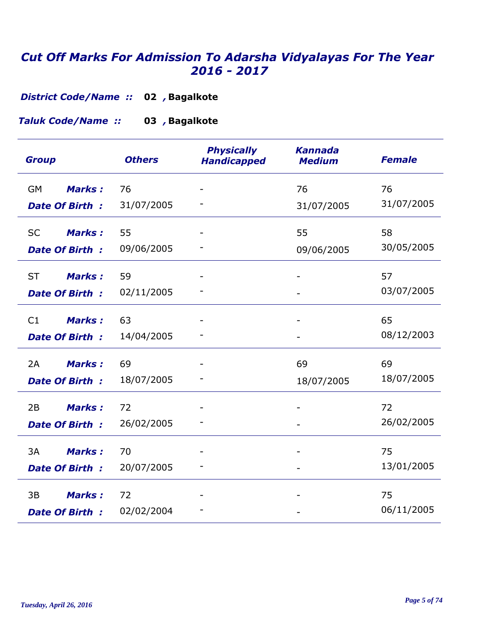**Bagalkote 02** *, District Code/Name ::* 

**Bagalkote 03** *, Taluk Code/Name ::* 

| <b>Group</b>               | <b>Others</b> | <b>Physically</b><br><b>Handicapped</b> | <b>Kannada</b><br><b>Medium</b> | <b>Female</b> |
|----------------------------|---------------|-----------------------------------------|---------------------------------|---------------|
| <b>GM</b><br><b>Marks:</b> | 76            |                                         | 76                              | 76            |
| <b>Date Of Birth:</b>      | 31/07/2005    |                                         | 31/07/2005                      | 31/07/2005    |
| <b>SC</b><br><b>Marks:</b> | 55            |                                         | 55                              | 58            |
| <b>Date Of Birth:</b>      | 09/06/2005    |                                         | 09/06/2005                      | 30/05/2005    |
| <b>ST</b><br><b>Marks:</b> | 59            |                                         |                                 | 57            |
| <b>Date Of Birth:</b>      | 02/11/2005    |                                         |                                 | 03/07/2005    |
| <b>Marks:</b><br>C1        | 63            |                                         |                                 | 65            |
| <b>Date Of Birth:</b>      | 14/04/2005    |                                         |                                 | 08/12/2003    |
| 2A<br><b>Marks:</b>        | 69            |                                         | 69                              | 69            |
| <b>Date Of Birth:</b>      | 18/07/2005    |                                         | 18/07/2005                      | 18/07/2005    |
| <b>Marks:</b><br>2B        | 72            |                                         |                                 | 72            |
| <b>Date Of Birth:</b>      | 26/02/2005    |                                         |                                 | 26/02/2005    |
| 3A<br><b>Marks:</b>        | 70            |                                         |                                 | 75            |
| <b>Date Of Birth:</b>      | 20/07/2005    |                                         |                                 | 13/01/2005    |
| 3B<br><b>Marks:</b>        | 72            |                                         |                                 | 75            |
| <b>Date Of Birth:</b>      | 02/02/2004    |                                         |                                 | 06/11/2005    |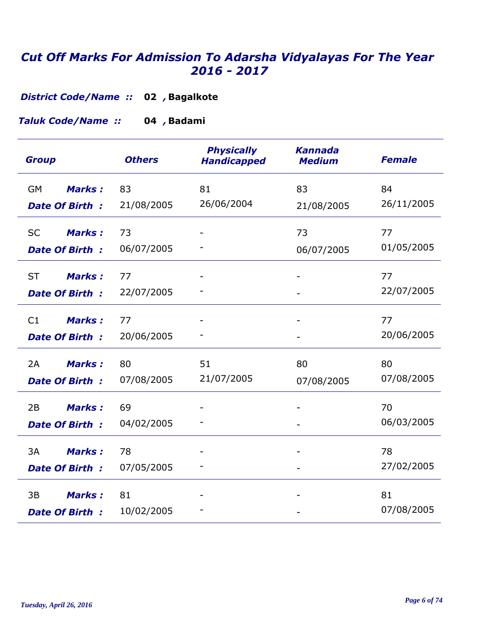**Bagalkote 02** *, District Code/Name ::* 

**Badami 04** *, Taluk Code/Name ::* 

| <b>Group</b>                                        | <b>Others</b>    | <b>Physically</b><br><b>Handicapped</b> | <b>Kannada</b><br><b>Medium</b> | <b>Female</b>    |
|-----------------------------------------------------|------------------|-----------------------------------------|---------------------------------|------------------|
| <b>Marks:</b><br>GM<br><b>Date Of Birth:</b>        | 83<br>21/08/2005 | 81<br>26/06/2004                        | 83<br>21/08/2005                | 84<br>26/11/2005 |
| <b>SC</b><br><b>Marks:</b><br><b>Date Of Birth:</b> | 73<br>06/07/2005 |                                         | 73<br>06/07/2005                | 77<br>01/05/2005 |
| <b>ST</b><br><b>Marks:</b><br><b>Date Of Birth:</b> | 77<br>22/07/2005 |                                         |                                 | 77<br>22/07/2005 |
| <b>Marks:</b><br>C1<br><b>Date Of Birth:</b>        | 77<br>20/06/2005 |                                         |                                 | 77<br>20/06/2005 |
| Marks:<br>2A<br><b>Date Of Birth:</b>               | 80<br>07/08/2005 | 51<br>21/07/2005                        | 80<br>07/08/2005                | 80<br>07/08/2005 |
| <b>Marks:</b><br>2B<br><b>Date Of Birth:</b>        | 69<br>04/02/2005 |                                         |                                 | 70<br>06/03/2005 |
| 3A<br><b>Marks:</b><br><b>Date Of Birth:</b>        | 78<br>07/05/2005 |                                         |                                 | 78<br>27/02/2005 |
| <b>Marks:</b><br>3B<br><b>Date Of Birth:</b>        | 81<br>10/02/2005 |                                         |                                 | 81<br>07/08/2005 |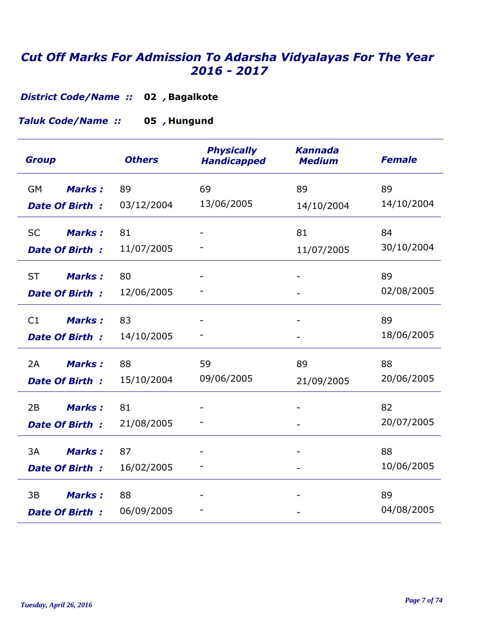**Bagalkote 02** *, District Code/Name ::* 

**Hungund 05** *, Taluk Code/Name ::* 

| <b>Group</b>               | <b>Others</b> | <b>Physically</b><br><b>Handicapped</b> | <b>Kannada</b><br><b>Medium</b> | <b>Female</b> |
|----------------------------|---------------|-----------------------------------------|---------------------------------|---------------|
| <b>Marks:</b><br><b>GM</b> | 89            | 69                                      | 89                              | 89            |
| <b>Date Of Birth:</b>      | 03/12/2004    | 13/06/2005                              | 14/10/2004                      | 14/10/2004    |
| <b>Marks:</b><br><b>SC</b> | 81            |                                         | 81                              | 84            |
| <b>Date Of Birth:</b>      | 11/07/2005    |                                         | 11/07/2005                      | 30/10/2004    |
| <b>ST</b><br><b>Marks:</b> | 80            |                                         |                                 | 89            |
| <b>Date Of Birth:</b>      | 12/06/2005    |                                         |                                 | 02/08/2005    |
| <b>Marks:</b><br>C1        | 83            |                                         |                                 | 89            |
| Date Of Birth:             | 14/10/2005    |                                         | $\overline{\phantom{a}}$        | 18/06/2005    |
| 2A<br><b>Marks:</b>        | 88            | 59                                      | 89                              | 88            |
| <b>Date Of Birth:</b>      | 15/10/2004    | 09/06/2005                              | 21/09/2005                      | 20/06/2005    |
| 2B<br><b>Marks:</b>        | 81            |                                         |                                 | 82            |
| <b>Date Of Birth:</b>      | 21/08/2005    |                                         |                                 | 20/07/2005    |
| 3A<br><b>Marks:</b>        | 87            |                                         |                                 | 88            |
| <b>Date Of Birth:</b>      | 16/02/2005    |                                         |                                 | 10/06/2005    |
| <b>Marks:</b><br>3B        | 88            |                                         |                                 | 89            |
| Date Of Birth:             | 06/09/2005    |                                         |                                 | 04/08/2005    |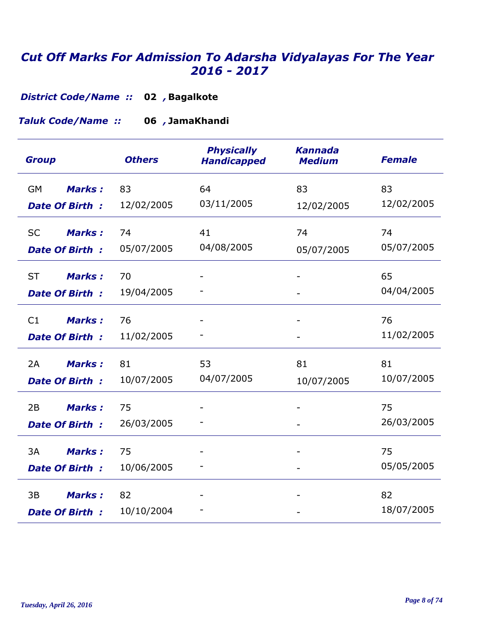**Bagalkote 02** *, District Code/Name ::* 

**JamaKhandi 06** *, Taluk Code/Name ::* 

| <b>Group</b>               | <b>Others</b> | <b>Physically</b><br><b>Handicapped</b> | <b>Kannada</b><br><b>Medium</b> | <b>Female</b> |
|----------------------------|---------------|-----------------------------------------|---------------------------------|---------------|
| <b>Marks:</b><br><b>GM</b> | 83            | 64                                      | 83                              | 83            |
| <b>Date Of Birth:</b>      | 12/02/2005    | 03/11/2005                              | 12/02/2005                      | 12/02/2005    |
| <b>Marks:</b><br><b>SC</b> | 74            | 41                                      | 74                              | 74            |
| <b>Date Of Birth:</b>      | 05/07/2005    | 04/08/2005                              | 05/07/2005                      | 05/07/2005    |
| <b>ST</b><br><b>Marks:</b> | 70            |                                         |                                 | 65            |
| <b>Date Of Birth:</b>      | 19/04/2005    |                                         |                                 | 04/04/2005    |
| C1<br><b>Marks:</b>        | 76            |                                         |                                 | 76            |
| <b>Date Of Birth:</b>      | 11/02/2005    |                                         |                                 | 11/02/2005    |
| 2A<br><b>Marks:</b>        | 81            | 53                                      | 81                              | 81            |
| <b>Date Of Birth:</b>      | 10/07/2005    | 04/07/2005                              | 10/07/2005                      | 10/07/2005    |
| 2B<br><b>Marks:</b>        | 75            |                                         |                                 | 75            |
| <b>Date Of Birth:</b>      | 26/03/2005    |                                         |                                 | 26/03/2005    |
| 3A<br><b>Marks:</b>        | 75            |                                         |                                 | 75            |
| <b>Date Of Birth:</b>      | 10/06/2005    |                                         |                                 | 05/05/2005    |
| <b>Marks:</b><br>3B        | 82            |                                         |                                 | 82            |
| <b>Date Of Birth:</b>      | 10/10/2004    |                                         |                                 | 18/07/2005    |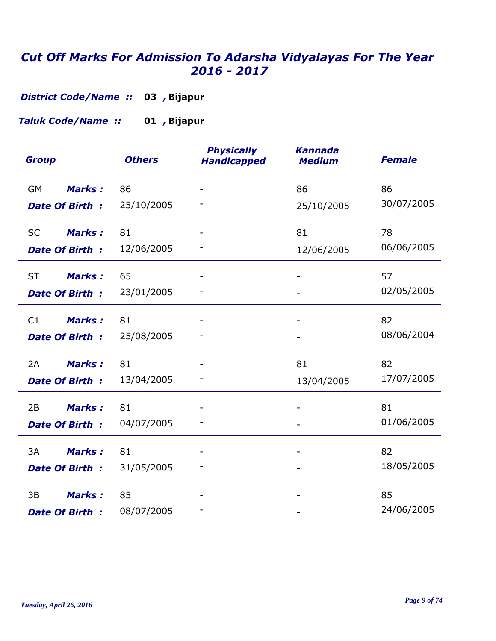*District Code/Name ::* 03 , Bijapur

**Bijapur 01** *, Taluk Code/Name ::* 

| <b>Group</b>               | <b>Others</b> | <b>Physically</b><br><b>Handicapped</b> | <b>Kannada</b><br><b>Medium</b> | <b>Female</b> |
|----------------------------|---------------|-----------------------------------------|---------------------------------|---------------|
| <b>Marks:</b><br><b>GM</b> | 86            |                                         | 86                              | 86            |
| <b>Date Of Birth:</b>      | 25/10/2005    |                                         | 25/10/2005                      | 30/07/2005    |
| <b>Marks:</b><br><b>SC</b> | 81            |                                         | 81                              | 78            |
| <b>Date Of Birth:</b>      | 12/06/2005    |                                         | 12/06/2005                      | 06/06/2005    |
| <b>ST</b><br><b>Marks:</b> | 65            |                                         |                                 | 57            |
| <b>Date Of Birth:</b>      | 23/01/2005    |                                         |                                 | 02/05/2005    |
| <b>Marks:</b><br>C1        | 81            |                                         |                                 | 82            |
| Date Of Birth:             | 25/08/2005    |                                         |                                 | 08/06/2004    |
| <b>Marks:</b><br>2A        | 81            |                                         | 81                              | 82            |
| <b>Date Of Birth:</b>      | 13/04/2005    |                                         | 13/04/2005                      | 17/07/2005    |
| 2B<br><b>Marks:</b>        | 81            |                                         |                                 | 81            |
| <b>Date Of Birth:</b>      | 04/07/2005    |                                         |                                 | 01/06/2005    |
| 3A<br><b>Marks:</b>        | 81            |                                         |                                 | 82            |
| <b>Date Of Birth:</b>      | 31/05/2005    |                                         |                                 | 18/05/2005    |
| <b>Marks:</b><br>3B        | 85            |                                         |                                 | 85            |
| <b>Date Of Birth:</b>      | 08/07/2005    |                                         |                                 | 24/06/2005    |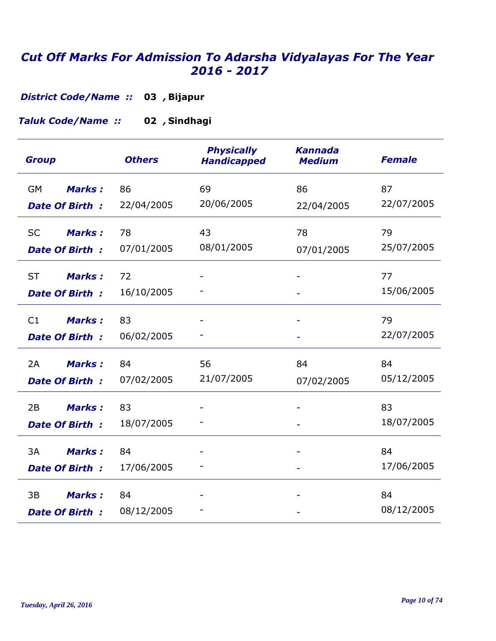*District Code/Name ::* 03 , Bijapur

**Sindhagi 02** *, Taluk Code/Name ::* 

| <b>Group</b>               | <b>Others</b> | <b>Physically</b><br><b>Handicapped</b> | <b>Kannada</b><br><b>Medium</b> | <b>Female</b> |
|----------------------------|---------------|-----------------------------------------|---------------------------------|---------------|
| <b>GM</b><br><b>Marks:</b> | 86            | 69                                      | 86                              | 87            |
| <b>Date Of Birth:</b>      | 22/04/2005    | 20/06/2005                              | 22/04/2005                      | 22/07/2005    |
| <b>SC</b><br><b>Marks:</b> | 78            | 43                                      | 78                              | 79            |
| <b>Date Of Birth:</b>      | 07/01/2005    | 08/01/2005                              | 07/01/2005                      | 25/07/2005    |
| <b>ST</b><br><b>Marks:</b> | 72            |                                         |                                 | 77            |
| <b>Date Of Birth:</b>      | 16/10/2005    |                                         |                                 | 15/06/2005    |
| <b>Marks:</b><br>C1        | 83            |                                         |                                 | 79            |
| <b>Date Of Birth:</b>      | 06/02/2005    |                                         |                                 | 22/07/2005    |
| 2A<br><b>Marks:</b>        | 84            | 56                                      | 84                              | 84            |
| <b>Date Of Birth:</b>      | 07/02/2005    | 21/07/2005                              | 07/02/2005                      | 05/12/2005    |
| 2B<br><b>Marks:</b>        | 83            |                                         |                                 | 83            |
| <b>Date Of Birth:</b>      | 18/07/2005    |                                         |                                 | 18/07/2005    |
| 3A<br><b>Marks:</b>        | 84            |                                         |                                 | 84            |
| <b>Date Of Birth:</b>      | 17/06/2005    |                                         |                                 | 17/06/2005    |
| 3B<br><b>Marks:</b>        | 84            |                                         |                                 | 84            |
| <b>Date Of Birth:</b>      | 08/12/2005    |                                         |                                 | 08/12/2005    |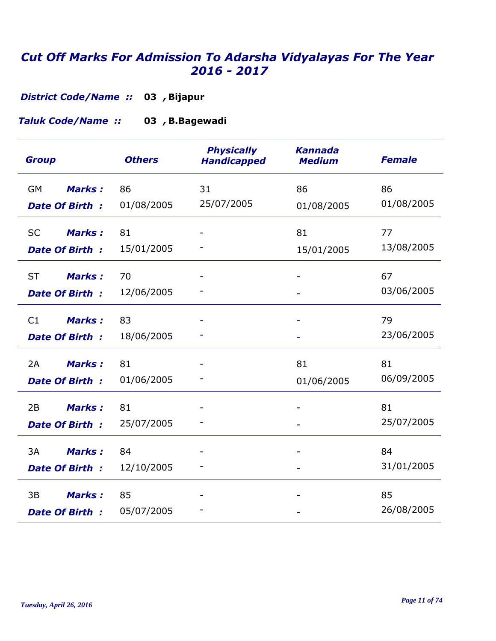*District Code/Name ::* 03 , Bijapur

**B.Bagewadi 03** *, Taluk Code/Name ::* 

| <b>Group</b>               | <b>Others</b> | <b>Physically</b><br><b>Handicapped</b> | <b>Kannada</b><br><b>Medium</b> | <b>Female</b> |
|----------------------------|---------------|-----------------------------------------|---------------------------------|---------------|
| Marks:<br><b>GM</b>        | 86            | 31                                      | 86                              | 86            |
| <b>Date Of Birth:</b>      | 01/08/2005    | 25/07/2005                              | 01/08/2005                      | 01/08/2005    |
| <b>SC</b><br><b>Marks:</b> | 81            |                                         | 81                              | 77            |
| <b>Date Of Birth:</b>      | 15/01/2005    |                                         | 15/01/2005                      | 13/08/2005    |
| <b>ST</b><br><b>Marks:</b> | 70            |                                         |                                 | 67            |
| <b>Date Of Birth:</b>      | 12/06/2005    |                                         |                                 | 03/06/2005    |
| <b>Marks:</b><br>C1        | 83            |                                         |                                 | 79            |
| <b>Date Of Birth:</b>      | 18/06/2005    |                                         |                                 | 23/06/2005    |
| 2A<br><b>Marks:</b>        | 81            |                                         | 81                              | 81            |
| <b>Date Of Birth:</b>      | 01/06/2005    |                                         | 01/06/2005                      | 06/09/2005    |
| 2B<br><b>Marks:</b>        | 81            |                                         |                                 | 81            |
| <b>Date Of Birth:</b>      | 25/07/2005    |                                         |                                 | 25/07/2005    |
| 3A<br><b>Marks:</b>        | 84            |                                         |                                 | 84            |
| <b>Date Of Birth:</b>      | 12/10/2005    |                                         |                                 | 31/01/2005    |
| 3B<br><b>Marks:</b>        | 85            |                                         |                                 | 85            |
| <b>Date Of Birth:</b>      | 05/07/2005    |                                         |                                 | 26/08/2005    |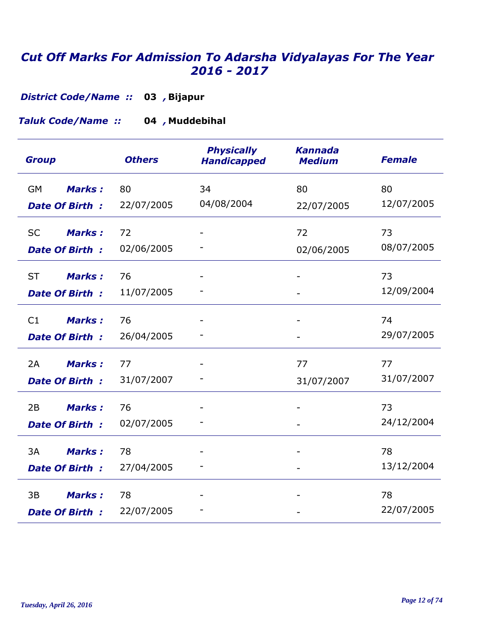*District Code/Name ::* 03 , Bijapur

**Muddebihal 04** *, Taluk Code/Name ::* 

| <b>Group</b>               | <b>Others</b> | <b>Physically</b><br><b>Handicapped</b> | <b>Kannada</b><br><b>Medium</b> | <b>Female</b> |
|----------------------------|---------------|-----------------------------------------|---------------------------------|---------------|
| Marks:<br><b>GM</b>        | 80            | 34                                      | 80                              | 80            |
| <b>Date Of Birth:</b>      | 22/07/2005    | 04/08/2004                              | 22/07/2005                      | 12/07/2005    |
| <b>SC</b><br><b>Marks:</b> | 72            |                                         | 72                              | 73            |
| <b>Date Of Birth:</b>      | 02/06/2005    |                                         | 02/06/2005                      | 08/07/2005    |
| <b>ST</b><br><b>Marks:</b> | 76            |                                         |                                 | 73            |
| <b>Date Of Birth:</b>      | 11/07/2005    |                                         |                                 | 12/09/2004    |
| C1<br><b>Marks:</b>        | 76            |                                         |                                 | 74            |
| Date Of Birth:             | 26/04/2005    |                                         |                                 | 29/07/2005    |
| <b>Marks:</b><br>2A        | 77            |                                         | 77                              | 77            |
| <b>Date Of Birth:</b>      | 31/07/2007    |                                         | 31/07/2007                      | 31/07/2007    |
| <b>Marks:</b><br>2B        | 76            |                                         |                                 | 73            |
| <b>Date Of Birth:</b>      | 02/07/2005    |                                         |                                 | 24/12/2004    |
| 3A<br><b>Marks:</b>        | 78            |                                         |                                 | 78            |
| <b>Date Of Birth:</b>      | 27/04/2005    |                                         |                                 | 13/12/2004    |
| 3B<br><b>Marks:</b>        | 78            |                                         |                                 | 78            |
| <b>Date Of Birth:</b>      | 22/07/2005    |                                         |                                 | 22/07/2005    |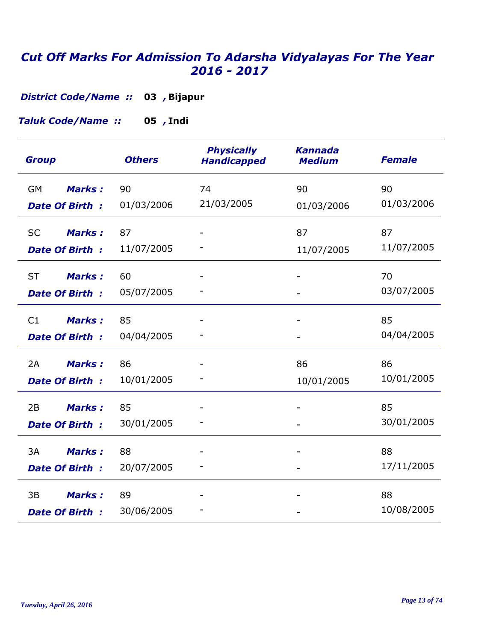*District Code/Name ::* 03 , Bijapur

**Indi 05** *, Taluk Code/Name ::* 

| <b>Group</b>               | <b>Others</b> | <b>Physically</b><br><b>Handicapped</b> | <b>Kannada</b><br><b>Medium</b> | <b>Female</b>    |
|----------------------------|---------------|-----------------------------------------|---------------------------------|------------------|
| <b>GM</b><br><b>Marks:</b> | 90            | 74<br>21/03/2005                        | 90                              | 90<br>01/03/2006 |
| <b>Date Of Birth:</b>      | 01/03/2006    |                                         | 01/03/2006                      |                  |
| <b>SC</b><br><b>Marks:</b> | 87            |                                         | 87                              | 87               |
| <b>Date Of Birth:</b>      | 11/07/2005    |                                         | 11/07/2005                      | 11/07/2005       |
| <b>ST</b><br><b>Marks:</b> | 60            |                                         |                                 | 70               |
| <b>Date Of Birth:</b>      | 05/07/2005    |                                         |                                 | 03/07/2005       |
| <b>Marks:</b><br>C1        | 85            |                                         |                                 | 85               |
| <b>Date Of Birth:</b>      | 04/04/2005    |                                         |                                 | 04/04/2005       |
| 2A<br><b>Marks:</b>        | 86            |                                         | 86                              | 86               |
| <b>Date Of Birth:</b>      | 10/01/2005    |                                         | 10/01/2005                      | 10/01/2005       |
| <b>Marks:</b><br>2B        | 85            |                                         |                                 | 85               |
| <b>Date Of Birth:</b>      | 30/01/2005    |                                         |                                 | 30/01/2005       |
| 3A<br><b>Marks:</b>        | 88            |                                         |                                 | 88               |
| <b>Date Of Birth:</b>      | 20/07/2005    |                                         |                                 | 17/11/2005       |
| 3B<br><b>Marks:</b>        | 89            |                                         |                                 | 88               |
| <b>Date Of Birth:</b>      | 30/06/2005    |                                         |                                 | 10/08/2005       |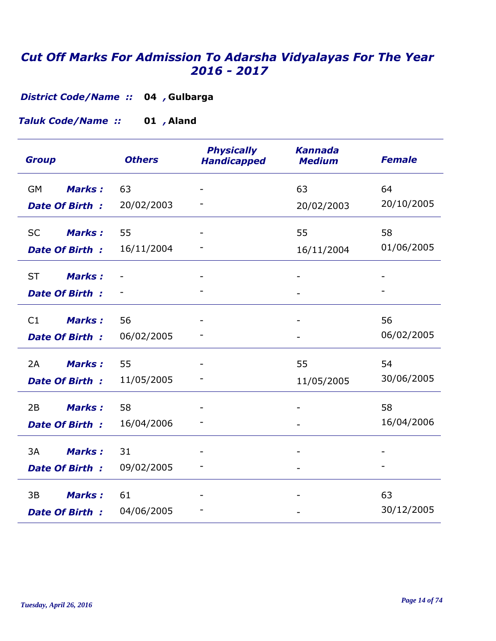**Gulbarga 04** *, District Code/Name ::* 

**Aland 01** *, Taluk Code/Name ::* 

| <b>Group</b>               | <b>Others</b> | <b>Physically</b><br><b>Handicapped</b> | <b>Kannada</b><br><b>Medium</b> | <b>Female</b>    |
|----------------------------|---------------|-----------------------------------------|---------------------------------|------------------|
| <b>Marks:</b><br><b>GM</b> | 63            |                                         | 63                              | 64<br>20/10/2005 |
| <b>Date Of Birth:</b>      | 20/02/2003    |                                         | 20/02/2003                      |                  |
| <b>SC</b><br><b>Marks:</b> | 55            |                                         | 55                              | 58               |
| <b>Date Of Birth:</b>      | 16/11/2004    |                                         | 16/11/2004                      | 01/06/2005       |
| <b>ST</b><br><b>Marks:</b> |               |                                         |                                 |                  |
| Date Of Birth:             |               |                                         |                                 |                  |
| C1<br><b>Marks:</b>        | 56            |                                         |                                 | 56               |
| Date Of Birth:             | 06/02/2005    |                                         |                                 | 06/02/2005       |
| Marks:<br>2A               | 55            |                                         | 55                              | 54               |
| <b>Date Of Birth:</b>      | 11/05/2005    |                                         | 11/05/2005                      | 30/06/2005       |
| 2B<br><b>Marks:</b>        | 58            |                                         |                                 | 58               |
| <b>Date Of Birth:</b>      | 16/04/2006    |                                         |                                 | 16/04/2006       |
| 3A<br><b>Marks:</b>        | 31            |                                         |                                 |                  |
| <b>Date Of Birth:</b>      | 09/02/2005    |                                         |                                 |                  |
| <b>Marks:</b><br>3B        | 61            |                                         |                                 | 63               |
| <b>Date Of Birth:</b>      | 04/06/2005    |                                         |                                 | 30/12/2005       |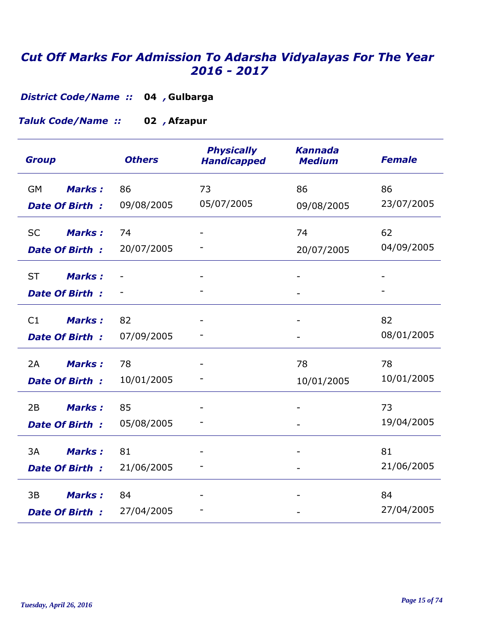**Gulbarga 04** *, District Code/Name ::* 

**Afzapur 02** *, Taluk Code/Name ::* 

| <b>Group</b>                                        | <b>Others</b>    | <b>Physically</b><br><b>Handicapped</b> | <b>Kannada</b><br><b>Medium</b> | <b>Female</b>    |
|-----------------------------------------------------|------------------|-----------------------------------------|---------------------------------|------------------|
| <b>GM</b><br><b>Marks:</b><br><b>Date Of Birth:</b> | 86<br>09/08/2005 | 73<br>05/07/2005                        | 86<br>09/08/2005                | 86<br>23/07/2005 |
| Marks:<br><b>SC</b><br><b>Date Of Birth:</b>        | 74<br>20/07/2005 |                                         | 74<br>20/07/2005                | 62<br>04/09/2005 |
| <b>ST</b><br><b>Marks:</b><br><b>Date Of Birth:</b> |                  |                                         |                                 |                  |
| <b>Marks:</b><br>C1<br><b>Date Of Birth:</b>        | 82<br>07/09/2005 |                                         |                                 | 82<br>08/01/2005 |
| 2A<br><b>Marks:</b><br><b>Date Of Birth:</b>        | 78<br>10/01/2005 |                                         | 78<br>10/01/2005                | 78<br>10/01/2005 |
| <b>Marks:</b><br>2B<br><b>Date Of Birth:</b>        | 85<br>05/08/2005 |                                         |                                 | 73<br>19/04/2005 |
| 3A<br><b>Marks:</b><br><b>Date Of Birth:</b>        | 81<br>21/06/2005 |                                         |                                 | 81<br>21/06/2005 |
| 3B<br><b>Marks:</b><br><b>Date Of Birth:</b>        | 84<br>27/04/2005 |                                         |                                 | 84<br>27/04/2005 |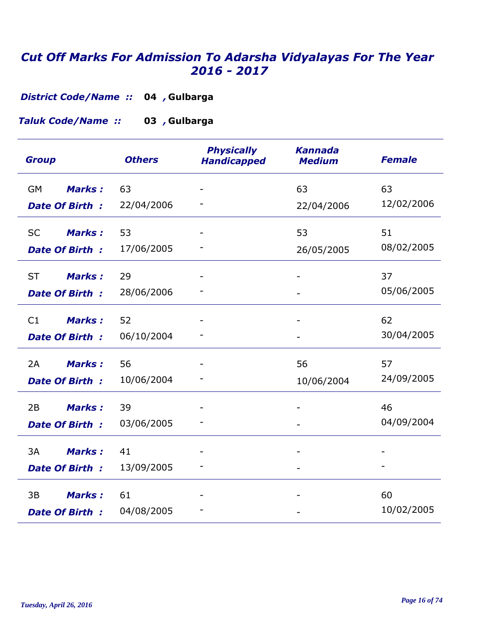**Gulbarga 04** *, District Code/Name ::* 

**Gulbarga 03** *, Taluk Code/Name ::* 

| <b>Group</b>               | <b>Others</b> | <b>Physically</b><br><b>Handicapped</b> | <b>Kannada</b><br><b>Medium</b> | <b>Female</b> |
|----------------------------|---------------|-----------------------------------------|---------------------------------|---------------|
| <b>GM</b><br><b>Marks:</b> | 63            |                                         | 63                              | 63            |
| <b>Date Of Birth:</b>      | 22/04/2006    |                                         | 22/04/2006                      | 12/02/2006    |
| <b>SC</b><br><b>Marks:</b> | 53            |                                         | 53                              | 51            |
| <b>Date Of Birth:</b>      | 17/06/2005    |                                         | 26/05/2005                      | 08/02/2005    |
| <b>ST</b><br><b>Marks:</b> | 29            |                                         |                                 | 37            |
| <b>Date Of Birth:</b>      | 28/06/2006    |                                         |                                 | 05/06/2005    |
| <b>Marks:</b><br>C1        | 52            |                                         |                                 | 62            |
| Date Of Birth:             | 06/10/2004    |                                         |                                 | 30/04/2005    |
| 2A<br><b>Marks:</b>        | 56            |                                         | 56                              | 57            |
| <b>Date Of Birth:</b>      | 10/06/2004    |                                         | 10/06/2004                      | 24/09/2005    |
| <b>Marks:</b><br>2B        | 39            |                                         |                                 | 46            |
| <b>Date Of Birth:</b>      | 03/06/2005    |                                         |                                 | 04/09/2004    |
| 3A<br><b>Marks:</b>        | 41            |                                         |                                 |               |
| <b>Date Of Birth:</b>      | 13/09/2005    |                                         |                                 |               |
| 3B<br><b>Marks:</b>        | 61            |                                         |                                 | 60            |
| <b>Date Of Birth:</b>      | 04/08/2005    |                                         |                                 | 10/02/2005    |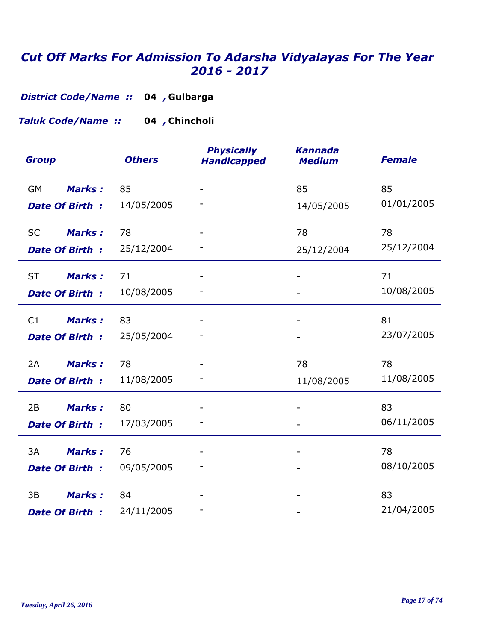**Gulbarga 04** *, District Code/Name ::* 

**Chincholi 04** *, Taluk Code/Name ::* 

| <b>Group</b>               | <b>Others</b> | <b>Physically</b><br><b>Handicapped</b> | <b>Kannada</b><br><b>Medium</b> | <b>Female</b> |
|----------------------------|---------------|-----------------------------------------|---------------------------------|---------------|
| <b>Marks:</b><br>GM        | 85            |                                         | 85                              | 85            |
| <b>Date Of Birth:</b>      | 14/05/2005    |                                         | 14/05/2005                      | 01/01/2005    |
| <b>Marks:</b><br><b>SC</b> | 78            |                                         | 78                              | 78            |
| <b>Date Of Birth:</b>      | 25/12/2004    |                                         | 25/12/2004                      | 25/12/2004    |
| <b>ST</b><br><b>Marks:</b> | 71            |                                         |                                 | 71            |
| <b>Date Of Birth:</b>      | 10/08/2005    |                                         |                                 | 10/08/2005    |
| C1<br><b>Marks:</b>        | 83            |                                         |                                 | 81            |
| <b>Date Of Birth:</b>      | 25/05/2004    |                                         |                                 | 23/07/2005    |
| <b>Marks:</b><br>2A        | 78            |                                         | 78                              | 78            |
| <b>Date Of Birth:</b>      | 11/08/2005    |                                         | 11/08/2005                      | 11/08/2005    |
| 2B<br><b>Marks:</b>        | 80            |                                         |                                 | 83            |
| <b>Date Of Birth:</b>      | 17/03/2005    |                                         |                                 | 06/11/2005    |
| 3A<br><b>Marks:</b>        | 76            |                                         |                                 | 78            |
| <b>Date Of Birth:</b>      | 09/05/2005    |                                         | $\qquad \qquad \blacksquare$    | 08/10/2005    |
| 3B<br><b>Marks:</b>        | 84            |                                         |                                 | 83            |
| <b>Date Of Birth:</b>      | 24/11/2005    |                                         |                                 | 21/04/2005    |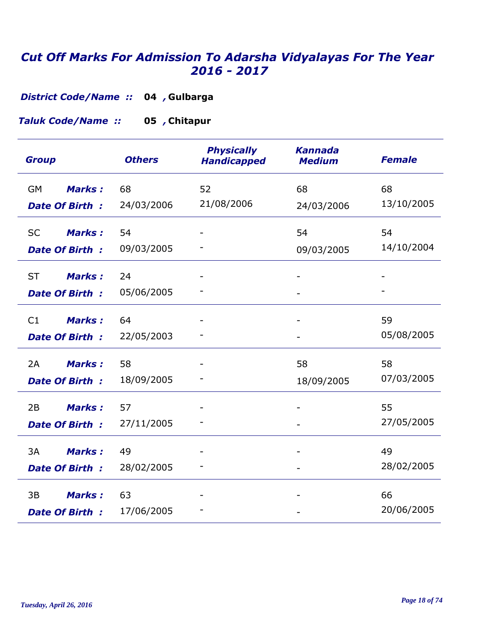**Gulbarga 04** *, District Code/Name ::* 

**Chitapur 05** *, Taluk Code/Name ::* 

| <b>Group</b>               | <b>Others</b> | <b>Physically</b><br><b>Handicapped</b> | <b>Kannada</b><br><b>Medium</b> | <b>Female</b> |
|----------------------------|---------------|-----------------------------------------|---------------------------------|---------------|
| Marks:<br><b>GM</b>        | 68            | 52                                      | 68                              | 68            |
| <b>Date Of Birth:</b>      | 24/03/2006    | 21/08/2006                              | 24/03/2006                      | 13/10/2005    |
| <b>Marks:</b><br><b>SC</b> | 54            |                                         | 54                              | 54            |
| <b>Date Of Birth:</b>      | 09/03/2005    |                                         | 09/03/2005                      | 14/10/2004    |
| <b>ST</b><br><b>Marks:</b> | 24            |                                         |                                 |               |
| Date Of Birth:             | 05/06/2005    |                                         |                                 |               |
| <b>Marks:</b><br>C1        | 64            |                                         |                                 | 59            |
| Date Of Birth:             | 22/05/2003    |                                         |                                 | 05/08/2005    |
| <b>Marks:</b><br>2A        | 58            |                                         | 58                              | 58            |
| <b>Date Of Birth:</b>      | 18/09/2005    |                                         | 18/09/2005                      | 07/03/2005    |
| <b>Marks:</b><br>2B        | 57            |                                         |                                 | 55            |
| <b>Date Of Birth:</b>      | 27/11/2005    |                                         |                                 | 27/05/2005    |
| 3A<br><b>Marks:</b>        | 49            |                                         |                                 | 49            |
| <b>Date Of Birth:</b>      | 28/02/2005    |                                         |                                 | 28/02/2005    |
| <b>Marks:</b><br>3B        | 63            |                                         |                                 | 66            |
| <b>Date Of Birth:</b>      | 17/06/2005    |                                         |                                 | 20/06/2005    |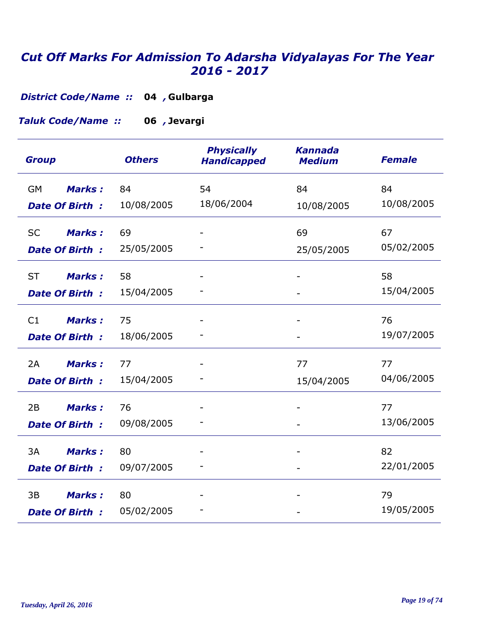**Gulbarga 04** *, District Code/Name ::* 

**Jevargi 06** *, Taluk Code/Name ::* 

| <b>Group</b>                                        | <b>Others</b>    | <b>Physically</b><br><b>Handicapped</b> | <b>Kannada</b><br><b>Medium</b> | <b>Female</b>    |
|-----------------------------------------------------|------------------|-----------------------------------------|---------------------------------|------------------|
| <b>Marks:</b><br>GM<br><b>Date Of Birth:</b>        | 84<br>10/08/2005 | 54<br>18/06/2004                        | 84<br>10/08/2005                | 84<br>10/08/2005 |
| <b>Marks:</b><br><b>SC</b><br>Date Of Birth:        | 69<br>25/05/2005 |                                         | 69<br>25/05/2005                | 67<br>05/02/2005 |
| <b>ST</b><br><b>Marks:</b><br><b>Date Of Birth:</b> | 58<br>15/04/2005 |                                         |                                 | 58<br>15/04/2005 |
| C1<br><b>Marks:</b><br><b>Date Of Birth:</b>        | 75<br>18/06/2005 |                                         |                                 | 76<br>19/07/2005 |
| <b>Marks:</b><br>2A<br><b>Date Of Birth:</b>        | 77<br>15/04/2005 |                                         | 77<br>15/04/2005                | 77<br>04/06/2005 |
| <b>Marks:</b><br>2B<br><b>Date Of Birth:</b>        | 76<br>09/08/2005 |                                         |                                 | 77<br>13/06/2005 |
| 3A<br><b>Marks:</b><br><b>Date Of Birth:</b>        | 80<br>09/07/2005 |                                         |                                 | 82<br>22/01/2005 |
| <b>Marks:</b><br>3B<br><b>Date Of Birth:</b>        | 80<br>05/02/2005 |                                         |                                 | 79<br>19/05/2005 |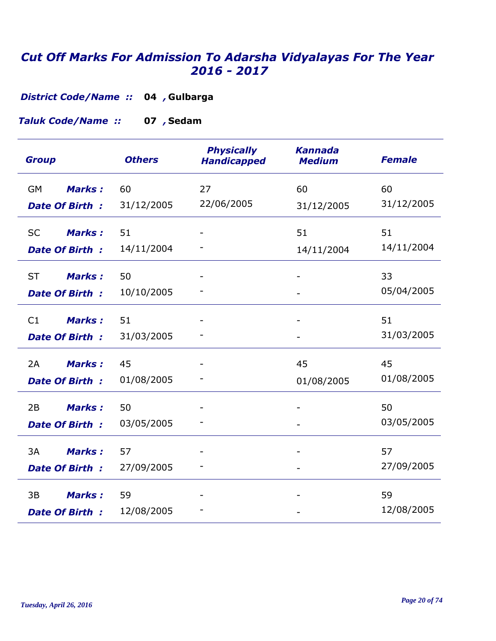**Gulbarga 04** *, District Code/Name ::* 

**Sedam 07** *, Taluk Code/Name ::* 

| <b>Group</b>               | <b>Others</b> | <b>Physically</b><br><b>Handicapped</b> | <b>Kannada</b><br><b>Medium</b> | <b>Female</b> |
|----------------------------|---------------|-----------------------------------------|---------------------------------|---------------|
| <b>Marks:</b><br><b>GM</b> | 60            | 27                                      | 60                              | 60            |
| <b>Date Of Birth:</b>      | 31/12/2005    | 22/06/2005                              | 31/12/2005                      | 31/12/2005    |
| Marks:<br><b>SC</b>        | 51            |                                         | 51                              | 51            |
| <b>Date Of Birth:</b>      | 14/11/2004    |                                         | 14/11/2004                      | 14/11/2004    |
| <b>ST</b><br><b>Marks:</b> | 50            |                                         |                                 | 33            |
| <b>Date Of Birth:</b>      | 10/10/2005    |                                         |                                 | 05/04/2005    |
| <b>Marks:</b><br>C1        | 51            |                                         |                                 | 51            |
| Date Of Birth:             | 31/03/2005    |                                         |                                 | 31/03/2005    |
| 2A<br><b>Marks:</b>        | 45            |                                         | 45                              | 45            |
| <b>Date Of Birth:</b>      | 01/08/2005    |                                         | 01/08/2005                      | 01/08/2005    |
| 2B<br><b>Marks:</b>        | 50            |                                         |                                 | 50            |
| <b>Date Of Birth:</b>      | 03/05/2005    |                                         |                                 | 03/05/2005    |
| 3A<br><b>Marks:</b>        | 57            |                                         |                                 | 57            |
| <b>Date Of Birth:</b>      | 27/09/2005    |                                         |                                 | 27/09/2005    |
| 3B<br><b>Marks:</b>        | 59            |                                         |                                 | 59            |
| <b>Date Of Birth:</b>      | 12/08/2005    |                                         |                                 | 12/08/2005    |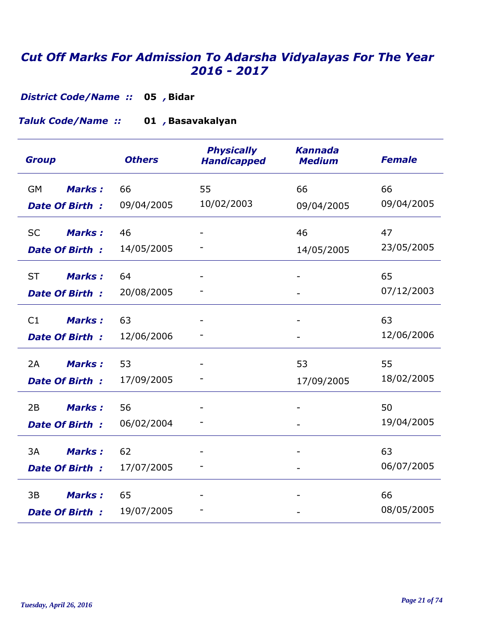**Bidar 05** *, District Code/Name ::* 

**Basavakalyan 01** *, Taluk Code/Name ::* 

| <b>Group</b>               | <b>Others</b> | <b>Physically</b><br><b>Handicapped</b> | <b>Kannada</b><br><b>Medium</b> | <b>Female</b> |
|----------------------------|---------------|-----------------------------------------|---------------------------------|---------------|
| <b>Marks:</b><br><b>GM</b> | 66            | 55                                      | 66                              | 66            |
| <b>Date Of Birth:</b>      | 09/04/2005    | 10/02/2003                              | 09/04/2005                      | 09/04/2005    |
| <b>Marks:</b><br><b>SC</b> | 46            |                                         | 46                              | 47            |
| <b>Date Of Birth:</b>      | 14/05/2005    |                                         | 14/05/2005                      | 23/05/2005    |
| <b>ST</b><br><b>Marks:</b> | 64            |                                         |                                 | 65            |
| <b>Date Of Birth:</b>      | 20/08/2005    |                                         |                                 | 07/12/2003    |
| <b>Marks:</b><br>C1        | 63            |                                         |                                 | 63            |
| <b>Date Of Birth:</b>      | 12/06/2006    |                                         |                                 | 12/06/2006    |
| <b>Marks:</b><br>2A        | 53            |                                         | 53                              | 55            |
| <b>Date Of Birth:</b>      | 17/09/2005    |                                         | 17/09/2005                      | 18/02/2005    |
| 2B<br><b>Marks:</b>        | 56            |                                         |                                 | 50            |
| <b>Date Of Birth:</b>      | 06/02/2004    |                                         |                                 | 19/04/2005    |
| 3A<br><b>Marks:</b>        | 62            |                                         |                                 | 63            |
| <b>Date Of Birth:</b>      | 17/07/2005    |                                         |                                 | 06/07/2005    |
| 3B<br><b>Marks:</b>        | 65            |                                         |                                 | 66            |
| <b>Date Of Birth:</b>      | 19/07/2005    |                                         |                                 | 08/05/2005    |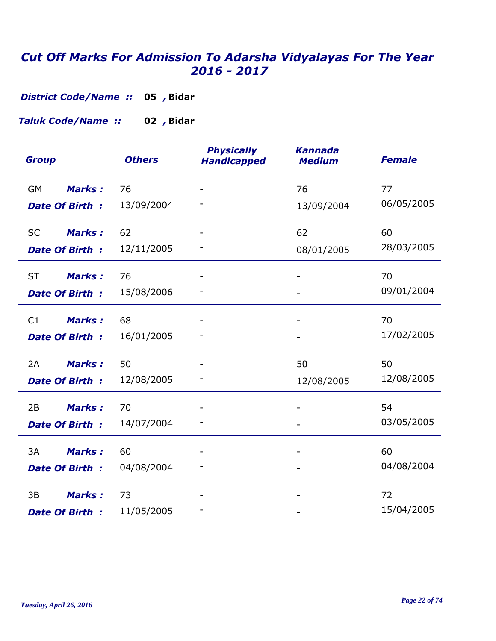**Bidar 05** *, District Code/Name ::* 

**Bidar 02** *, Taluk Code/Name ::* 

| <b>Group</b>               | <b>Others</b> | <b>Physically</b><br><b>Handicapped</b> | <b>Kannada</b><br><b>Medium</b> | <b>Female</b> |
|----------------------------|---------------|-----------------------------------------|---------------------------------|---------------|
| <b>Marks:</b><br>GM        | 76            |                                         | 76                              | 77            |
| <b>Date Of Birth:</b>      | 13/09/2004    |                                         | 13/09/2004                      | 06/05/2005    |
| <b>SC</b><br><b>Marks:</b> | 62            |                                         | 62                              | 60            |
| <b>Date Of Birth:</b>      | 12/11/2005    |                                         | 08/01/2005                      | 28/03/2005    |
| <b>ST</b><br><b>Marks:</b> | 76            |                                         |                                 | 70            |
| <b>Date Of Birth:</b>      | 15/08/2006    |                                         |                                 | 09/01/2004    |
| <b>Marks:</b><br>C1        | 68            |                                         |                                 | 70            |
| Date Of Birth:             | 16/01/2005    |                                         |                                 | 17/02/2005    |
| Marks:<br>2A               | 50            |                                         | 50                              | 50            |
| <b>Date Of Birth:</b>      | 12/08/2005    |                                         | 12/08/2005                      | 12/08/2005    |
| <b>Marks:</b><br>2B        | 70            |                                         |                                 | 54            |
| <b>Date Of Birth:</b>      | 14/07/2004    |                                         |                                 | 03/05/2005    |
| 3A<br><b>Marks:</b>        | 60            |                                         |                                 | 60            |
| <b>Date Of Birth:</b>      | 04/08/2004    |                                         |                                 | 04/08/2004    |
| <b>Marks:</b><br>3B        | 73            |                                         |                                 | 72            |
| <b>Date Of Birth:</b>      | 11/05/2005    |                                         |                                 | 15/04/2005    |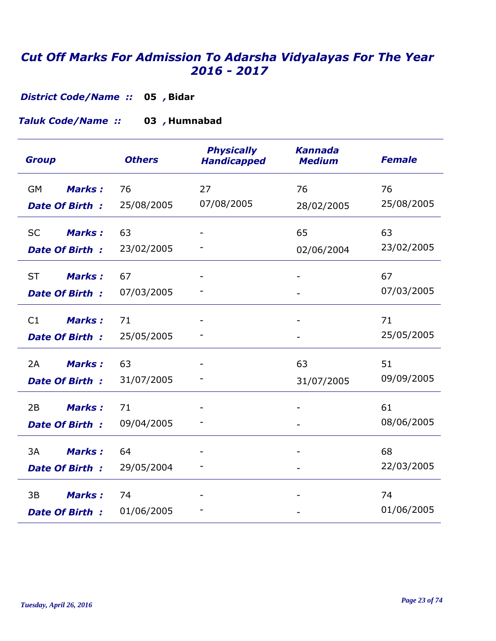**Bidar 05** *, District Code/Name ::* 

**Humnabad 03** *, Taluk Code/Name ::* 

| <b>Group</b>                                        | <b>Others</b>    | <b>Physically</b><br><b>Handicapped</b> | <b>Kannada</b><br><b>Medium</b> | <b>Female</b>    |
|-----------------------------------------------------|------------------|-----------------------------------------|---------------------------------|------------------|
| <b>Marks:</b><br>GM<br><b>Date Of Birth:</b>        | 76<br>25/08/2005 | 27<br>07/08/2005                        | 76<br>28/02/2005                | 76<br>25/08/2005 |
| <b>Marks:</b><br><b>SC</b><br><b>Date Of Birth:</b> | 63<br>23/02/2005 |                                         | 65<br>02/06/2004                | 63<br>23/02/2005 |
| <b>ST</b><br><b>Marks:</b><br>Date Of Birth:        | 67<br>07/03/2005 |                                         |                                 | 67<br>07/03/2005 |
| C1<br><b>Marks:</b><br>Date Of Birth:               | 71<br>25/05/2005 |                                         |                                 | 71<br>25/05/2005 |
| <b>Marks:</b><br>2A<br><b>Date Of Birth:</b>        | 63<br>31/07/2005 |                                         | 63<br>31/07/2005                | 51<br>09/09/2005 |
| 2B<br><b>Marks:</b><br><b>Date Of Birth:</b>        | 71<br>09/04/2005 |                                         |                                 | 61<br>08/06/2005 |
| 3A<br><b>Marks:</b><br><b>Date Of Birth:</b>        | 64<br>29/05/2004 |                                         |                                 | 68<br>22/03/2005 |
| 3B<br><b>Marks:</b><br><b>Date Of Birth:</b>        | 74<br>01/06/2005 |                                         |                                 | 74<br>01/06/2005 |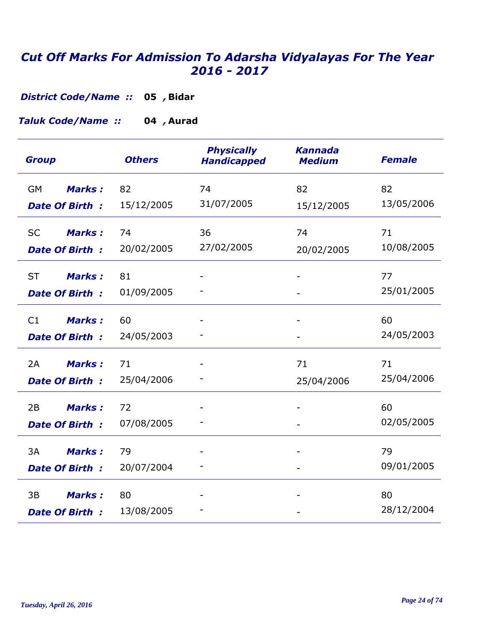**Bidar 05** *, District Code/Name ::* 

**Taluk Code/Name :: 04, Aurad** 

| <b>Group</b>                                 | <b>Others</b>    | <b>Physically</b><br><b>Handicapped</b> | <b>Kannada</b><br><b>Medium</b> | <b>Female</b>    |
|----------------------------------------------|------------------|-----------------------------------------|---------------------------------|------------------|
| <b>Marks:</b><br>GM<br><b>Date Of Birth:</b> | 82<br>15/12/2005 | 74<br>31/07/2005                        | 82<br>15/12/2005                | 82<br>13/05/2006 |
|                                              |                  |                                         |                                 |                  |
| <b>SC</b><br><b>Marks:</b>                   | 74               | 36                                      | 74                              | 71               |
| <b>Date Of Birth:</b>                        | 20/02/2005       | 27/02/2005                              | 20/02/2005                      | 10/08/2005       |
| <b>ST</b><br><b>Marks:</b>                   | 81               |                                         |                                 | 77               |
| <b>Date Of Birth:</b>                        | 01/09/2005       |                                         |                                 | 25/01/2005       |
| C1<br><b>Marks:</b>                          | 60               |                                         |                                 | 60               |
| <b>Date Of Birth:</b>                        | 24/05/2003       |                                         |                                 | 24/05/2003       |
| <b>Marks:</b><br>2A                          | 71               |                                         | 71                              | 71               |
| <b>Date Of Birth:</b>                        | 25/04/2006       |                                         | 25/04/2006                      | 25/04/2006       |
| 2B<br><b>Marks:</b>                          | 72               |                                         |                                 | 60               |
| <b>Date Of Birth:</b>                        | 07/08/2005       |                                         |                                 | 02/05/2005       |
| 3A<br><b>Marks:</b>                          | 79               |                                         |                                 | 79               |
| <b>Date Of Birth:</b>                        | 20/07/2004       |                                         |                                 | 09/01/2005       |
| 3B<br><b>Marks:</b>                          | 80               |                                         |                                 | 80               |
| <b>Date Of Birth:</b>                        | 13/08/2005       |                                         |                                 | 28/12/2004       |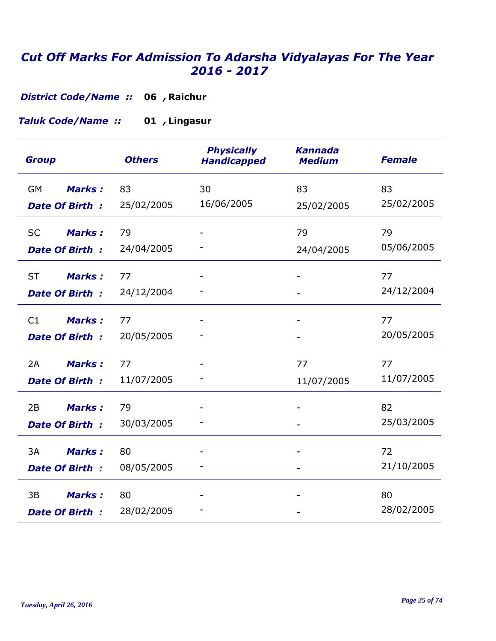**District Code/Name :: 06, Raichur** 

**Lingasur 01** *, Taluk Code/Name ::* 

| <b>Group</b>               | <b>Others</b> | <b>Physically</b><br><b>Handicapped</b> | <b>Kannada</b><br><b>Medium</b> | <b>Female</b> |
|----------------------------|---------------|-----------------------------------------|---------------------------------|---------------|
| <b>Marks:</b><br>GM        | 83            | 30                                      | 83                              | 83            |
| <b>Date Of Birth:</b>      | 25/02/2005    | 16/06/2005                              | 25/02/2005                      | 25/02/2005    |
| <b>Marks:</b><br><b>SC</b> | 79            |                                         | 79                              | 79            |
| Date Of Birth:             | 24/04/2005    |                                         | 24/04/2005                      | 05/06/2005    |
| <b>ST</b><br><b>Marks:</b> | 77            |                                         |                                 | 77            |
| <b>Date Of Birth:</b>      | 24/12/2004    |                                         |                                 | 24/12/2004    |
| <b>Marks:</b><br>C1        | 77            |                                         |                                 | 77            |
| Date Of Birth:             | 20/05/2005    |                                         |                                 | 20/05/2005    |
| <b>Marks:</b><br>2A        | 77            |                                         | 77                              | 77            |
| <b>Date Of Birth:</b>      | 11/07/2005    |                                         | 11/07/2005                      | 11/07/2005    |
| <b>Marks:</b><br>2B        | 79            |                                         |                                 | 82            |
| <b>Date Of Birth:</b>      | 30/03/2005    |                                         |                                 | 25/03/2005    |
| 3A<br><b>Marks:</b>        | 80            |                                         |                                 | 72            |
| Date Of Birth:             | 08/05/2005    |                                         |                                 | 21/10/2005    |
| 3B<br><b>Marks:</b>        | 80            |                                         |                                 | 80            |
| <b>Date Of Birth:</b>      | 28/02/2005    |                                         |                                 | 28/02/2005    |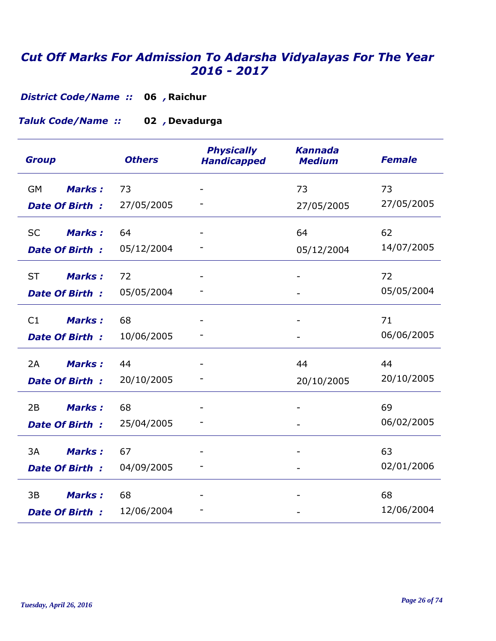**District Code/Name :: 06, Raichur** 

#### **Devadurga 02** *, Taluk Code/Name ::*

| <b>Others</b><br><b>Group</b>                      | <b>Physically</b><br><b>Handicapped</b> | <b>Kannada</b><br><b>Medium</b> | <b>Female</b>    |
|----------------------------------------------------|-----------------------------------------|---------------------------------|------------------|
| Marks:<br><b>GM</b><br>73                          |                                         | 73                              | 73               |
| <b>Date Of Birth:</b>                              | 27/05/2005                              | 27/05/2005                      | 27/05/2005       |
| <b>Marks:</b><br>64<br><b>SC</b>                   |                                         | 64                              | 62               |
| <b>Date Of Birth:</b>                              | 05/12/2004                              | 05/12/2004                      | 14/07/2005       |
| 72<br><b>ST</b><br><b>Marks:</b>                   |                                         |                                 | 72               |
| Date Of Birth:                                     | 05/05/2004                              |                                 | 05/05/2004       |
| <b>Marks:</b><br>C1<br>68                          |                                         |                                 | 71               |
| <b>Date Of Birth:</b>                              | 10/06/2005                              |                                 | 06/06/2005       |
| <b>Marks:</b><br>2A<br>44                          |                                         | 44                              | 44               |
| <b>Date Of Birth:</b>                              | 20/10/2005                              | 20/10/2005                      | 20/10/2005       |
| <b>Marks:</b><br>68<br>2B                          |                                         |                                 | 69               |
| <b>Date Of Birth:</b>                              | 25/04/2005                              |                                 | 06/02/2005       |
| 3A<br><b>Marks:</b><br>67                          |                                         |                                 | 63               |
| <b>Date Of Birth:</b>                              | 04/09/2005                              |                                 | 02/01/2006       |
| <b>Marks:</b><br>68<br>3B<br><b>Date Of Birth:</b> | 12/06/2004                              |                                 | 68<br>12/06/2004 |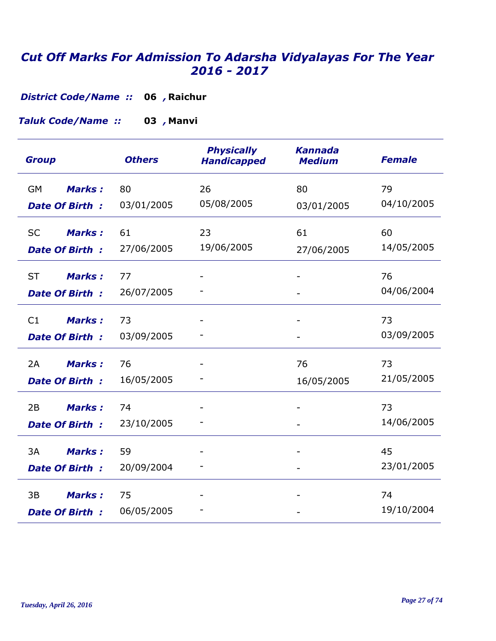**District Code/Name :: 06, Raichur** 

**Manvi 03** *, Taluk Code/Name ::* 

| <b>Group</b>               | <b>Others</b>    | <b>Physically</b><br><b>Handicapped</b> | <b>Kannada</b><br><b>Medium</b> | <b>Female</b>    |
|----------------------------|------------------|-----------------------------------------|---------------------------------|------------------|
| <b>GM</b><br><b>Marks:</b> | 80<br>03/01/2005 | 26<br>05/08/2005                        | 80                              | 79<br>04/10/2005 |
| <b>Date Of Birth:</b>      |                  |                                         | 03/01/2005                      |                  |
| Marks:<br><b>SC</b>        | 61               | 23                                      | 61                              | 60               |
| <b>Date Of Birth:</b>      | 27/06/2005       | 19/06/2005                              | 27/06/2005                      | 14/05/2005       |
| <b>ST</b><br><b>Marks:</b> | 77               |                                         |                                 | 76               |
| <b>Date Of Birth:</b>      | 26/07/2005       |                                         |                                 | 04/06/2004       |
| <b>Marks:</b><br>C1        | 73               |                                         |                                 | 73               |
| Date Of Birth:             | 03/09/2005       |                                         |                                 | 03/09/2005       |
| 2A<br><b>Marks:</b>        | 76               |                                         | 76                              | 73               |
| <b>Date Of Birth:</b>      | 16/05/2005       |                                         | 16/05/2005                      | 21/05/2005       |
| 2B<br><b>Marks:</b>        | 74               |                                         |                                 | 73               |
| <b>Date Of Birth:</b>      | 23/10/2005       |                                         |                                 | 14/06/2005       |
| 3A<br><b>Marks:</b>        | 59               |                                         |                                 | 45               |
| <b>Date Of Birth:</b>      | 20/09/2004       |                                         |                                 | 23/01/2005       |
| 3B<br><b>Marks:</b>        | 75               |                                         |                                 | 74               |
| <b>Date Of Birth:</b>      | 06/05/2005       |                                         |                                 | 19/10/2004       |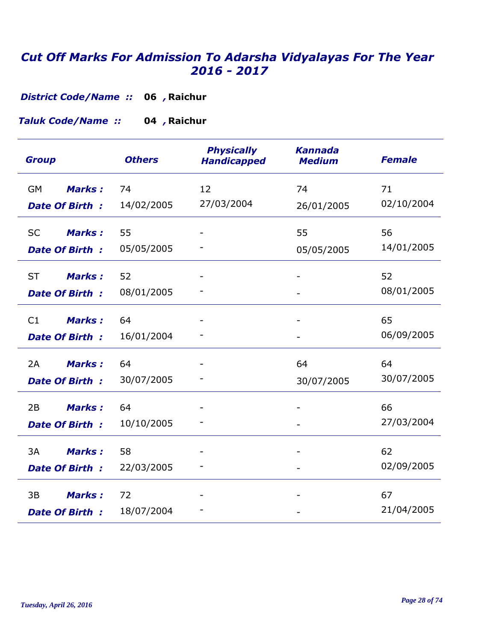**District Code/Name :: 06, Raichur** 

**Raichur 04** *, Taluk Code/Name ::* 

| <b>Group</b>               | <b>Others</b> | <b>Physically</b><br><b>Handicapped</b> | <b>Kannada</b><br><b>Medium</b> | <b>Female</b>    |
|----------------------------|---------------|-----------------------------------------|---------------------------------|------------------|
| <b>Marks:</b><br><b>GM</b> | 74            | 12<br>27/03/2004                        | 74                              | 71<br>02/10/2004 |
| <b>Date Of Birth:</b>      | 14/02/2005    |                                         | 26/01/2005                      |                  |
| <b>Marks:</b><br><b>SC</b> | 55            |                                         | 55                              | 56               |
| <b>Date Of Birth:</b>      | 05/05/2005    |                                         | 05/05/2005                      | 14/01/2005       |
| <b>ST</b><br><b>Marks:</b> | 52            |                                         |                                 | 52               |
| <b>Date Of Birth:</b>      | 08/01/2005    |                                         |                                 | 08/01/2005       |
| C1<br><b>Marks:</b>        | 64            |                                         |                                 | 65               |
| <b>Date Of Birth:</b>      | 16/01/2004    |                                         |                                 | 06/09/2005       |
| 2A<br><b>Marks:</b>        | 64            |                                         | 64                              | 64               |
| <b>Date Of Birth:</b>      | 30/07/2005    |                                         | 30/07/2005                      | 30/07/2005       |
| 2B<br><b>Marks:</b>        | 64            |                                         |                                 | 66               |
| <b>Date Of Birth:</b>      | 10/10/2005    |                                         |                                 | 27/03/2004       |
| 3A<br><b>Marks:</b>        | 58            |                                         |                                 | 62               |
| <b>Date Of Birth:</b>      | 22/03/2005    |                                         |                                 | 02/09/2005       |
| <b>Marks:</b><br>3B        | 72            |                                         |                                 | 67               |
| <b>Date Of Birth:</b>      | 18/07/2004    |                                         |                                 | 21/04/2005       |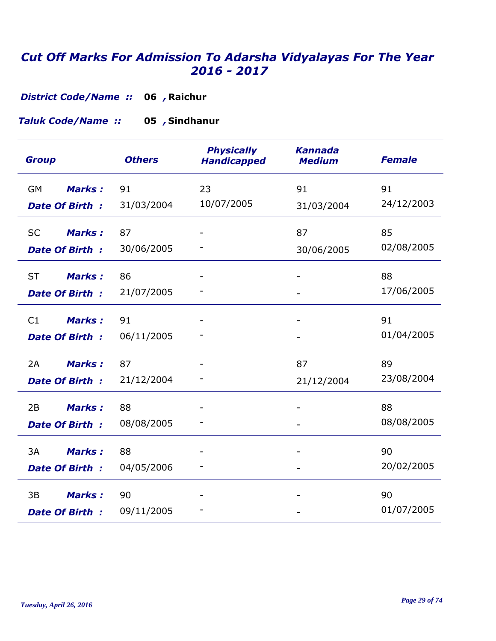**District Code/Name :: 06, Raichur** 

**Sindhanur 05** *, Taluk Code/Name ::* 

| <b>Group</b>               | <b>Others</b> | <b>Physically</b><br><b>Handicapped</b> | <b>Kannada</b><br><b>Medium</b> | <b>Female</b> |
|----------------------------|---------------|-----------------------------------------|---------------------------------|---------------|
| <b>Marks:</b><br><b>GM</b> | 91            | 23                                      | 91                              | 91            |
| <b>Date Of Birth:</b>      | 31/03/2004    | 10/07/2005                              | 31/03/2004                      | 24/12/2003    |
| <b>Marks:</b><br><b>SC</b> | 87            |                                         | 87                              | 85            |
| <b>Date Of Birth:</b>      | 30/06/2005    |                                         | 30/06/2005                      | 02/08/2005    |
| <b>ST</b><br><b>Marks:</b> | 86            |                                         |                                 | 88            |
| <b>Date Of Birth:</b>      | 21/07/2005    |                                         |                                 | 17/06/2005    |
| <b>Marks:</b><br>C1        | 91            |                                         |                                 | 91            |
| <b>Date Of Birth:</b>      | 06/11/2005    |                                         |                                 | 01/04/2005    |
| <b>Marks:</b><br>2A        | 87            |                                         | 87                              | 89            |
| <b>Date Of Birth:</b>      | 21/12/2004    |                                         | 21/12/2004                      | 23/08/2004    |
| 2B<br><b>Marks:</b>        | 88            |                                         |                                 | 88            |
| <b>Date Of Birth:</b>      | 08/08/2005    |                                         |                                 | 08/08/2005    |
| 3A<br><b>Marks:</b>        | 88            |                                         |                                 | 90            |
| <b>Date Of Birth:</b>      | 04/05/2006    |                                         |                                 | 20/02/2005    |
| <b>Marks:</b><br>3B        | 90            |                                         |                                 | 90            |
| <b>Date Of Birth:</b>      | 09/11/2005    |                                         |                                 | 01/07/2005    |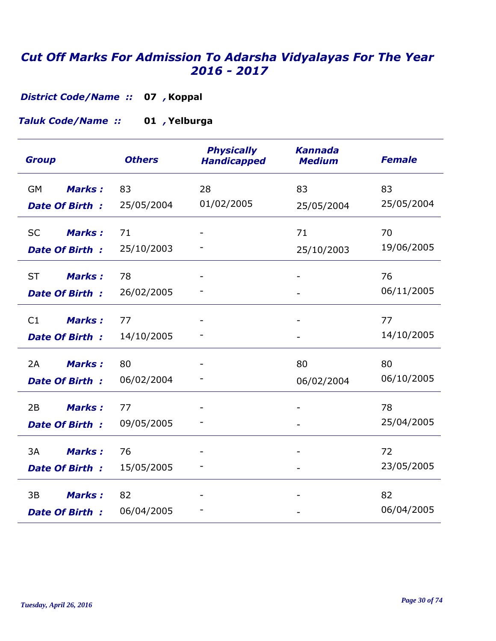*District Code/Name ::* 07 , Koppal

**Yelburga 01** *, Taluk Code/Name ::* 

| <b>Group</b>                                        | <b>Others</b>    | <b>Physically</b><br><b>Handicapped</b> | <b>Kannada</b><br><b>Medium</b> | <b>Female</b>    |
|-----------------------------------------------------|------------------|-----------------------------------------|---------------------------------|------------------|
| <b>GM</b><br><b>Marks:</b><br><b>Date Of Birth:</b> | 83<br>25/05/2004 | 28<br>01/02/2005                        | 83<br>25/05/2004                | 83<br>25/05/2004 |
| <b>Marks:</b><br><b>SC</b><br>Date Of Birth:        | 71<br>25/10/2003 |                                         | 71<br>25/10/2003                | 70<br>19/06/2005 |
| <b>ST</b><br><b>Marks:</b><br><b>Date Of Birth:</b> | 78<br>26/02/2005 |                                         |                                 | 76<br>06/11/2005 |
| C1<br><b>Marks:</b><br><b>Date Of Birth:</b>        | 77<br>14/10/2005 |                                         |                                 | 77<br>14/10/2005 |
| <b>Marks:</b><br>2A<br><b>Date Of Birth:</b>        | 80<br>06/02/2004 |                                         | 80<br>06/02/2004                | 80<br>06/10/2005 |
| 2B<br><b>Marks:</b><br><b>Date Of Birth:</b>        | 77<br>09/05/2005 |                                         |                                 | 78<br>25/04/2005 |
| 3A<br><b>Marks:</b><br><b>Date Of Birth:</b>        | 76<br>15/05/2005 |                                         |                                 | 72<br>23/05/2005 |
| <b>Marks:</b><br>3B<br><b>Date Of Birth:</b>        | 82<br>06/04/2005 |                                         |                                 | 82<br>06/04/2005 |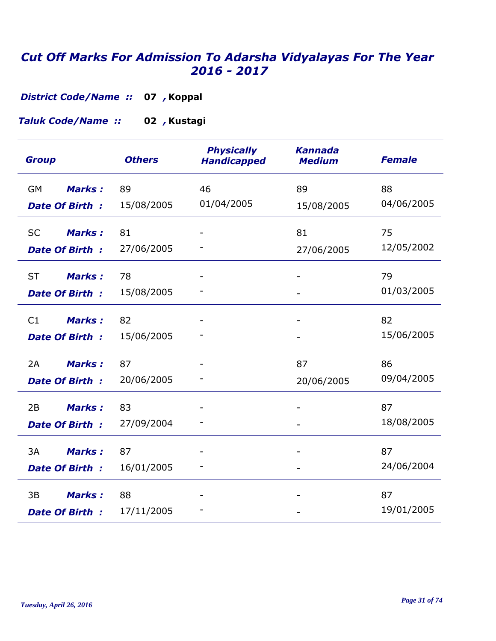*District Code/Name ::* 07 , Koppal

**Kustagi 02** *, Taluk Code/Name ::* 

| <b>Group</b>               | <b>Others</b> | <b>Physically</b><br><b>Handicapped</b> | <b>Kannada</b><br><b>Medium</b> | <b>Female</b> |
|----------------------------|---------------|-----------------------------------------|---------------------------------|---------------|
| <b>Marks:</b><br><b>GM</b> | 89            | 46                                      | 89                              | 88            |
| <b>Date Of Birth:</b>      | 15/08/2005    | 01/04/2005                              | 15/08/2005                      | 04/06/2005    |
| <b>Marks:</b><br><b>SC</b> | 81            |                                         | 81                              | 75            |
| <b>Date Of Birth:</b>      | 27/06/2005    |                                         | 27/06/2005                      | 12/05/2002    |
| <b>ST</b><br><b>Marks:</b> | 78            |                                         |                                 | 79            |
| <b>Date Of Birth:</b>      | 15/08/2005    |                                         |                                 | 01/03/2005    |
| <b>Marks:</b><br>C1        | 82            |                                         |                                 | 82            |
| <b>Date Of Birth:</b>      | 15/06/2005    |                                         |                                 | 15/06/2005    |
| <b>Marks:</b><br>2A        | 87            |                                         | 87                              | 86            |
| <b>Date Of Birth:</b>      | 20/06/2005    |                                         | 20/06/2005                      | 09/04/2005    |
| 2B<br><b>Marks:</b>        | 83            |                                         |                                 | 87            |
| <b>Date Of Birth:</b>      | 27/09/2004    |                                         |                                 | 18/08/2005    |
| 3A<br><b>Marks:</b>        | 87            |                                         |                                 | 87            |
| <b>Date Of Birth:</b>      | 16/01/2005    |                                         |                                 | 24/06/2004    |
| 3B<br><b>Marks:</b>        | 88            |                                         |                                 | 87            |
| <b>Date Of Birth:</b>      | 17/11/2005    |                                         |                                 | 19/01/2005    |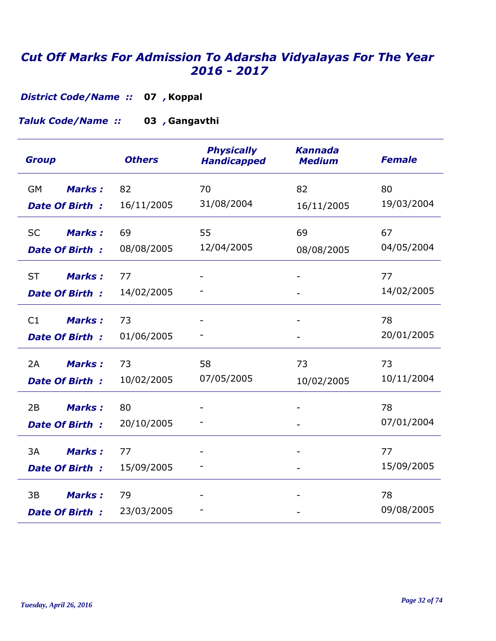*District Code/Name ::* 07 , Koppal

#### **Gangavthi 03** *, Taluk Code/Name ::*

| <b>Group</b>                    | <b>Others</b> | <b>Physically</b><br><b>Handicapped</b> | <b>Kannada</b><br><b>Medium</b> | <b>Female</b> |
|---------------------------------|---------------|-----------------------------------------|---------------------------------|---------------|
| <b>Marks:</b><br><b>GM</b>      | 82            | 70                                      | 82                              | 80            |
| <b>Date Of Birth:</b>           | 16/11/2005    | 31/08/2004                              | 16/11/2005                      | 19/03/2004    |
| <b>Marks:</b><br><b>SC</b>      | 69            | 55                                      | 69                              | 67            |
| <b>Date Of Birth:</b>           | 08/08/2005    | 12/04/2005                              | 08/08/2005                      | 04/05/2004    |
| <b>ST</b><br><b>Marks:</b>      | 77            |                                         |                                 | 77            |
| <b>Date Of Birth:</b>           | 14/02/2005    |                                         |                                 | 14/02/2005    |
| <b>Marks:</b><br>C <sub>1</sub> | 73            |                                         |                                 | 78            |
| <b>Date Of Birth:</b>           | 01/06/2005    |                                         |                                 | 20/01/2005    |
| 2A<br><b>Marks:</b>             | 73            | 58                                      | 73                              | 73            |
| <b>Date Of Birth:</b>           | 10/02/2005    | 07/05/2005                              | 10/02/2005                      | 10/11/2004    |
| 2B<br><b>Marks:</b>             | 80            |                                         |                                 | 78            |
| <b>Date Of Birth:</b>           | 20/10/2005    |                                         |                                 | 07/01/2004    |
| 3A<br><b>Marks:</b>             | 77            |                                         |                                 | 77            |
| <b>Date Of Birth:</b>           | 15/09/2005    |                                         |                                 | 15/09/2005    |
| <b>Marks:</b><br>3B             | 79            |                                         |                                 | 78            |
| <b>Date Of Birth:</b>           | 23/03/2005    |                                         |                                 | 09/08/2005    |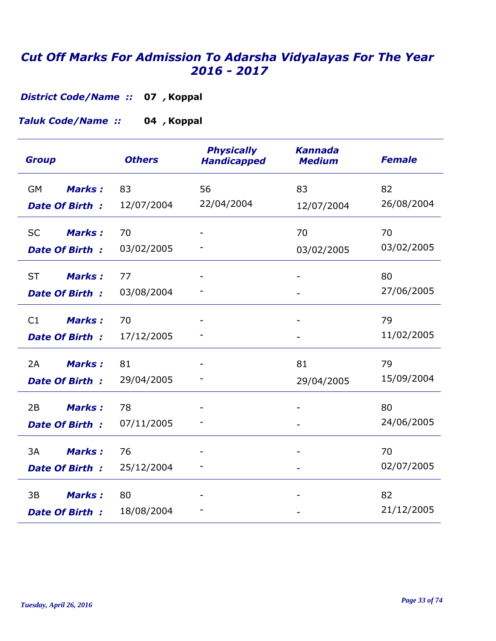*District Code/Name ::* 07 , Koppal

**Koppal 04** *, Taluk Code/Name ::* 

| <b>Group</b>                                        | <b>Others</b>    | <b>Physically</b><br><b>Handicapped</b> | <b>Kannada</b><br><b>Medium</b> | <b>Female</b>    |
|-----------------------------------------------------|------------------|-----------------------------------------|---------------------------------|------------------|
| Marks:<br><b>GM</b><br><b>Date Of Birth:</b>        | 83<br>12/07/2004 | 56<br>22/04/2004                        | 83<br>12/07/2004                | 82<br>26/08/2004 |
| <b>SC</b><br><b>Marks:</b><br><b>Date Of Birth:</b> | 70<br>03/02/2005 |                                         | 70<br>03/02/2005                | 70<br>03/02/2005 |
| <b>ST</b><br><b>Marks:</b><br><b>Date Of Birth:</b> | 77<br>03/08/2004 |                                         |                                 | 80<br>27/06/2005 |
| <b>Marks:</b><br>C1<br><b>Date Of Birth:</b>        | 70<br>17/12/2005 |                                         |                                 | 79<br>11/02/2005 |
| <b>Marks:</b><br>2A<br>Date Of Birth:               | 81<br>29/04/2005 |                                         | 81<br>29/04/2005                | 79<br>15/09/2004 |
| 2B<br><b>Marks:</b><br><b>Date Of Birth:</b>        | 78<br>07/11/2005 |                                         |                                 | 80<br>24/06/2005 |
| 3A<br><b>Marks:</b><br><b>Date Of Birth:</b>        | 76<br>25/12/2004 |                                         |                                 | 70<br>02/07/2005 |
| 3B<br><b>Marks:</b><br>Date Of Birth:               | 80<br>18/08/2004 |                                         |                                 | 82<br>21/12/2005 |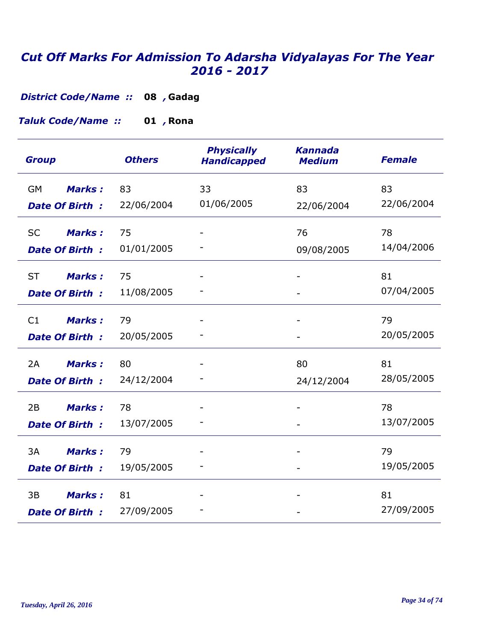**Gadag 08** *, District Code/Name ::* 

**Rona 01** *, Taluk Code/Name ::* 

| <b>Group</b>                                        | <b>Others</b>    | <b>Physically</b><br><b>Handicapped</b> | <b>Kannada</b><br><b>Medium</b> | <b>Female</b>    |
|-----------------------------------------------------|------------------|-----------------------------------------|---------------------------------|------------------|
| <b>GM</b><br><b>Marks:</b><br><b>Date Of Birth:</b> | 83<br>22/06/2004 | 33<br>01/06/2005                        | 83<br>22/06/2004                | 83<br>22/06/2004 |
| <b>SC</b><br><b>Marks:</b><br><b>Date Of Birth:</b> | 75<br>01/01/2005 |                                         | 76<br>09/08/2005                | 78<br>14/04/2006 |
| <b>ST</b><br><b>Marks:</b><br><b>Date Of Birth:</b> | 75<br>11/08/2005 |                                         |                                 | 81<br>07/04/2005 |
| <b>Marks:</b><br>C1<br>Date Of Birth:               | 79<br>20/05/2005 |                                         |                                 | 79<br>20/05/2005 |
| Marks:<br>2A<br><b>Date Of Birth:</b>               | 80<br>24/12/2004 |                                         | 80<br>24/12/2004                | 81<br>28/05/2005 |
| <b>Marks:</b><br>2B<br><b>Date Of Birth:</b>        | 78<br>13/07/2005 |                                         |                                 | 78<br>13/07/2005 |
| 3A<br><b>Marks:</b><br><b>Date Of Birth:</b>        | 79<br>19/05/2005 |                                         |                                 | 79<br>19/05/2005 |
| <b>Marks:</b><br>3B<br><b>Date Of Birth:</b>        | 81<br>27/09/2005 |                                         |                                 | 81<br>27/09/2005 |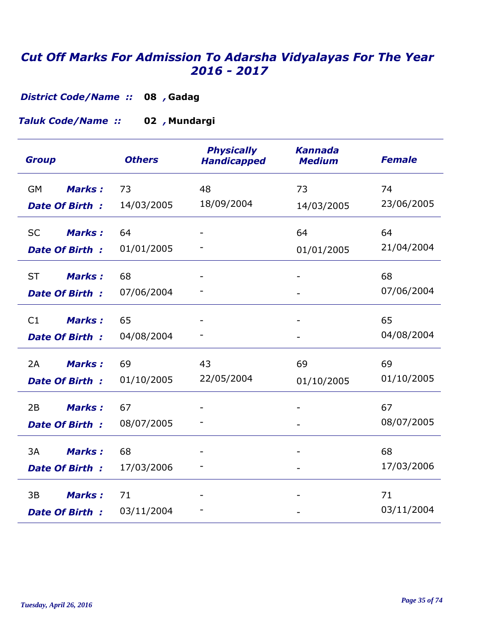**Gadag 08** *, District Code/Name ::* 

**Mundargi 02** *, Taluk Code/Name ::* 

| <b>Group</b>               | <b>Others</b>    | <b>Physically</b><br><b>Handicapped</b> | <b>Kannada</b><br><b>Medium</b> | <b>Female</b>    |
|----------------------------|------------------|-----------------------------------------|---------------------------------|------------------|
| <b>Marks:</b><br>GM        | 73<br>14/03/2005 | 48<br>18/09/2004                        | 73                              | 74<br>23/06/2005 |
| <b>Date Of Birth:</b>      |                  |                                         | 14/03/2005                      |                  |
| <b>Marks:</b><br><b>SC</b> | 64               |                                         | 64                              | 64               |
| Date Of Birth:             | 01/01/2005       |                                         | 01/01/2005                      | 21/04/2004       |
| <b>ST</b><br><b>Marks:</b> | 68               |                                         |                                 | 68               |
| <b>Date Of Birth:</b>      | 07/06/2004       |                                         |                                 | 07/06/2004       |
| <b>Marks:</b><br>C1        | 65               |                                         |                                 | 65               |
| Date Of Birth:             | 04/08/2004       |                                         |                                 | 04/08/2004       |
| <b>Marks:</b><br>2A        | 69               | 43                                      | 69                              | 69               |
| <b>Date Of Birth:</b>      | 01/10/2005       | 22/05/2004                              | 01/10/2005                      | 01/10/2005       |
| <b>Marks:</b><br>2B        | 67               |                                         |                                 | 67               |
| <b>Date Of Birth:</b>      | 08/07/2005       |                                         |                                 | 08/07/2005       |
| 3A<br><b>Marks:</b>        | 68               |                                         |                                 | 68               |
| Date Of Birth:             | 17/03/2006       |                                         |                                 | 17/03/2006       |
| 3B<br><b>Marks:</b>        | 71               |                                         |                                 | 71               |
| <b>Date Of Birth:</b>      | 03/11/2004       |                                         |                                 | 03/11/2004       |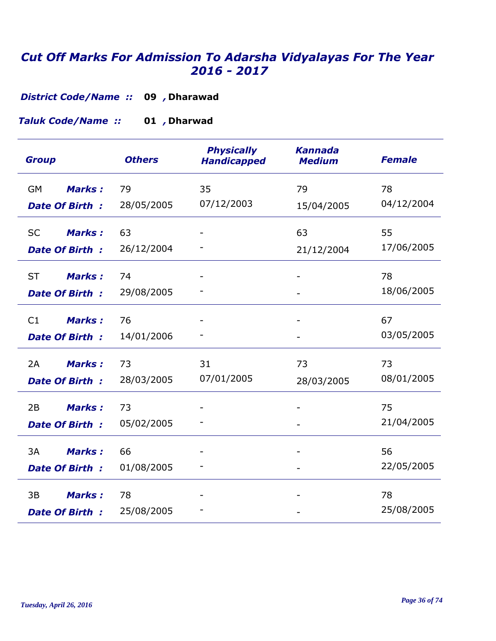*District Code/Name ::* 09 , Dharawad

**Dharwad 01** *, Taluk Code/Name ::* 

| <b>Group</b>               | <b>Others</b> | <b>Physically</b><br><b>Handicapped</b> | <b>Kannada</b><br><b>Medium</b> | <b>Female</b> |
|----------------------------|---------------|-----------------------------------------|---------------------------------|---------------|
| Marks:<br><b>GM</b>        | 79            | 35                                      | 79                              | 78            |
| <b>Date Of Birth:</b>      | 28/05/2005    | 07/12/2003                              | 15/04/2005                      | 04/12/2004    |
| <b>SC</b><br><b>Marks:</b> | 63            |                                         | 63                              | 55            |
| <b>Date Of Birth:</b>      | 26/12/2004    |                                         | 21/12/2004                      | 17/06/2005    |
| <b>ST</b><br><b>Marks:</b> | 74            |                                         |                                 | 78            |
| Date Of Birth:             | 29/08/2005    |                                         |                                 | 18/06/2005    |
| C1<br><b>Marks:</b>        | 76            |                                         |                                 | 67            |
| Date Of Birth:             | 14/01/2006    |                                         |                                 | 03/05/2005    |
| <b>Marks:</b><br>2A        | 73            | 31                                      | 73                              | 73            |
| <b>Date Of Birth:</b>      | 28/03/2005    | 07/01/2005                              | 28/03/2005                      | 08/01/2005    |
| <b>Marks:</b><br>2B        | 73            |                                         |                                 | 75            |
| <b>Date Of Birth:</b>      | 05/02/2005    |                                         |                                 | 21/04/2005    |
| 3A<br><b>Marks:</b>        | 66            |                                         |                                 | 56            |
| <b>Date Of Birth:</b>      | 01/08/2005    |                                         |                                 | 22/05/2005    |
| 3B<br><b>Marks:</b>        | 78            |                                         |                                 | 78            |
| <b>Date Of Birth:</b>      | 25/08/2005    |                                         |                                 | 25/08/2005    |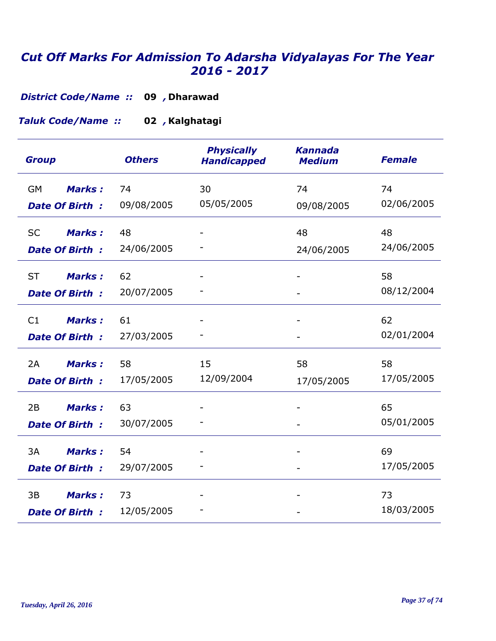*District Code/Name ::* 09 , Dharawad

**Kalghatagi 02** *, Taluk Code/Name ::* 

| <b>Group</b>               | <b>Others</b> | <b>Physically</b><br><b>Handicapped</b> | <b>Kannada</b><br><b>Medium</b> | <b>Female</b>    |
|----------------------------|---------------|-----------------------------------------|---------------------------------|------------------|
| Marks:<br><b>GM</b>        | 74            | 30<br>05/05/2005                        | 74                              | 74<br>02/06/2005 |
| <b>Date Of Birth:</b>      | 09/08/2005    |                                         | 09/08/2005                      |                  |
| <b>Marks:</b><br><b>SC</b> | 48            |                                         | 48                              | 48               |
| <b>Date Of Birth:</b>      | 24/06/2005    |                                         | 24/06/2005                      | 24/06/2005       |
| <b>ST</b><br><b>Marks:</b> | 62            |                                         |                                 | 58               |
| <b>Date Of Birth:</b>      | 20/07/2005    |                                         |                                 | 08/12/2004       |
| C1<br><b>Marks:</b>        | 61            |                                         |                                 | 62               |
| Date Of Birth:             | 27/03/2005    |                                         |                                 | 02/01/2004       |
| <b>Marks:</b><br>2A        | 58            | 15                                      | 58                              | 58               |
| <b>Date Of Birth:</b>      | 17/05/2005    | 12/09/2004                              | 17/05/2005                      | 17/05/2005       |
| <b>Marks:</b><br>2B        | 63            |                                         |                                 | 65               |
| <b>Date Of Birth:</b>      | 30/07/2005    |                                         |                                 | 05/01/2005       |
| 3A<br><b>Marks:</b>        | 54            |                                         |                                 | 69               |
| <b>Date Of Birth:</b>      | 29/07/2005    |                                         | $\blacksquare$                  | 17/05/2005       |
| 3B<br><b>Marks:</b>        | 73            |                                         |                                 | 73               |
| <b>Date Of Birth:</b>      | 12/05/2005    |                                         |                                 | 18/03/2005       |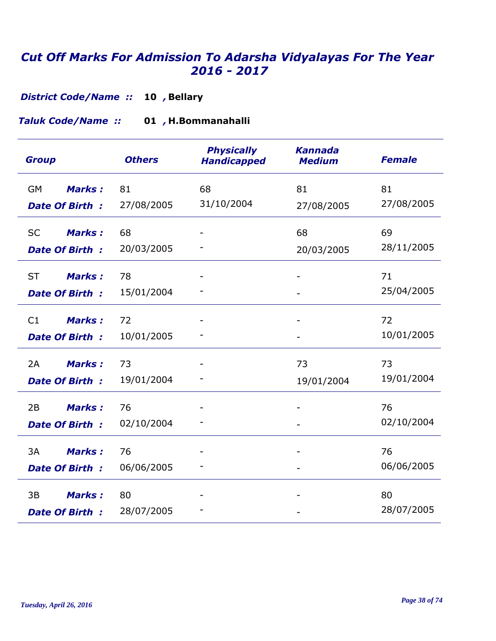**Bellary 10** *, District Code/Name ::* 

**H.Bommanahalli 01** *, Taluk Code/Name ::* 

| <b>Group</b>               | <b>Others</b> | <b>Physically</b><br><b>Handicapped</b> | <b>Kannada</b><br><b>Medium</b> | <b>Female</b> |
|----------------------------|---------------|-----------------------------------------|---------------------------------|---------------|
| <b>Marks:</b><br><b>GM</b> | 81            | 68                                      | 81                              | 81            |
| <b>Date Of Birth:</b>      | 27/08/2005    | 31/10/2004                              | 27/08/2005                      | 27/08/2005    |
| <b>SC</b><br><b>Marks:</b> | 68            |                                         | 68                              | 69            |
| <b>Date Of Birth:</b>      | 20/03/2005    |                                         | 20/03/2005                      | 28/11/2005    |
| <b>ST</b><br><b>Marks:</b> | 78            |                                         |                                 | 71            |
| <b>Date Of Birth:</b>      | 15/01/2004    |                                         |                                 | 25/04/2005    |
| <b>Marks:</b><br>C1        | 72            |                                         | $\overline{\phantom{a}}$        | 72            |
| <b>Date Of Birth:</b>      | 10/01/2005    |                                         |                                 | 10/01/2005    |
| <b>Marks:</b><br>2A        | 73            |                                         | 73                              | 73            |
| <b>Date Of Birth:</b>      | 19/01/2004    |                                         | 19/01/2004                      | 19/01/2004    |
| 2B<br><b>Marks:</b>        | 76            |                                         |                                 | 76            |
| <b>Date Of Birth:</b>      | 02/10/2004    |                                         |                                 | 02/10/2004    |
| 3A<br><b>Marks:</b>        | 76            |                                         |                                 | 76            |
| <b>Date Of Birth:</b>      | 06/06/2005    |                                         |                                 | 06/06/2005    |
| 3B<br><b>Marks:</b>        | 80            |                                         |                                 | 80            |
| <b>Date Of Birth:</b>      | 28/07/2005    |                                         |                                 | 28/07/2005    |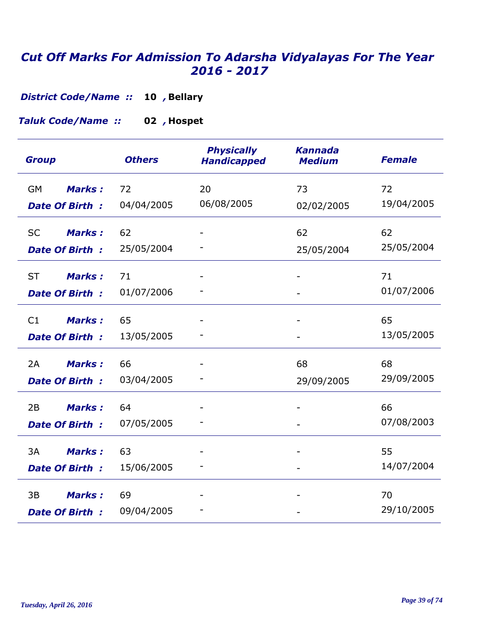**Bellary 10** *, District Code/Name ::* 

**Hospet 02** *, Taluk Code/Name ::* 

| <b>Group</b>                                        | <b>Others</b>    | <b>Physically</b><br><b>Handicapped</b> | <b>Kannada</b><br><b>Medium</b> | <b>Female</b>    |
|-----------------------------------------------------|------------------|-----------------------------------------|---------------------------------|------------------|
| <b>Marks:</b><br><b>GM</b><br><b>Date Of Birth:</b> | 72<br>04/04/2005 | 20<br>06/08/2005                        | 73<br>02/02/2005                | 72<br>19/04/2005 |
| <b>SC</b><br><b>Marks:</b><br><b>Date Of Birth:</b> | 62<br>25/05/2004 |                                         | 62<br>25/05/2004                | 62<br>25/05/2004 |
| <b>ST</b><br><b>Marks:</b><br><b>Date Of Birth:</b> | 71<br>01/07/2006 |                                         |                                 | 71<br>01/07/2006 |
| <b>Marks:</b><br>C1<br><b>Date Of Birth:</b>        | 65<br>13/05/2005 |                                         |                                 | 65<br>13/05/2005 |
| 2A<br><b>Marks:</b><br><b>Date Of Birth:</b>        | 66<br>03/04/2005 |                                         | 68<br>29/09/2005                | 68<br>29/09/2005 |
| <b>Marks:</b><br>2B<br><b>Date Of Birth:</b>        | 64<br>07/05/2005 |                                         | $\overline{\phantom{0}}$        | 66<br>07/08/2003 |
| 3A<br><b>Marks:</b><br><b>Date Of Birth:</b>        | 63<br>15/06/2005 |                                         |                                 | 55<br>14/07/2004 |
| <b>Marks:</b><br>3B<br>Date Of Birth:               | 69<br>09/04/2005 |                                         |                                 | 70<br>29/10/2005 |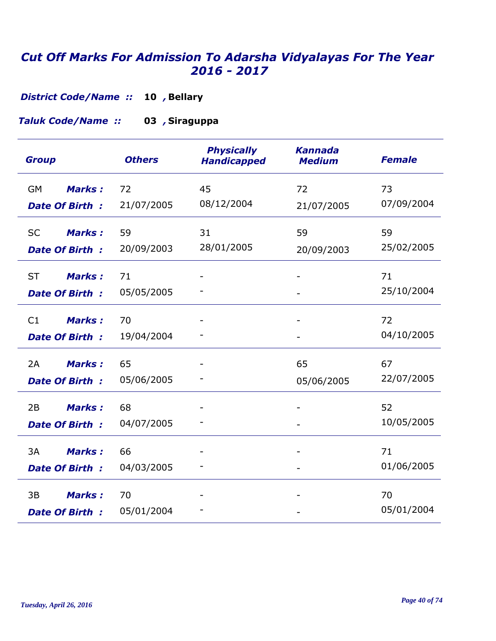**Bellary 10** *, District Code/Name ::* 

**Siraguppa 03** *, Taluk Code/Name ::* 

| <b>Group</b>               | <b>Others</b> | <b>Physically</b><br><b>Handicapped</b> | <b>Kannada</b><br><b>Medium</b> | <b>Female</b> |
|----------------------------|---------------|-----------------------------------------|---------------------------------|---------------|
| <b>Marks:</b><br>GM        | 72            | 45                                      | 72                              | 73            |
| <b>Date Of Birth:</b>      | 21/07/2005    | 08/12/2004                              | 21/07/2005                      | 07/09/2004    |
| <b>Marks:</b><br><b>SC</b> | 59            | 31                                      | 59                              | 59            |
| <b>Date Of Birth:</b>      | 20/09/2003    | 28/01/2005                              | 20/09/2003                      | 25/02/2005    |
| <b>ST</b><br><b>Marks:</b> | 71            |                                         |                                 | 71            |
| Date Of Birth:             | 05/05/2005    |                                         |                                 | 25/10/2004    |
| <b>Marks:</b><br>C1        | 70            |                                         |                                 | 72            |
| Date Of Birth:             | 19/04/2004    |                                         |                                 | 04/10/2005    |
| <b>Marks:</b><br>2A        | 65            |                                         | 65                              | 67            |
| <b>Date Of Birth:</b>      | 05/06/2005    |                                         | 05/06/2005                      | 22/07/2005    |
| 2B<br><b>Marks:</b>        | 68            |                                         |                                 | 52            |
| Date Of Birth:             | 04/07/2005    |                                         |                                 | 10/05/2005    |
| 3A<br><b>Marks:</b>        | 66            |                                         |                                 | 71            |
| Date Of Birth:             | 04/03/2005    |                                         |                                 | 01/06/2005    |
| 3B<br><b>Marks:</b>        | 70            |                                         |                                 | 70            |
| <b>Date Of Birth:</b>      | 05/01/2004    |                                         |                                 | 05/01/2004    |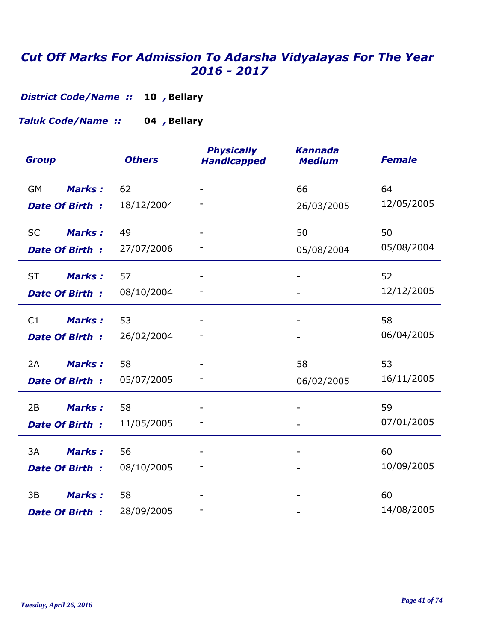**Bellary 10** *, District Code/Name ::* 

**Bellary 04** *, Taluk Code/Name ::* 

| <b>Group</b>               | <b>Others</b> | <b>Physically</b><br><b>Handicapped</b> | <b>Kannada</b><br><b>Medium</b> | <b>Female</b> |
|----------------------------|---------------|-----------------------------------------|---------------------------------|---------------|
| <b>Marks:</b><br><b>GM</b> | 62            |                                         | 66                              | 64            |
| <b>Date Of Birth:</b>      | 18/12/2004    |                                         | 26/03/2005                      | 12/05/2005    |
| Marks:<br><b>SC</b>        | 49            |                                         | 50                              | 50            |
| <b>Date Of Birth:</b>      | 27/07/2006    |                                         | 05/08/2004                      | 05/08/2004    |
| <b>ST</b><br><b>Marks:</b> | 57            |                                         |                                 | 52            |
| <b>Date Of Birth:</b>      | 08/10/2004    |                                         |                                 | 12/12/2005    |
| C1<br><b>Marks:</b>        | 53            |                                         |                                 | 58            |
| <b>Date Of Birth:</b>      | 26/02/2004    |                                         |                                 | 06/04/2005    |
| 2A<br><b>Marks:</b>        | 58            |                                         | 58                              | 53            |
| <b>Date Of Birth:</b>      | 05/07/2005    |                                         | 06/02/2005                      | 16/11/2005    |
| 2B<br><b>Marks:</b>        | 58            |                                         |                                 | 59            |
| <b>Date Of Birth:</b>      | 11/05/2005    |                                         |                                 | 07/01/2005    |
| 3A<br><b>Marks:</b>        | 56            |                                         |                                 | 60            |
| <b>Date Of Birth:</b>      | 08/10/2005    |                                         |                                 | 10/09/2005    |
| <b>Marks:</b><br>3B        | 58            |                                         |                                 | 60            |
| <b>Date Of Birth:</b>      | 28/09/2005    |                                         |                                 | 14/08/2005    |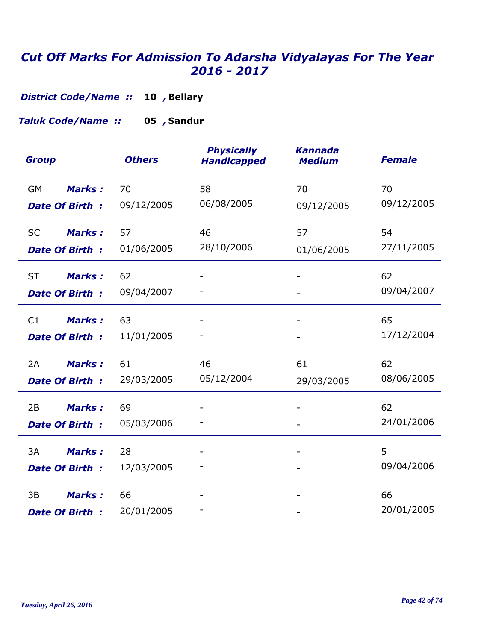**Bellary 10** *, District Code/Name ::* 

**Sandur 05** *, Taluk Code/Name ::* 

| <b>Group</b>               | <b>Others</b> | <b>Physically</b><br><b>Handicapped</b> | <b>Kannada</b><br><b>Medium</b> | <b>Female</b> |
|----------------------------|---------------|-----------------------------------------|---------------------------------|---------------|
| <b>GM</b><br><b>Marks:</b> | 70            | 58                                      | 70                              | 70            |
| <b>Date Of Birth:</b>      | 09/12/2005    | 06/08/2005                              | 09/12/2005                      | 09/12/2005    |
| <b>Marks:</b><br><b>SC</b> | 57            | 46                                      | 57                              | 54            |
| <b>Date Of Birth:</b>      | 01/06/2005    | 28/10/2006                              | 01/06/2005                      | 27/11/2005    |
| <b>ST</b><br><b>Marks:</b> | 62            |                                         |                                 | 62            |
| <b>Date Of Birth:</b>      | 09/04/2007    |                                         |                                 | 09/04/2007    |
| <b>Marks:</b><br>C1        | 63            |                                         |                                 | 65            |
| <b>Date Of Birth:</b>      | 11/01/2005    |                                         |                                 | 17/12/2004    |
| <b>Marks:</b><br>2A        | 61            | 46                                      | 61                              | 62            |
| <b>Date Of Birth:</b>      | 29/03/2005    | 05/12/2004                              | 29/03/2005                      | 08/06/2005    |
| 2B<br><b>Marks:</b>        | 69            |                                         |                                 | 62            |
| <b>Date Of Birth:</b>      | 05/03/2006    |                                         |                                 | 24/01/2006    |
| 3A<br><b>Marks:</b>        | 28            |                                         |                                 | 5             |
| <b>Date Of Birth:</b>      | 12/03/2005    |                                         |                                 | 09/04/2006    |
| <b>Marks:</b><br>3B        | 66            |                                         |                                 | 66            |
| <b>Date Of Birth:</b>      | 20/01/2005    |                                         |                                 | 20/01/2005    |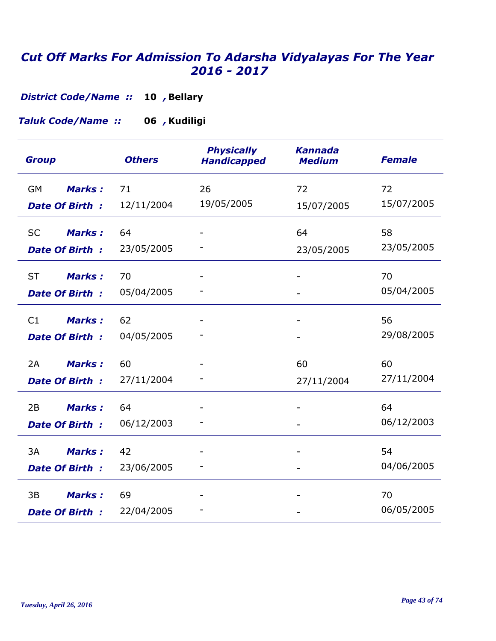**Bellary 10** *, District Code/Name ::* 

**Kudiligi 06** *, Taluk Code/Name ::* 

| <b>Group</b>                                        | <b>Others</b>    | <b>Physically</b><br><b>Handicapped</b> | <b>Kannada</b><br><b>Medium</b> | <b>Female</b>    |
|-----------------------------------------------------|------------------|-----------------------------------------|---------------------------------|------------------|
| <b>Marks:</b><br>GM<br><b>Date Of Birth:</b>        | 71<br>12/11/2004 | 26<br>19/05/2005                        | 72<br>15/07/2005                | 72<br>15/07/2005 |
| <b>SC</b><br><b>Marks:</b><br><b>Date Of Birth:</b> | 64<br>23/05/2005 |                                         | 64<br>23/05/2005                | 58<br>23/05/2005 |
| <b>ST</b><br><b>Marks:</b><br><b>Date Of Birth:</b> | 70<br>05/04/2005 |                                         |                                 | 70<br>05/04/2005 |
| C1<br><b>Marks:</b><br><b>Date Of Birth:</b>        | 62<br>04/05/2005 |                                         |                                 | 56<br>29/08/2005 |
| <b>Marks:</b><br>2A<br><b>Date Of Birth:</b>        | 60<br>27/11/2004 |                                         | 60<br>27/11/2004                | 60<br>27/11/2004 |
| 2B<br><b>Marks:</b><br><b>Date Of Birth:</b>        | 64<br>06/12/2003 |                                         |                                 | 64<br>06/12/2003 |
| 3A<br><b>Marks:</b><br><b>Date Of Birth:</b>        | 42<br>23/06/2005 |                                         |                                 | 54<br>04/06/2005 |
| 3B<br><b>Marks:</b><br>Date Of Birth:               | 69<br>22/04/2005 |                                         |                                 | 70<br>06/05/2005 |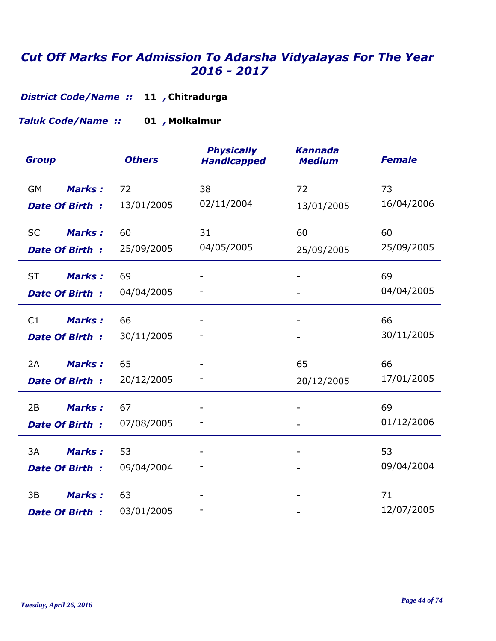**Chitradurga 11** *, District Code/Name ::* 

**Molkalmur 01** *, Taluk Code/Name ::* 

| <b>Group</b>               | <b>Others</b> | <b>Physically</b><br><b>Handicapped</b> | <b>Kannada</b><br><b>Medium</b> | <b>Female</b> |
|----------------------------|---------------|-----------------------------------------|---------------------------------|---------------|
| <b>Marks:</b><br><b>GM</b> | 72            | 38                                      | 72                              | 73            |
| <b>Date Of Birth:</b>      | 13/01/2005    | 02/11/2004                              | 13/01/2005                      | 16/04/2006    |
| <b>Marks:</b><br><b>SC</b> | 60            | 31                                      | 60                              | 60            |
| <b>Date Of Birth:</b>      | 25/09/2005    | 04/05/2005                              | 25/09/2005                      | 25/09/2005    |
| <b>ST</b><br><b>Marks:</b> | 69            |                                         |                                 | 69            |
| <b>Date Of Birth:</b>      | 04/04/2005    |                                         |                                 | 04/04/2005    |
| C1<br><b>Marks:</b>        | 66            |                                         |                                 | 66            |
| <b>Date Of Birth:</b>      | 30/11/2005    |                                         |                                 | 30/11/2005    |
| 2A<br><b>Marks:</b>        | 65            |                                         | 65                              | 66            |
| <b>Date Of Birth:</b>      | 20/12/2005    |                                         | 20/12/2005                      | 17/01/2005    |
| 2B<br><b>Marks:</b>        | 67            |                                         |                                 | 69            |
| <b>Date Of Birth:</b>      | 07/08/2005    |                                         |                                 | 01/12/2006    |
| 3A<br><b>Marks:</b>        | 53            |                                         |                                 | 53            |
| <b>Date Of Birth:</b>      | 09/04/2004    |                                         | $\overline{\phantom{0}}$        | 09/04/2004    |
| <b>Marks:</b><br>3B        | 63            |                                         |                                 | 71            |
| <b>Date Of Birth:</b>      | 03/01/2005    |                                         |                                 | 12/07/2005    |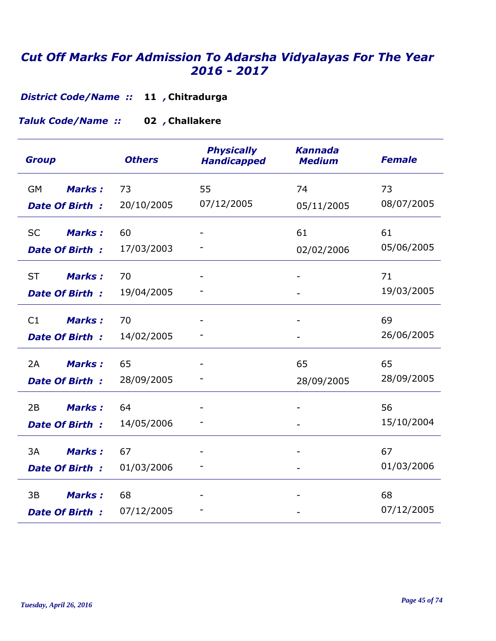**Chitradurga 11** *, District Code/Name ::* 

**Challakere 02** *, Taluk Code/Name ::* 

| <b>Group</b>               | <b>Others</b> | <b>Physically</b><br><b>Handicapped</b> | <b>Kannada</b><br><b>Medium</b> | <b>Female</b> |
|----------------------------|---------------|-----------------------------------------|---------------------------------|---------------|
| <b>Marks:</b><br><b>GM</b> | 73            | 55                                      | 74                              | 73            |
| <b>Date Of Birth:</b>      | 20/10/2005    | 07/12/2005                              | 05/11/2005                      | 08/07/2005    |
| <b>Marks:</b><br><b>SC</b> | 60            |                                         | 61                              | 61            |
| <b>Date Of Birth:</b>      | 17/03/2003    |                                         | 02/02/2006                      | 05/06/2005    |
| <b>ST</b><br><b>Marks:</b> | 70            |                                         |                                 | 71            |
| <b>Date Of Birth:</b>      | 19/04/2005    |                                         |                                 | 19/03/2005    |
| C1<br><b>Marks:</b>        | 70            |                                         |                                 | 69            |
| <b>Date Of Birth:</b>      | 14/02/2005    |                                         |                                 | 26/06/2005    |
| 2A<br><b>Marks:</b>        | 65            |                                         | 65                              | 65            |
| <b>Date Of Birth:</b>      | 28/09/2005    |                                         | 28/09/2005                      | 28/09/2005    |
| 2B<br><b>Marks:</b>        | 64            |                                         |                                 | 56            |
| <b>Date Of Birth:</b>      | 14/05/2006    |                                         |                                 | 15/10/2004    |
| 3A<br><b>Marks:</b>        | 67            |                                         |                                 | 67            |
| <b>Date Of Birth:</b>      | 01/03/2006    |                                         |                                 | 01/03/2006    |
| <b>Marks:</b><br>3B        | 68            |                                         |                                 | 68            |
| <b>Date Of Birth:</b>      | 07/12/2005    |                                         |                                 | 07/12/2005    |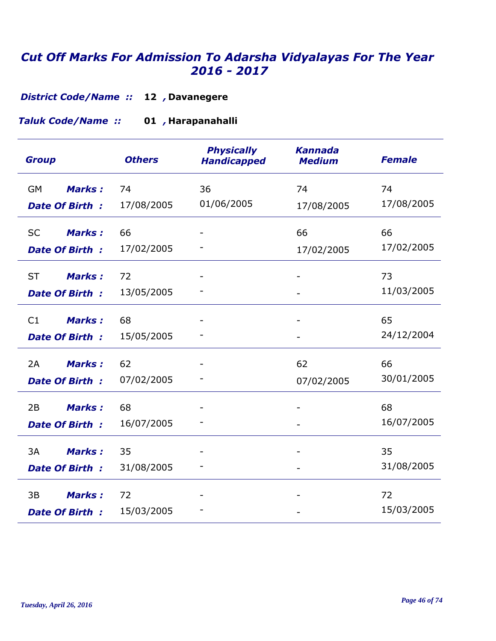**District Code/Name :: 12, Davanegere** 

**Harapanahalli 01** *, Taluk Code/Name ::* 

| <b>Group</b>               | <b>Others</b> | <b>Physically</b><br><b>Handicapped</b> | <b>Kannada</b><br><b>Medium</b> | <b>Female</b> |
|----------------------------|---------------|-----------------------------------------|---------------------------------|---------------|
| <b>Marks:</b><br>GM        | 74            | 36                                      | 74                              | 74            |
| <b>Date Of Birth:</b>      | 17/08/2005    | 01/06/2005                              | 17/08/2005                      | 17/08/2005    |
| <b>Marks:</b><br><b>SC</b> | 66            |                                         | 66                              | 66            |
| <b>Date Of Birth:</b>      | 17/02/2005    |                                         | 17/02/2005                      | 17/02/2005    |
| <b>ST</b><br><b>Marks:</b> | 72            |                                         |                                 | 73            |
| <b>Date Of Birth:</b>      | 13/05/2005    |                                         |                                 | 11/03/2005    |
| <b>Marks:</b><br>C1        | 68            |                                         |                                 | 65            |
| <b>Date Of Birth:</b>      | 15/05/2005    |                                         |                                 | 24/12/2004    |
| 2A<br><b>Marks:</b>        | 62            |                                         | 62                              | 66            |
| <b>Date Of Birth:</b>      | 07/02/2005    |                                         | 07/02/2005                      | 30/01/2005    |
| 2B<br><b>Marks:</b>        | 68            |                                         |                                 | 68            |
| <b>Date Of Birth:</b>      | 16/07/2005    |                                         |                                 | 16/07/2005    |
| 3A<br><b>Marks:</b>        | 35            |                                         |                                 | 35            |
| <b>Date Of Birth:</b>      | 31/08/2005    |                                         |                                 | 31/08/2005    |
| 3B<br><b>Marks:</b>        | 72            |                                         |                                 | 72            |
| <b>Date Of Birth:</b>      | 15/03/2005    |                                         |                                 | 15/03/2005    |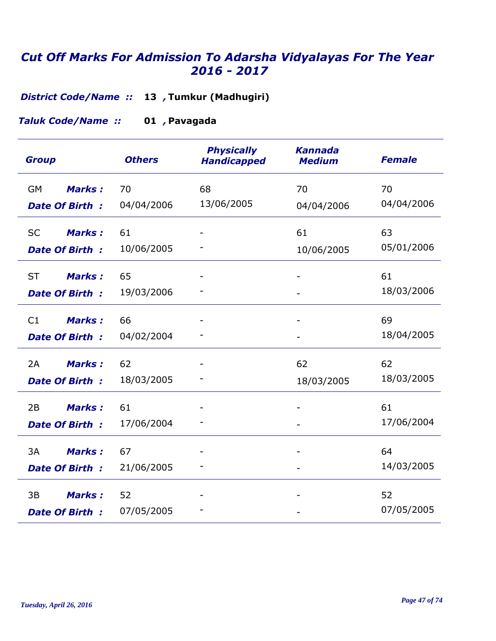**Tumkur (Madhugiri) 13** *, District Code/Name ::* 

**Pavagada 01** *, Taluk Code/Name ::* 

| <b>Group</b>               | <b>Others</b> | <b>Physically</b><br><b>Handicapped</b> | <b>Kannada</b><br><b>Medium</b> | <b>Female</b> |
|----------------------------|---------------|-----------------------------------------|---------------------------------|---------------|
| Marks:<br><b>GM</b>        | 70            | 68                                      | 70                              | 70            |
| <b>Date Of Birth:</b>      | 04/04/2006    | 13/06/2005                              | 04/04/2006                      | 04/04/2006    |
| <b>SC</b><br><b>Marks:</b> | 61            |                                         | 61                              | 63            |
| <b>Date Of Birth:</b>      | 10/06/2005    |                                         | 10/06/2005                      | 05/01/2006    |
| <b>ST</b><br><b>Marks:</b> | 65            |                                         |                                 | 61            |
| <b>Date Of Birth:</b>      | 19/03/2006    |                                         |                                 | 18/03/2006    |
| C1<br><b>Marks:</b>        | 66            |                                         |                                 | 69            |
| <b>Date Of Birth:</b>      | 04/02/2004    |                                         |                                 | 18/04/2005    |
| 2A<br><b>Marks:</b>        | 62            |                                         | 62                              | 62            |
| <b>Date Of Birth:</b>      | 18/03/2005    |                                         | 18/03/2005                      | 18/03/2005    |
| 2B<br><b>Marks:</b>        | 61            |                                         |                                 | 61            |
| <b>Date Of Birth:</b>      | 17/06/2004    |                                         |                                 | 17/06/2004    |
| 3A<br><b>Marks:</b>        | 67            |                                         |                                 | 64            |
| <b>Date Of Birth:</b>      | 21/06/2005    |                                         |                                 | 14/03/2005    |
| 3B<br><b>Marks:</b>        | 52            |                                         |                                 | 52            |
| <b>Date Of Birth:</b>      | 07/05/2005    |                                         |                                 | 07/05/2005    |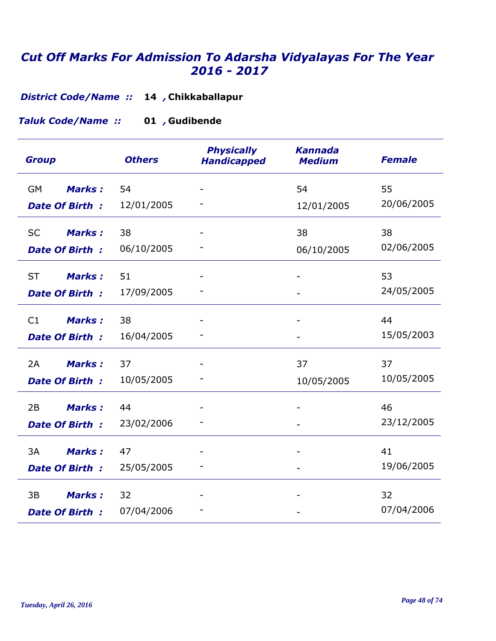**Chikkaballapur 14** *, District Code/Name ::* 

**Gudibende 01** *, Taluk Code/Name ::* 

| <b>Group</b>               | <b>Others</b> | <b>Physically</b><br><b>Handicapped</b> | <b>Kannada</b><br><b>Medium</b> | <b>Female</b> |
|----------------------------|---------------|-----------------------------------------|---------------------------------|---------------|
| Marks:<br><b>GM</b>        | 54            |                                         | 54                              | 55            |
| <b>Date Of Birth:</b>      | 12/01/2005    |                                         | 12/01/2005                      | 20/06/2005    |
| <b>SC</b><br><b>Marks:</b> | 38            |                                         | 38                              | 38            |
| <b>Date Of Birth:</b>      | 06/10/2005    |                                         | 06/10/2005                      | 02/06/2005    |
| <b>ST</b><br><b>Marks:</b> | 51            |                                         |                                 | 53            |
| <b>Date Of Birth:</b>      | 17/09/2005    |                                         |                                 | 24/05/2005    |
| C1<br><b>Marks:</b>        | 38            |                                         |                                 | 44            |
| Date Of Birth:             | 16/04/2005    |                                         |                                 | 15/05/2003    |
| 2A<br><b>Marks:</b>        | 37            |                                         | 37                              | 37            |
| <b>Date Of Birth:</b>      | 10/05/2005    |                                         | 10/05/2005                      | 10/05/2005    |
| 2B<br><b>Marks:</b>        | 44            |                                         |                                 | 46            |
| <b>Date Of Birth:</b>      | 23/02/2006    |                                         |                                 | 23/12/2005    |
| 3A<br><b>Marks:</b>        | 47            |                                         |                                 | 41            |
| <b>Date Of Birth:</b>      | 25/05/2005    |                                         |                                 | 19/06/2005    |
| 3B<br><b>Marks:</b>        | 32            |                                         |                                 | 32            |
| <b>Date Of Birth:</b>      | 07/04/2006    |                                         |                                 | 07/04/2006    |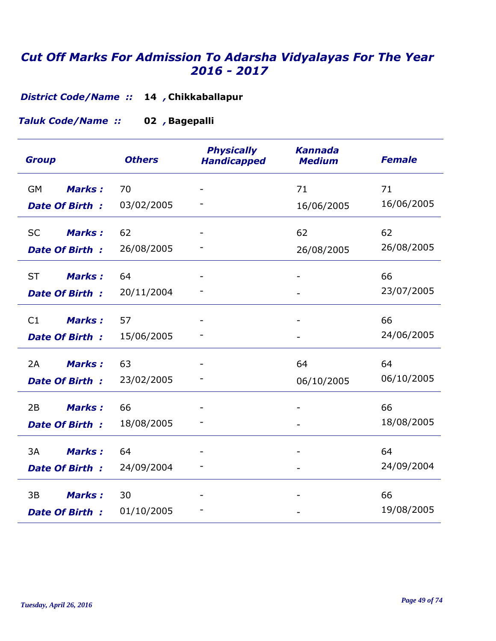**Chikkaballapur 14** *, District Code/Name ::* 

**Bagepalli 02** *, Taluk Code/Name ::* 

| <b>Group</b>               | <b>Others</b> | <b>Physically</b><br><b>Handicapped</b> | <b>Kannada</b><br><b>Medium</b> | <b>Female</b> |
|----------------------------|---------------|-----------------------------------------|---------------------------------|---------------|
| <b>GM</b><br><b>Marks:</b> | 70            |                                         | 71                              | 71            |
| <b>Date Of Birth:</b>      | 03/02/2005    |                                         | 16/06/2005                      | 16/06/2005    |
| <b>SC</b><br><b>Marks:</b> | 62            |                                         | 62                              | 62            |
| <b>Date Of Birth:</b>      | 26/08/2005    |                                         | 26/08/2005                      | 26/08/2005    |
| <b>ST</b><br><b>Marks:</b> | 64            |                                         |                                 | 66            |
| <b>Date Of Birth:</b>      | 20/11/2004    |                                         |                                 | 23/07/2005    |
| <b>Marks:</b><br>C1        | 57            |                                         |                                 | 66            |
| Date Of Birth:             | 15/06/2005    |                                         |                                 | 24/06/2005    |
| 2A<br><b>Marks:</b>        | 63            |                                         | 64                              | 64            |
| <b>Date Of Birth:</b>      | 23/02/2005    |                                         | 06/10/2005                      | 06/10/2005    |
| <b>Marks:</b><br>2B        | 66            |                                         |                                 | 66            |
| <b>Date Of Birth:</b>      | 18/08/2005    |                                         |                                 | 18/08/2005    |
| 3A<br><b>Marks:</b>        | 64            |                                         |                                 | 64            |
| <b>Date Of Birth:</b>      | 24/09/2004    |                                         |                                 | 24/09/2004    |
| 3B<br><b>Marks:</b>        | 30            |                                         |                                 | 66            |
| <b>Date Of Birth:</b>      | 01/10/2005    |                                         |                                 | 19/08/2005    |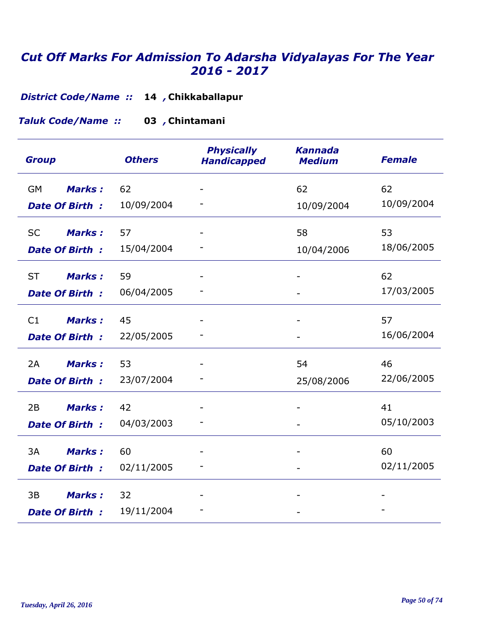**Chikkaballapur 14** *, District Code/Name ::* 

**Chintamani 03** *, Taluk Code/Name ::* 

| <b>Group</b>               | <b>Others</b> | <b>Physically</b><br><b>Handicapped</b> | <b>Kannada</b><br><b>Medium</b> | <b>Female</b> |
|----------------------------|---------------|-----------------------------------------|---------------------------------|---------------|
| Marks:<br><b>GM</b>        | 62            |                                         | 62                              | 62            |
| <b>Date Of Birth:</b>      | 10/09/2004    |                                         | 10/09/2004                      | 10/09/2004    |
| <b>SC</b><br><b>Marks:</b> | 57            |                                         | 58                              | 53            |
| Date Of Birth:             | 15/04/2004    |                                         | 10/04/2006                      | 18/06/2005    |
| <b>ST</b><br><b>Marks:</b> | 59            |                                         |                                 | 62            |
| <b>Date Of Birth:</b>      | 06/04/2005    |                                         |                                 | 17/03/2005    |
| C1<br><b>Marks:</b>        | 45            |                                         |                                 | 57            |
| Date Of Birth:             | 22/05/2005    |                                         |                                 | 16/06/2004    |
| <b>Marks:</b><br>2A        | 53            |                                         | 54                              | 46            |
| <b>Date Of Birth:</b>      | 23/07/2004    |                                         | 25/08/2006                      | 22/06/2005    |
| <b>Marks:</b><br>2B        | 42            |                                         |                                 | 41            |
| <b>Date Of Birth:</b>      | 04/03/2003    |                                         |                                 | 05/10/2003    |
| 3A<br><b>Marks:</b>        | 60            |                                         |                                 | 60            |
| <b>Date Of Birth:</b>      | 02/11/2005    |                                         |                                 | 02/11/2005    |
| 3B<br><b>Marks:</b>        | 32            |                                         |                                 |               |
| <b>Date Of Birth:</b>      | 19/11/2004    |                                         |                                 |               |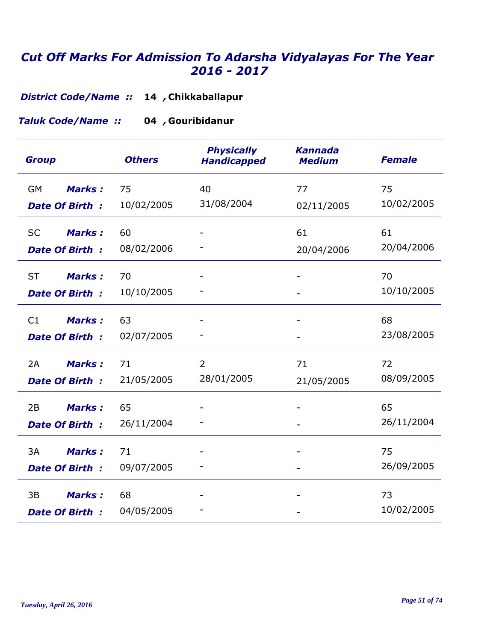**Chikkaballapur 14** *, District Code/Name ::* 

**Gouribidanur 04** *, Taluk Code/Name ::* 

| <b>Group</b>                                        | <b>Others</b>    | <b>Physically</b><br><b>Handicapped</b> | <b>Kannada</b><br><b>Medium</b> | <b>Female</b>    |
|-----------------------------------------------------|------------------|-----------------------------------------|---------------------------------|------------------|
| <b>Marks:</b><br><b>GM</b><br><b>Date Of Birth:</b> | 75<br>10/02/2005 | 40<br>31/08/2004                        | 77<br>02/11/2005                | 75<br>10/02/2005 |
| <b>SC</b><br><b>Marks:</b>                          | 60               |                                         | 61                              | 61               |
| <b>Date Of Birth:</b>                               | 08/02/2006       |                                         | 20/04/2006                      | 20/04/2006       |
| <b>ST</b><br><b>Marks:</b><br>Date Of Birth:        | 70<br>10/10/2005 |                                         |                                 | 70<br>10/10/2005 |
| <b>Marks:</b><br>C1<br><b>Date Of Birth:</b>        | 63<br>02/07/2005 |                                         |                                 | 68<br>23/08/2005 |
| <b>Marks:</b><br>2A<br><b>Date Of Birth:</b>        | 71<br>21/05/2005 | 2<br>28/01/2005                         | 71<br>21/05/2005                | 72<br>08/09/2005 |
| 2B<br><b>Marks:</b><br><b>Date Of Birth:</b>        | 65<br>26/11/2004 |                                         |                                 | 65<br>26/11/2004 |
| 3A<br><b>Marks:</b><br><b>Date Of Birth:</b>        | 71<br>09/07/2005 |                                         |                                 | 75<br>26/09/2005 |
| <b>Marks:</b><br>3B<br><b>Date Of Birth:</b>        | 68<br>04/05/2005 |                                         |                                 | 73<br>10/02/2005 |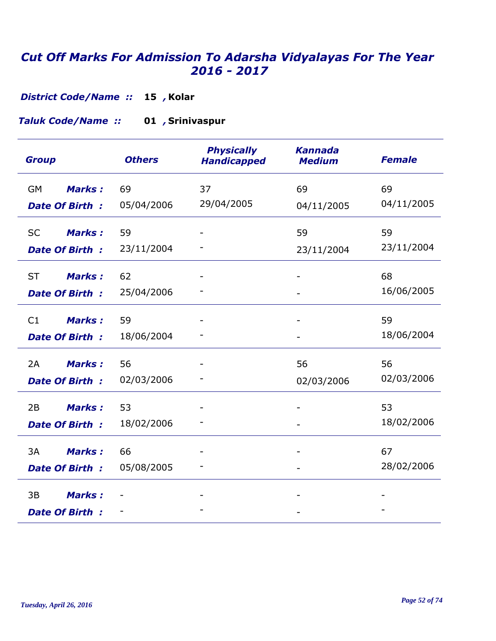**Kolar 15** *, District Code/Name ::* 

#### **Srinivaspur 01** *, Taluk Code/Name ::*

| <b>Group</b>               | <b>Others</b> | <b>Physically</b><br><b>Handicapped</b> | <b>Kannada</b><br><b>Medium</b> | <b>Female</b> |
|----------------------------|---------------|-----------------------------------------|---------------------------------|---------------|
| <b>Marks:</b><br><b>GM</b> | 69            | 37                                      | 69                              | 69            |
| <b>Date Of Birth:</b>      | 05/04/2006    | 29/04/2005                              | 04/11/2005                      | 04/11/2005    |
| <b>SC</b><br><b>Marks:</b> | 59            |                                         | 59                              | 59            |
| <b>Date Of Birth:</b>      | 23/11/2004    |                                         | 23/11/2004                      | 23/11/2004    |
| <b>ST</b><br><b>Marks:</b> | 62            |                                         |                                 | 68            |
| <b>Date Of Birth:</b>      | 25/04/2006    |                                         |                                 | 16/06/2005    |
| C1<br><b>Marks:</b>        | 59            |                                         |                                 | 59            |
| Date Of Birth:             | 18/06/2004    |                                         |                                 | 18/06/2004    |
| <b>Marks:</b><br>2A        | 56            |                                         | 56                              | 56            |
| <b>Date Of Birth:</b>      | 02/03/2006    |                                         | 02/03/2006                      | 02/03/2006    |
| 2B<br><b>Marks:</b>        | 53            |                                         |                                 | 53            |
| <b>Date Of Birth:</b>      | 18/02/2006    |                                         |                                 | 18/02/2006    |
| 3A<br><b>Marks:</b>        | 66            |                                         |                                 | 67            |
| <b>Date Of Birth:</b>      | 05/08/2005    |                                         |                                 | 28/02/2006    |
| 3B<br><b>Marks:</b>        |               |                                         |                                 |               |
| <b>Date Of Birth:</b>      |               |                                         |                                 |               |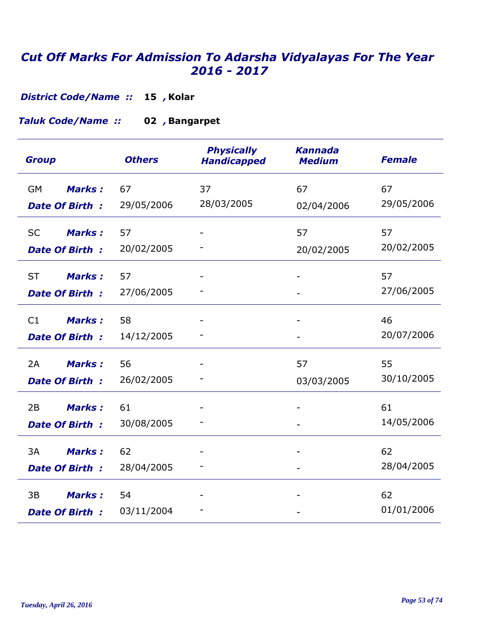**Kolar 15** *, District Code/Name ::* 

#### **Bangarpet 02** *, Taluk Code/Name ::*

| <b>Group</b>               | <b>Others</b> | <b>Physically</b><br><b>Handicapped</b> | <b>Kannada</b><br><b>Medium</b> | <b>Female</b> |
|----------------------------|---------------|-----------------------------------------|---------------------------------|---------------|
| <b>Marks:</b><br><b>GM</b> | 67            | 37                                      | 67                              | 67            |
| <b>Date Of Birth:</b>      | 29/05/2006    | 28/03/2005                              | 02/04/2006                      | 29/05/2006    |
| <b>SC</b><br><b>Marks:</b> | 57            |                                         | 57                              | 57            |
| <b>Date Of Birth:</b>      | 20/02/2005    |                                         | 20/02/2005                      | 20/02/2005    |
| <b>ST</b><br><b>Marks:</b> | 57            |                                         |                                 | 57            |
| <b>Date Of Birth:</b>      | 27/06/2005    |                                         |                                 | 27/06/2005    |
| C1<br><b>Marks:</b>        | 58            |                                         |                                 | 46            |
| <b>Date Of Birth:</b>      | 14/12/2005    |                                         |                                 | 20/07/2006    |
| <b>Marks:</b><br>2A        | 56            |                                         | 57                              | 55            |
| <b>Date Of Birth:</b>      | 26/02/2005    |                                         | 03/03/2005                      | 30/10/2005    |
| 2B<br><b>Marks:</b>        | 61            |                                         |                                 | 61            |
| <b>Date Of Birth:</b>      | 30/08/2005    |                                         |                                 | 14/05/2006    |
| 3A<br><b>Marks:</b>        | 62            |                                         |                                 | 62            |
| <b>Date Of Birth:</b>      | 28/04/2005    |                                         |                                 | 28/04/2005    |
| 3B<br><b>Marks:</b>        | 54            |                                         |                                 | 62            |
| <b>Date Of Birth:</b>      | 03/11/2004    |                                         |                                 | 01/01/2006    |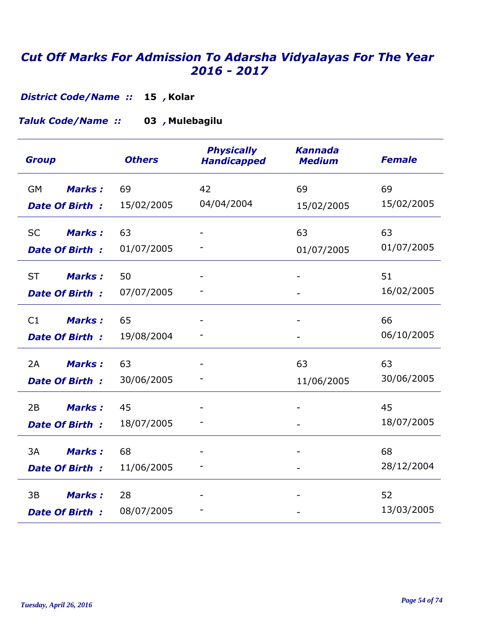**Kolar 15** *, District Code/Name ::* 

#### **Mulebagilu 03** *, Taluk Code/Name ::*

| <b>Group</b>               | <b>Others</b> | <b>Physically</b><br><b>Handicapped</b> | <b>Kannada</b><br><b>Medium</b> | <b>Female</b> |
|----------------------------|---------------|-----------------------------------------|---------------------------------|---------------|
| <b>GM</b><br><b>Marks:</b> | 69            | 42                                      | 69                              | 69            |
| <b>Date Of Birth:</b>      | 15/02/2005    | 04/04/2004                              | 15/02/2005                      | 15/02/2005    |
| <b>SC</b><br><b>Marks:</b> | 63            |                                         | 63                              | 63            |
| <b>Date Of Birth:</b>      | 01/07/2005    |                                         | 01/07/2005                      | 01/07/2005    |
| <b>ST</b><br><b>Marks:</b> | 50            |                                         |                                 | 51            |
| <b>Date Of Birth:</b>      | 07/07/2005    |                                         |                                 | 16/02/2005    |
| <b>Marks:</b><br>C1        | 65            |                                         |                                 | 66            |
| <b>Date Of Birth:</b>      | 19/08/2004    |                                         |                                 | 06/10/2005    |
| <b>Marks:</b><br>2A        | 63            |                                         | 63                              | 63            |
| <b>Date Of Birth:</b>      | 30/06/2005    |                                         | 11/06/2005                      | 30/06/2005    |
| 2B<br><b>Marks:</b>        | 45            |                                         |                                 | 45            |
| <b>Date Of Birth:</b>      | 18/07/2005    |                                         |                                 | 18/07/2005    |
| 3A<br><b>Marks:</b>        | 68            |                                         |                                 | 68            |
| <b>Date Of Birth:</b>      | 11/06/2005    |                                         |                                 | 28/12/2004    |
| 3B<br><b>Marks:</b>        | 28            |                                         |                                 | 52            |
| <b>Date Of Birth:</b>      | 08/07/2005    |                                         |                                 | 13/03/2005    |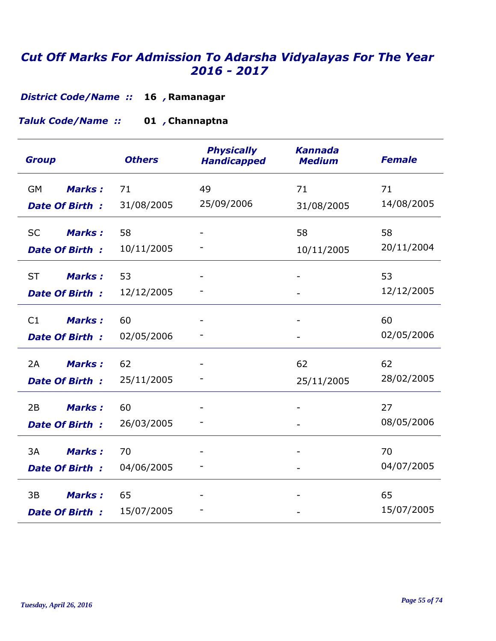**Ramanagar 16** *, District Code/Name ::* 

#### **Channaptna 01** *, Taluk Code/Name ::*

| <b>Group</b>                                        | <b>Others</b>    | <b>Physically</b><br><b>Handicapped</b> | <b>Kannada</b><br><b>Medium</b> | <b>Female</b>    |
|-----------------------------------------------------|------------------|-----------------------------------------|---------------------------------|------------------|
| <b>Marks:</b><br>GM<br><b>Date Of Birth:</b>        | 71<br>31/08/2005 | 49<br>25/09/2006                        | 71<br>31/08/2005                | 71<br>14/08/2005 |
| <b>Marks:</b><br><b>SC</b><br><b>Date Of Birth:</b> | 58<br>10/11/2005 |                                         | 58<br>10/11/2005                | 58<br>20/11/2004 |
| <b>ST</b><br><b>Marks:</b><br><b>Date Of Birth:</b> | 53<br>12/12/2005 |                                         |                                 | 53<br>12/12/2005 |
| C1<br><b>Marks:</b><br>Date Of Birth:               | 60<br>02/05/2006 |                                         |                                 | 60<br>02/05/2006 |
| <b>Marks:</b><br>2A<br><b>Date Of Birth:</b>        | 62<br>25/11/2005 |                                         | 62<br>25/11/2005                | 62<br>28/02/2005 |
| <b>Marks:</b><br>2B<br><b>Date Of Birth:</b>        | 60<br>26/03/2005 |                                         |                                 | 27<br>08/05/2006 |
| 3A<br><b>Marks:</b><br><b>Date Of Birth:</b>        | 70<br>04/06/2005 |                                         |                                 | 70<br>04/07/2005 |
| 3B<br><b>Marks:</b><br><b>Date Of Birth:</b>        | 65<br>15/07/2005 |                                         |                                 | 65<br>15/07/2005 |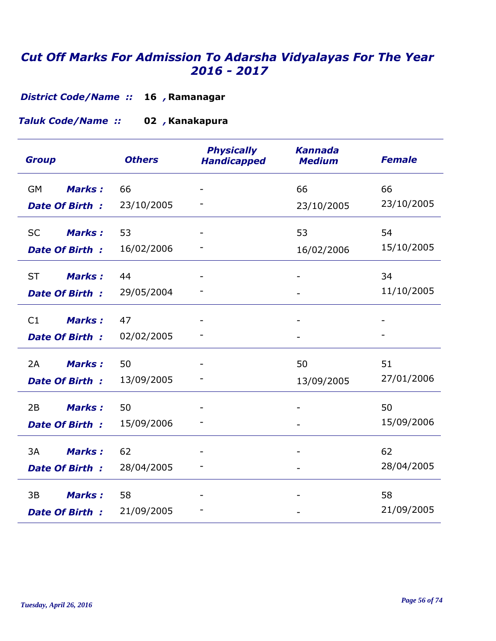**Ramanagar 16** *, District Code/Name ::* 

#### **Kanakapura 02** *, Taluk Code/Name ::*

| <b>Group</b>               | <b>Others</b> | <b>Physically</b><br><b>Handicapped</b> | <b>Kannada</b><br><b>Medium</b> | <b>Female</b> |
|----------------------------|---------------|-----------------------------------------|---------------------------------|---------------|
| <b>Marks:</b><br>GM        | 66            |                                         | 66                              | 66            |
| <b>Date Of Birth:</b>      | 23/10/2005    |                                         | 23/10/2005                      | 23/10/2005    |
| <b>Marks:</b><br><b>SC</b> | 53            |                                         | 53                              | 54            |
| <b>Date Of Birth:</b>      | 16/02/2006    |                                         | 16/02/2006                      | 15/10/2005    |
| <b>ST</b><br><b>Marks:</b> | 44            |                                         |                                 | 34            |
| <b>Date Of Birth:</b>      | 29/05/2004    |                                         |                                 | 11/10/2005    |
| <b>Marks:</b><br>C1        | 47            |                                         |                                 |               |
| Date Of Birth:             | 02/02/2005    |                                         |                                 |               |
| <b>Marks:</b><br>2A        | 50            |                                         | 50                              | 51            |
| <b>Date Of Birth:</b>      | 13/09/2005    |                                         | 13/09/2005                      | 27/01/2006    |
| 2B<br><b>Marks:</b>        | 50            |                                         |                                 | 50            |
| <b>Date Of Birth:</b>      | 15/09/2006    |                                         |                                 | 15/09/2006    |
| 3A<br><b>Marks:</b>        | 62            |                                         |                                 | 62            |
| <b>Date Of Birth:</b>      | 28/04/2005    |                                         |                                 | 28/04/2005    |
| 3B<br><b>Marks:</b>        | 58            |                                         |                                 | 58            |
| <b>Date Of Birth:</b>      | 21/09/2005    |                                         |                                 | 21/09/2005    |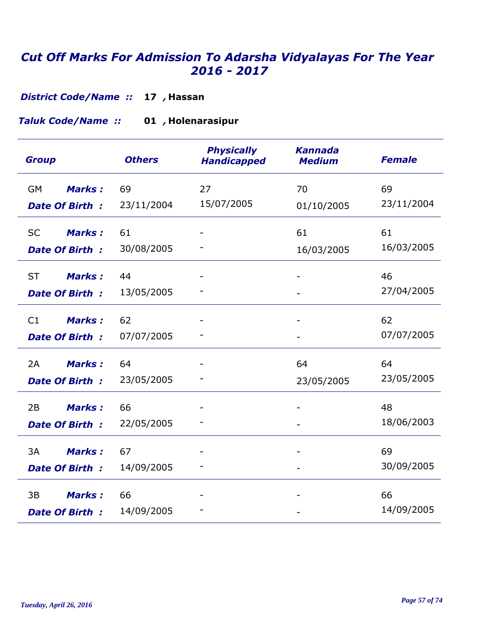**Hassan 17** *, District Code/Name ::* 

**Holenarasipur 01** *, Taluk Code/Name ::* 

| <b>Group</b>               | <b>Others</b> | <b>Physically</b><br><b>Handicapped</b> | <b>Kannada</b><br><b>Medium</b> | <b>Female</b> |
|----------------------------|---------------|-----------------------------------------|---------------------------------|---------------|
| <b>Marks:</b><br><b>GM</b> | 69            | 27                                      | 70                              | 69            |
| <b>Date Of Birth:</b>      | 23/11/2004    | 15/07/2005                              | 01/10/2005                      | 23/11/2004    |
| <b>Marks:</b><br><b>SC</b> | 61            |                                         | 61                              | 61            |
| <b>Date Of Birth:</b>      | 30/08/2005    |                                         | 16/03/2005                      | 16/03/2005    |
| <b>ST</b><br><b>Marks:</b> | 44            |                                         |                                 | 46            |
| <b>Date Of Birth:</b>      | 13/05/2005    |                                         |                                 | 27/04/2005    |
| <b>Marks:</b><br>C1        | 62            | $\overline{\phantom{0}}$                |                                 | 62            |
| <b>Date Of Birth:</b>      | 07/07/2005    |                                         |                                 | 07/07/2005    |
| <b>Marks:</b><br>2A        | 64            |                                         | 64                              | 64            |
| <b>Date Of Birth:</b>      | 23/05/2005    |                                         | 23/05/2005                      | 23/05/2005    |
| 2B<br><b>Marks:</b>        | 66            |                                         |                                 | 48            |
| <b>Date Of Birth:</b>      | 22/05/2005    |                                         |                                 | 18/06/2003    |
| 3A<br><b>Marks:</b>        | 67            |                                         |                                 | 69            |
| <b>Date Of Birth:</b>      | 14/09/2005    |                                         |                                 | 30/09/2005    |
| 3B<br><b>Marks:</b>        | 66            |                                         |                                 | 66            |
| <b>Date Of Birth:</b>      | 14/09/2005    |                                         |                                 | 14/09/2005    |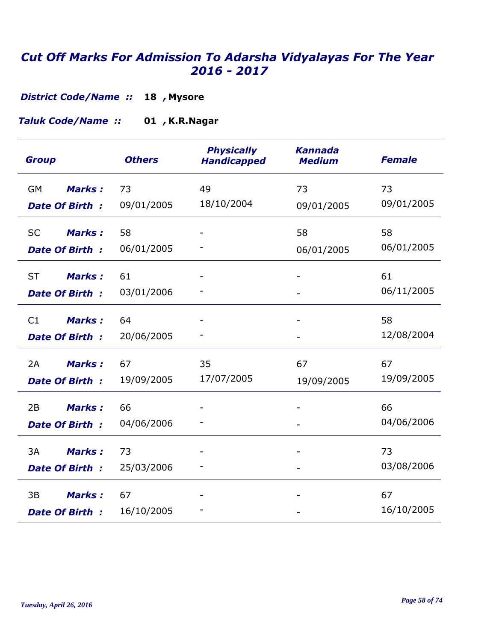**Mysore 18** *, District Code/Name ::* 

**K.R.Nagar 01** *, Taluk Code/Name ::* 

| <b>Group</b>                                        | <b>Others</b>    | <b>Physically</b><br><b>Handicapped</b> | <b>Kannada</b><br><b>Medium</b> | <b>Female</b>    |
|-----------------------------------------------------|------------------|-----------------------------------------|---------------------------------|------------------|
| <b>GM</b><br><b>Marks:</b><br><b>Date Of Birth:</b> | 73<br>09/01/2005 | 49<br>18/10/2004                        | 73<br>09/01/2005                | 73<br>09/01/2005 |
| <b>SC</b><br><b>Marks:</b><br><b>Date Of Birth:</b> | 58<br>06/01/2005 |                                         | 58<br>06/01/2005                | 58<br>06/01/2005 |
| <b>ST</b><br><b>Marks:</b><br><b>Date Of Birth:</b> | 61<br>03/01/2006 |                                         |                                 | 61<br>06/11/2005 |
| <b>Marks:</b><br>C1<br>Date Of Birth:               | 64<br>20/06/2005 |                                         |                                 | 58<br>12/08/2004 |
| Marks:<br>2A<br><b>Date Of Birth:</b>               | 67<br>19/09/2005 | 35<br>17/07/2005                        | 67<br>19/09/2005                | 67<br>19/09/2005 |
| 2B<br><b>Marks:</b><br><b>Date Of Birth:</b>        | 66<br>04/06/2006 |                                         |                                 | 66<br>04/06/2006 |
| 3A<br><b>Marks:</b><br><b>Date Of Birth:</b>        | 73<br>25/03/2006 |                                         |                                 | 73<br>03/08/2006 |
| <b>Marks:</b><br>3B<br><b>Date Of Birth:</b>        | 67<br>16/10/2005 |                                         |                                 | 67<br>16/10/2005 |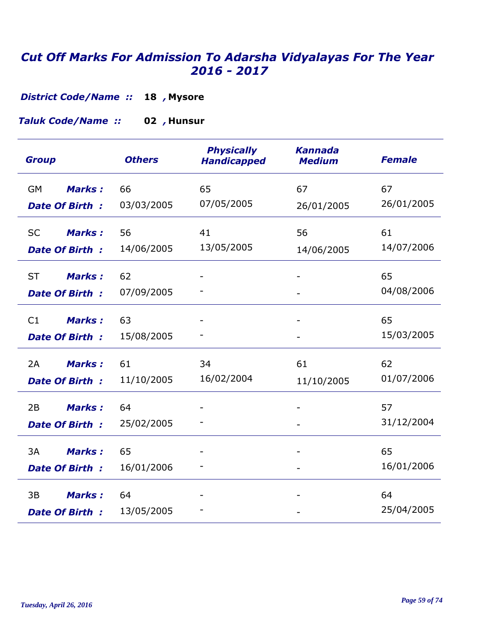**Mysore 18** *, District Code/Name ::* 

**Hunsur 02** *, Taluk Code/Name ::* 

| <b>Group</b>               | <b>Others</b> | <b>Physically</b><br><b>Handicapped</b> | <b>Kannada</b><br><b>Medium</b> | <b>Female</b>    |
|----------------------------|---------------|-----------------------------------------|---------------------------------|------------------|
| <b>Marks:</b><br><b>GM</b> | 66            | 65<br>07/05/2005                        | 67                              | 67<br>26/01/2005 |
| <b>Date Of Birth:</b>      | 03/03/2005    |                                         | 26/01/2005                      |                  |
| <b>Marks:</b><br><b>SC</b> | 56            | 41                                      | 56                              | 61               |
| <b>Date Of Birth:</b>      | 14/06/2005    | 13/05/2005                              | 14/06/2005                      | 14/07/2006       |
| <b>ST</b><br><b>Marks:</b> | 62            |                                         |                                 | 65               |
| <b>Date Of Birth:</b>      | 07/09/2005    |                                         |                                 | 04/08/2006       |
| <b>Marks:</b><br>C1        | 63            |                                         |                                 | 65               |
| <b>Date Of Birth:</b>      | 15/08/2005    |                                         |                                 | 15/03/2005       |
| <b>Marks:</b><br>2A        | 61            | 34                                      | 61                              | 62               |
| <b>Date Of Birth:</b>      | 11/10/2005    | 16/02/2004                              | 11/10/2005                      | 01/07/2006       |
| 2B<br><b>Marks:</b>        | 64            |                                         |                                 | 57               |
| <b>Date Of Birth:</b>      | 25/02/2005    |                                         |                                 | 31/12/2004       |
| 3A<br><b>Marks:</b>        | 65            |                                         |                                 | 65               |
| <b>Date Of Birth:</b>      | 16/01/2006    |                                         |                                 | 16/01/2006       |
| 3B<br><b>Marks:</b>        | 64            |                                         |                                 | 64               |
| <b>Date Of Birth:</b>      | 13/05/2005    |                                         |                                 | 25/04/2005       |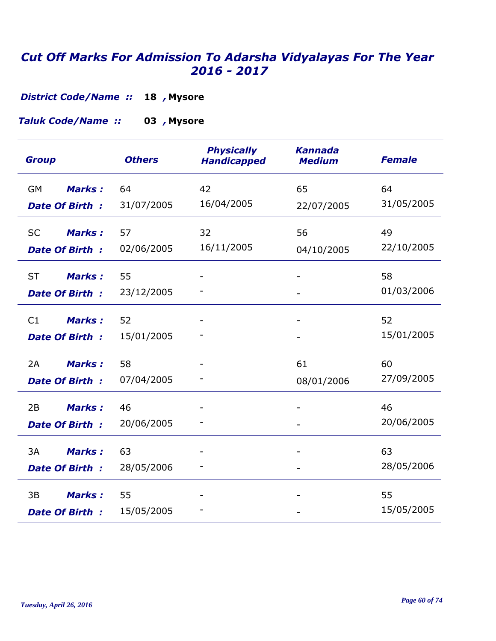**Mysore 18** *, District Code/Name ::* 

**Mysore 03** *, Taluk Code/Name ::* 

| <b>Group</b>               | <b>Others</b> | <b>Physically</b><br><b>Handicapped</b> | <b>Kannada</b><br><b>Medium</b> | <b>Female</b> |
|----------------------------|---------------|-----------------------------------------|---------------------------------|---------------|
| <b>Marks:</b><br><b>GM</b> | 64            | 42                                      | 65                              | 64            |
| <b>Date Of Birth:</b>      | 31/07/2005    | 16/04/2005                              | 22/07/2005                      | 31/05/2005    |
| <b>Marks:</b><br><b>SC</b> | 57            | 32                                      | 56                              | 49            |
| <b>Date Of Birth:</b>      | 02/06/2005    | 16/11/2005                              | 04/10/2005                      | 22/10/2005    |
| <b>ST</b><br><b>Marks:</b> | 55            |                                         |                                 | 58            |
| <b>Date Of Birth:</b>      | 23/12/2005    |                                         |                                 | 01/03/2006    |
| <b>Marks:</b><br>C1        | 52            |                                         |                                 | 52            |
| <b>Date Of Birth:</b>      | 15/01/2005    |                                         |                                 | 15/01/2005    |
| <b>Marks:</b><br>2A        | 58            |                                         | 61                              | 60            |
| <b>Date Of Birth:</b>      | 07/04/2005    |                                         | 08/01/2006                      | 27/09/2005    |
| 2B<br><b>Marks:</b>        | 46            |                                         |                                 | 46            |
| <b>Date Of Birth:</b>      | 20/06/2005    |                                         |                                 | 20/06/2005    |
| 3A<br><b>Marks:</b>        | 63            |                                         |                                 | 63            |
| <b>Date Of Birth:</b>      | 28/05/2006    |                                         |                                 | 28/05/2006    |
| 3B<br><b>Marks:</b>        | 55            |                                         |                                 | 55            |
| <b>Date Of Birth:</b>      | 15/05/2005    |                                         |                                 | 15/05/2005    |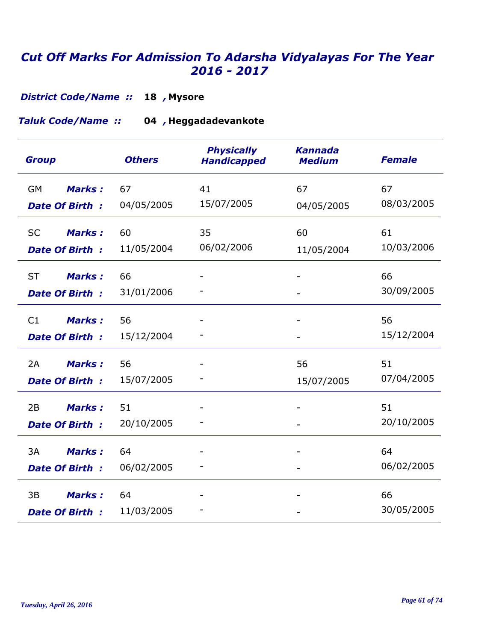**Mysore 18** *, District Code/Name ::* 

**Heggadadevankote 04** *, Taluk Code/Name ::* 

| <b>Group</b>               | <b>Others</b> | <b>Physically</b><br><b>Handicapped</b> | <b>Kannada</b><br><b>Medium</b> | <b>Female</b> |
|----------------------------|---------------|-----------------------------------------|---------------------------------|---------------|
| <b>Marks:</b><br>GM        | 67            | 41                                      | 67                              | 67            |
| <b>Date Of Birth:</b>      | 04/05/2005    | 15/07/2005                              | 04/05/2005                      | 08/03/2005    |
| <b>Marks:</b><br><b>SC</b> | 60            | 35                                      | 60                              | 61            |
| <b>Date Of Birth:</b>      | 11/05/2004    | 06/02/2006                              | 11/05/2004                      | 10/03/2006    |
| <b>ST</b><br><b>Marks:</b> | 66            |                                         |                                 | 66            |
| <b>Date Of Birth:</b>      | 31/01/2006    |                                         |                                 | 30/09/2005    |
| <b>Marks:</b><br>C1        | 56            |                                         |                                 | 56            |
| <b>Date Of Birth:</b>      | 15/12/2004    |                                         |                                 | 15/12/2004    |
| <b>Marks:</b><br>2A        | 56            |                                         | 56                              | 51            |
| <b>Date Of Birth:</b>      | 15/07/2005    |                                         | 15/07/2005                      | 07/04/2005    |
| 2B<br><b>Marks:</b>        | 51            |                                         |                                 | 51            |
| <b>Date Of Birth:</b>      | 20/10/2005    |                                         |                                 | 20/10/2005    |
| 3A<br><b>Marks:</b>        | 64            |                                         |                                 | 64            |
| <b>Date Of Birth:</b>      | 06/02/2005    |                                         |                                 | 06/02/2005    |
| 3B<br><b>Marks:</b>        | 64            |                                         |                                 | 66            |
| Date Of Birth:             | 11/03/2005    |                                         |                                 | 30/05/2005    |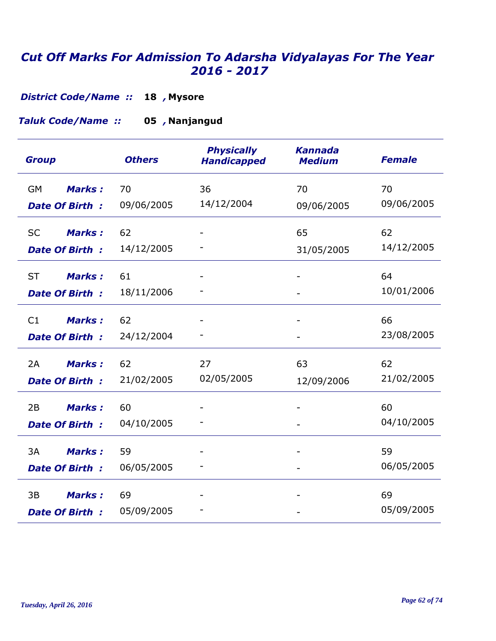**Mysore 18** *, District Code/Name ::* 

**Nanjangud 05** *, Taluk Code/Name ::* 

| <b>Group</b>                                        | <b>Others</b>    | <b>Physically</b><br><b>Handicapped</b> | <b>Kannada</b><br><b>Medium</b> | <b>Female</b>    |
|-----------------------------------------------------|------------------|-----------------------------------------|---------------------------------|------------------|
| Marks:<br><b>GM</b><br><b>Date Of Birth:</b>        | 70<br>09/06/2005 | 36<br>14/12/2004                        | 70<br>09/06/2005                | 70<br>09/06/2005 |
| <b>Marks:</b><br><b>SC</b><br><b>Date Of Birth:</b> | 62<br>14/12/2005 |                                         | 65<br>31/05/2005                | 62<br>14/12/2005 |
| <b>ST</b><br><b>Marks:</b><br>Date Of Birth:        | 61<br>18/11/2006 |                                         |                                 | 64<br>10/01/2006 |
| C1<br><b>Marks:</b><br>Date Of Birth:               | 62<br>24/12/2004 |                                         |                                 | 66<br>23/08/2005 |
| <b>Marks:</b><br>2A<br><b>Date Of Birth:</b>        | 62<br>21/02/2005 | 27<br>02/05/2005                        | 63<br>12/09/2006                | 62<br>21/02/2005 |
| <b>Marks:</b><br>2B<br><b>Date Of Birth:</b>        | 60<br>04/10/2005 |                                         |                                 | 60<br>04/10/2005 |
| 3A<br><b>Marks:</b><br><b>Date Of Birth:</b>        | 59<br>06/05/2005 |                                         |                                 | 59<br>06/05/2005 |
| <b>Marks:</b><br>3B<br><b>Date Of Birth:</b>        | 69<br>05/09/2005 |                                         |                                 | 69<br>05/09/2005 |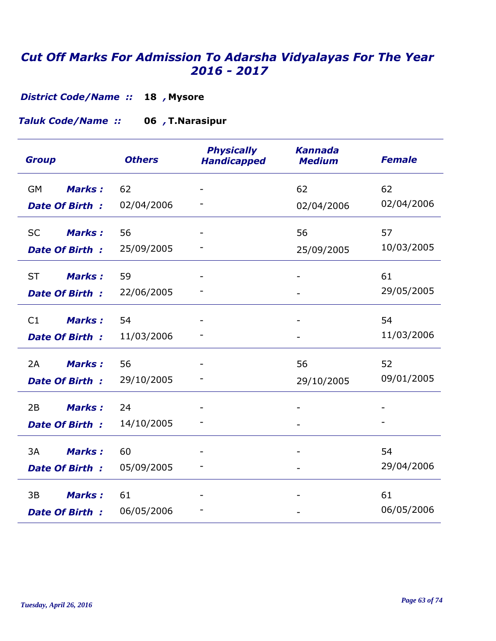**Mysore 18** *, District Code/Name ::* 

Taluk Code/Name :: 06, T.Narasipur

| <b>Group</b>               | <b>Others</b> | <b>Physically</b><br><b>Handicapped</b> | <b>Kannada</b><br><b>Medium</b> | <b>Female</b> |
|----------------------------|---------------|-----------------------------------------|---------------------------------|---------------|
| Marks:<br><b>GM</b>        | 62            |                                         | 62                              | 62            |
| <b>Date Of Birth:</b>      | 02/04/2006    |                                         | 02/04/2006                      | 02/04/2006    |
| <b>Marks:</b><br><b>SC</b> | 56            |                                         | 56                              | 57            |
| <b>Date Of Birth:</b>      | 25/09/2005    |                                         | 25/09/2005                      | 10/03/2005    |
| <b>ST</b><br><b>Marks:</b> | 59            |                                         |                                 | 61            |
| Date Of Birth:             | 22/06/2005    |                                         |                                 | 29/05/2005    |
| <b>Marks:</b><br>C1        | 54            |                                         |                                 | 54            |
| Date Of Birth:             | 11/03/2006    |                                         |                                 | 11/03/2006    |
| <b>Marks:</b><br>2A        | 56            |                                         | 56                              | 52            |
| <b>Date Of Birth:</b>      | 29/10/2005    |                                         | 29/10/2005                      | 09/01/2005    |
| <b>Marks:</b><br>2B        | 24            |                                         |                                 |               |
| <b>Date Of Birth:</b>      | 14/10/2005    |                                         |                                 |               |
| 3A<br><b>Marks:</b>        | 60            |                                         |                                 | 54            |
| <b>Date Of Birth:</b>      | 05/09/2005    |                                         |                                 | 29/04/2006    |
| <b>Marks:</b><br>3B        | 61            |                                         |                                 | 61            |
| <b>Date Of Birth:</b>      | 06/05/2006    |                                         |                                 | 06/05/2006    |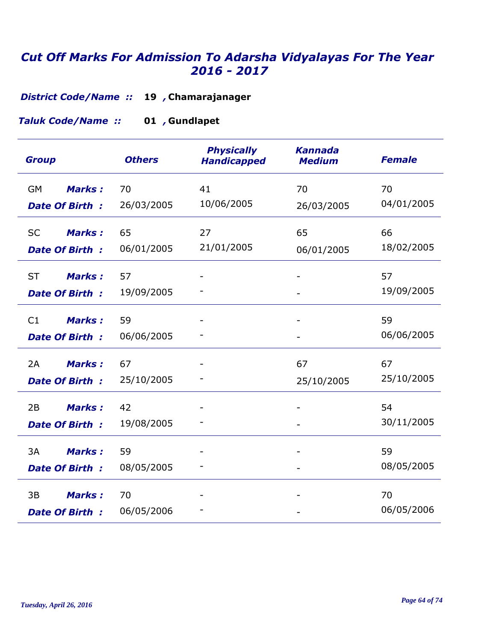**Chamarajanager 19** *, District Code/Name ::* 

**Gundlapet 01** *, Taluk Code/Name ::* 

| <b>Group</b>               | <b>Others</b> | <b>Physically</b><br><b>Handicapped</b> | <b>Kannada</b><br><b>Medium</b> | <b>Female</b> |
|----------------------------|---------------|-----------------------------------------|---------------------------------|---------------|
| <b>GM</b><br><b>Marks:</b> | 70            | 41                                      | 70                              | 70            |
| <b>Date Of Birth:</b>      | 26/03/2005    | 10/06/2005                              | 26/03/2005                      | 04/01/2005    |
| <b>Marks:</b><br><b>SC</b> | 65            | 27                                      | 65                              | 66            |
| <b>Date Of Birth:</b>      | 06/01/2005    | 21/01/2005                              | 06/01/2005                      | 18/02/2005    |
| <b>ST</b><br><b>Marks:</b> | 57            |                                         |                                 | 57            |
| <b>Date Of Birth:</b>      | 19/09/2005    |                                         |                                 | 19/09/2005    |
| <b>Marks:</b><br>C1        | 59            |                                         |                                 | 59            |
| <b>Date Of Birth:</b>      | 06/06/2005    |                                         |                                 | 06/06/2005    |
| 2A<br><b>Marks:</b>        | 67            |                                         | 67                              | 67            |
| <b>Date Of Birth:</b>      | 25/10/2005    |                                         | 25/10/2005                      | 25/10/2005    |
| 2B<br><b>Marks:</b>        | 42            |                                         |                                 | 54            |
| <b>Date Of Birth:</b>      | 19/08/2005    |                                         |                                 | 30/11/2005    |
| 3A<br><b>Marks:</b>        | 59            |                                         |                                 | 59            |
| <b>Date Of Birth:</b>      | 08/05/2005    |                                         |                                 | 08/05/2005    |
| <b>Marks:</b><br>3B        | 70            |                                         |                                 | 70            |
| <b>Date Of Birth:</b>      | 06/05/2006    |                                         |                                 | 06/05/2006    |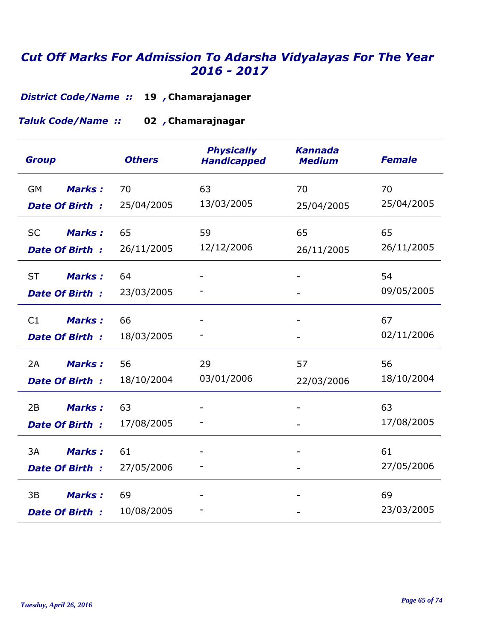**Chamarajanager 19** *, District Code/Name ::* 

**Chamarajnagar 02** *, Taluk Code/Name ::* 

| <b>Group</b>                                        | <b>Others</b>    | <b>Physically</b><br><b>Handicapped</b> | <b>Kannada</b><br><b>Medium</b> | <b>Female</b>    |
|-----------------------------------------------------|------------------|-----------------------------------------|---------------------------------|------------------|
| Marks:<br><b>GM</b><br><b>Date Of Birth:</b>        | 70<br>25/04/2005 | 63<br>13/03/2005                        | 70<br>25/04/2005                | 70<br>25/04/2005 |
| <b>SC</b><br><b>Marks:</b><br><b>Date Of Birth:</b> | 65<br>26/11/2005 | 59<br>12/12/2006                        | 65<br>26/11/2005                | 65<br>26/11/2005 |
| <b>ST</b><br><b>Marks:</b><br>Date Of Birth:        | 64<br>23/03/2005 |                                         |                                 | 54<br>09/05/2005 |
| C1<br><b>Marks:</b><br>Date Of Birth:               | 66<br>18/03/2005 |                                         |                                 | 67<br>02/11/2006 |
| <b>Marks:</b><br>2A<br><b>Date Of Birth:</b>        | 56<br>18/10/2004 | 29<br>03/01/2006                        | 57<br>22/03/2006                | 56<br>18/10/2004 |
| 2B<br><b>Marks:</b><br><b>Date Of Birth:</b>        | 63<br>17/08/2005 |                                         |                                 | 63<br>17/08/2005 |
| 3A<br><b>Marks:</b><br><b>Date Of Birth:</b>        | 61<br>27/05/2006 |                                         |                                 | 61<br>27/05/2006 |
| <b>Marks:</b><br>3B<br><b>Date Of Birth:</b>        | 69<br>10/08/2005 |                                         |                                 | 69<br>23/03/2005 |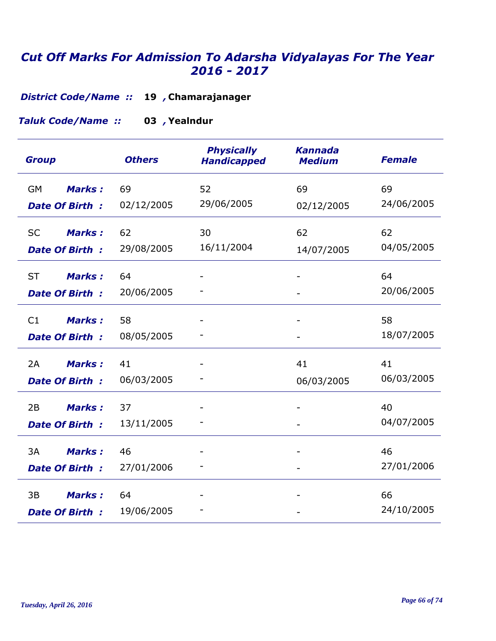**Chamarajanager 19** *, District Code/Name ::* 

**Yealndur 03** *, Taluk Code/Name ::* 

| <b>Group</b>                                        | <b>Others</b>    | <b>Physically</b><br><b>Handicapped</b> | <b>Kannada</b><br><b>Medium</b> | <b>Female</b>    |
|-----------------------------------------------------|------------------|-----------------------------------------|---------------------------------|------------------|
| <b>Marks:</b><br>GM<br><b>Date Of Birth:</b>        | 69<br>02/12/2005 | 52<br>29/06/2005                        | 69<br>02/12/2005                | 69<br>24/06/2005 |
| <b>SC</b><br><b>Marks:</b><br><b>Date Of Birth:</b> | 62<br>29/08/2005 | 30<br>16/11/2004                        | 62<br>14/07/2005                | 62<br>04/05/2005 |
| <b>ST</b><br><b>Marks:</b><br><b>Date Of Birth:</b> | 64<br>20/06/2005 |                                         |                                 | 64<br>20/06/2005 |
| C1<br><b>Marks:</b><br><b>Date Of Birth:</b>        | 58<br>08/05/2005 |                                         |                                 | 58<br>18/07/2005 |
| <b>Marks:</b><br>2A<br><b>Date Of Birth:</b>        | 41<br>06/03/2005 |                                         | 41<br>06/03/2005                | 41<br>06/03/2005 |
| 2B<br><b>Marks:</b><br><b>Date Of Birth:</b>        | 37<br>13/11/2005 |                                         |                                 | 40<br>04/07/2005 |
| 3A<br><b>Marks:</b><br><b>Date Of Birth:</b>        | 46<br>27/01/2006 |                                         |                                 | 46<br>27/01/2006 |
| 3B<br><b>Marks:</b><br>Date Of Birth:               | 64<br>19/06/2005 |                                         |                                 | 66<br>24/10/2005 |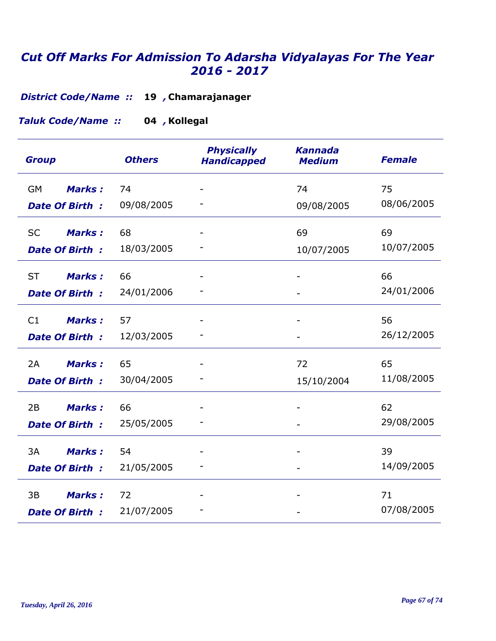**Chamarajanager 19** *, District Code/Name ::* 

**Kollegal 04** *, Taluk Code/Name ::* 

| <b>Group</b>                                        | <b>Others</b>    | <b>Physically</b><br><b>Handicapped</b> | <b>Kannada</b><br><b>Medium</b> | <b>Female</b>    |
|-----------------------------------------------------|------------------|-----------------------------------------|---------------------------------|------------------|
| <b>Marks:</b><br>GM<br><b>Date Of Birth:</b>        | 74<br>09/08/2005 |                                         | 74<br>09/08/2005                | 75<br>08/06/2005 |
| <b>SC</b><br><b>Marks:</b><br><b>Date Of Birth:</b> | 68<br>18/03/2005 |                                         | 69<br>10/07/2005                | 69<br>10/07/2005 |
| <b>ST</b><br><b>Marks:</b><br><b>Date Of Birth:</b> | 66<br>24/01/2006 | $\overline{\phantom{0}}$                |                                 | 66<br>24/01/2006 |
| C1<br><b>Marks:</b><br>Date Of Birth:               | 57<br>12/03/2005 |                                         | $\overline{\phantom{a}}$        | 56<br>26/12/2005 |
| 2A<br><b>Marks:</b><br><b>Date Of Birth:</b>        | 65<br>30/04/2005 |                                         | 72<br>15/10/2004                | 65<br>11/08/2005 |
| <b>Marks:</b><br>2B<br><b>Date Of Birth:</b>        | 66<br>25/05/2005 |                                         |                                 | 62<br>29/08/2005 |
| 3A<br><b>Marks:</b><br><b>Date Of Birth:</b>        | 54<br>21/05/2005 |                                         |                                 | 39<br>14/09/2005 |
| 3B<br><b>Marks:</b><br><b>Date Of Birth:</b>        | 72<br>21/07/2005 |                                         |                                 | 71<br>07/08/2005 |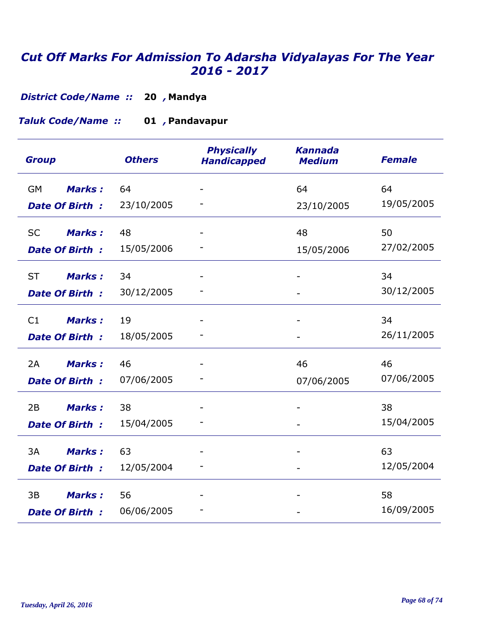**Mandya 20** *, District Code/Name ::* 

#### **Pandavapur 01** *, Taluk Code/Name ::*

| <b>Group</b>               | <b>Others</b> | <b>Physically</b><br><b>Handicapped</b> | <b>Kannada</b><br><b>Medium</b> | <b>Female</b> |
|----------------------------|---------------|-----------------------------------------|---------------------------------|---------------|
| <b>Marks:</b><br><b>GM</b> | 64            |                                         | 64                              | 64            |
| <b>Date Of Birth:</b>      | 23/10/2005    |                                         | 23/10/2005                      | 19/05/2005    |
| <b>SC</b><br><b>Marks:</b> | 48            |                                         | 48                              | 50            |
| <b>Date Of Birth:</b>      | 15/05/2006    |                                         | 15/05/2006                      | 27/02/2005    |
| <b>ST</b><br><b>Marks:</b> | 34            |                                         |                                 | 34            |
| <b>Date Of Birth:</b>      | 30/12/2005    |                                         |                                 | 30/12/2005    |
| <b>Marks:</b><br>C1        | 19            |                                         |                                 | 34            |
| Date Of Birth:             | 18/05/2005    |                                         |                                 | 26/11/2005    |
| 2A<br><b>Marks:</b>        | 46            |                                         | 46                              | 46            |
| <b>Date Of Birth:</b>      | 07/06/2005    |                                         | 07/06/2005                      | 07/06/2005    |
| 2B<br><b>Marks:</b>        | 38            |                                         |                                 | 38            |
| <b>Date Of Birth:</b>      | 15/04/2005    |                                         |                                 | 15/04/2005    |
| 3A<br><b>Marks:</b>        | 63            |                                         |                                 | 63            |
| <b>Date Of Birth:</b>      | 12/05/2004    |                                         |                                 | 12/05/2004    |
| 3B<br><b>Marks:</b>        | 56            |                                         |                                 | 58            |
| <b>Date Of Birth:</b>      | 06/06/2005    |                                         |                                 | 16/09/2005    |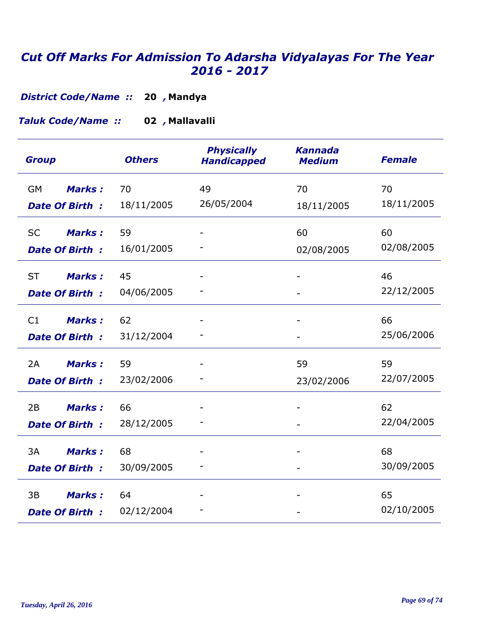**Mandya 20** *, District Code/Name ::* 

**Mallavalli 02** *, Taluk Code/Name ::* 

| <b>Group</b>               | <b>Others</b> | <b>Physically</b><br><b>Handicapped</b> | <b>Kannada</b><br><b>Medium</b> | <b>Female</b> |
|----------------------------|---------------|-----------------------------------------|---------------------------------|---------------|
| <b>GM</b><br><b>Marks:</b> | 70            | 49                                      | 70                              | 70            |
| <b>Date Of Birth:</b>      | 18/11/2005    | 26/05/2004                              | 18/11/2005                      | 18/11/2005    |
| Marks:<br><b>SC</b>        | 59            |                                         | 60                              | 60            |
| <b>Date Of Birth:</b>      | 16/01/2005    |                                         | 02/08/2005                      | 02/08/2005    |
| <b>ST</b><br><b>Marks:</b> | 45            |                                         |                                 | 46            |
| <b>Date Of Birth:</b>      | 04/06/2005    |                                         |                                 | 22/12/2005    |
| <b>Marks:</b><br>C1        | 62            |                                         |                                 | 66            |
| Date Of Birth:             | 31/12/2004    |                                         |                                 | 25/06/2006    |
| 2A<br><b>Marks:</b>        | 59            |                                         | 59                              | 59            |
| <b>Date Of Birth:</b>      | 23/02/2006    |                                         | 23/02/2006                      | 22/07/2005    |
| 2B<br><b>Marks:</b>        | 66            |                                         |                                 | 62            |
| <b>Date Of Birth:</b>      | 28/12/2005    |                                         |                                 | 22/04/2005    |
| 3A<br><b>Marks:</b>        | 68            |                                         |                                 | 68            |
| <b>Date Of Birth:</b>      | 30/09/2005    |                                         |                                 | 30/09/2005    |
| 3B<br><b>Marks:</b>        | 64            |                                         |                                 | 65            |
| <b>Date Of Birth:</b>      | 02/12/2004    |                                         |                                 | 02/10/2005    |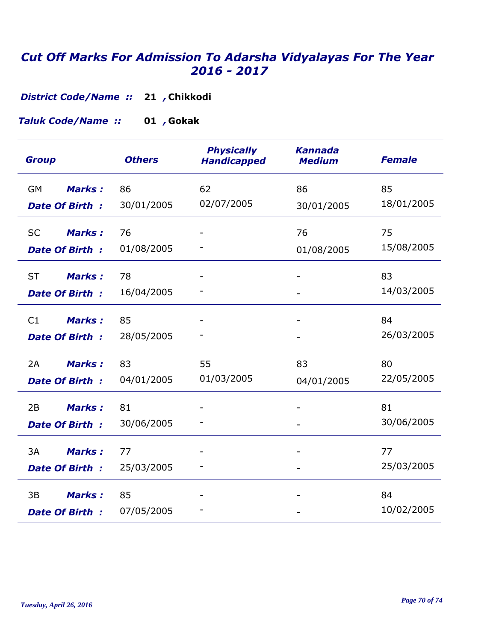**Chikkodi 21** *, District Code/Name ::* 

**Gokak 01** *, Taluk Code/Name ::* 

| <b>Group</b>                                        | <b>Others</b>    | <b>Physically</b><br><b>Handicapped</b> | <b>Kannada</b><br><b>Medium</b> | <b>Female</b>    |
|-----------------------------------------------------|------------------|-----------------------------------------|---------------------------------|------------------|
| <b>GM</b><br><b>Marks:</b><br><b>Date Of Birth:</b> | 86<br>30/01/2005 | 62<br>02/07/2005                        | 86<br>30/01/2005                | 85<br>18/01/2005 |
| <b>Marks:</b><br><b>SC</b><br><b>Date Of Birth:</b> | 76<br>01/08/2005 |                                         | 76<br>01/08/2005                | 75<br>15/08/2005 |
| <b>ST</b><br><b>Marks:</b><br><b>Date Of Birth:</b> | 78<br>16/04/2005 |                                         |                                 | 83<br>14/03/2005 |
| <b>Marks:</b><br>C1<br><b>Date Of Birth:</b>        | 85<br>28/05/2005 |                                         |                                 | 84<br>26/03/2005 |
| 2A<br><b>Marks:</b><br><b>Date Of Birth:</b>        | 83<br>04/01/2005 | 55<br>01/03/2005                        | 83<br>04/01/2005                | 80<br>22/05/2005 |
| <b>Marks:</b><br>2B<br><b>Date Of Birth:</b>        | 81<br>30/06/2005 |                                         |                                 | 81<br>30/06/2005 |
| 3A<br><b>Marks:</b><br><b>Date Of Birth:</b>        | 77<br>25/03/2005 |                                         |                                 | 77<br>25/03/2005 |
| 3B<br><b>Marks:</b><br><b>Date Of Birth:</b>        | 85<br>07/05/2005 |                                         |                                 | 84<br>10/02/2005 |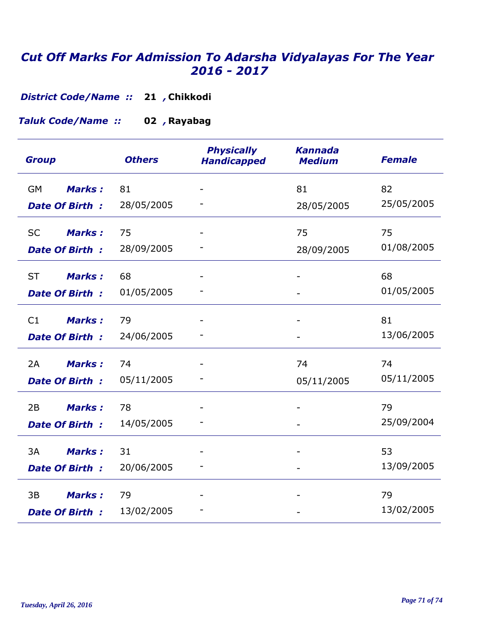**Chikkodi 21** *, District Code/Name ::* 

**Rayabag 02** *, Taluk Code/Name ::* 

| <b>Group</b>               | <b>Others</b> | <b>Physically</b><br><b>Handicapped</b> | <b>Kannada</b><br><b>Medium</b> | <b>Female</b> |
|----------------------------|---------------|-----------------------------------------|---------------------------------|---------------|
| <b>GM</b><br><b>Marks:</b> | 81            |                                         | 81                              | 82            |
| <b>Date Of Birth:</b>      | 28/05/2005    |                                         | 28/05/2005                      | 25/05/2005    |
| <b>SC</b><br><b>Marks:</b> | 75            |                                         | 75                              | 75            |
| <b>Date Of Birth:</b>      | 28/09/2005    |                                         | 28/09/2005                      | 01/08/2005    |
| <b>ST</b><br><b>Marks:</b> | 68            |                                         |                                 | 68            |
| <b>Date Of Birth:</b>      | 01/05/2005    |                                         |                                 | 01/05/2005    |
| <b>Marks:</b><br>C1        | 79            |                                         |                                 | 81            |
| <b>Date Of Birth:</b>      | 24/06/2005    |                                         |                                 | 13/06/2005    |
| 2A<br><b>Marks:</b>        | 74            |                                         | 74                              | 74            |
| <b>Date Of Birth:</b>      | 05/11/2005    |                                         | 05/11/2005                      | 05/11/2005    |
| <b>Marks:</b><br>2B        | 78            |                                         |                                 | 79            |
| <b>Date Of Birth:</b>      | 14/05/2005    |                                         |                                 | 25/09/2004    |
| 3A<br><b>Marks:</b>        | 31            |                                         |                                 | 53            |
| <b>Date Of Birth:</b>      | 20/06/2005    |                                         |                                 | 13/09/2005    |
| 3B<br><b>Marks:</b>        | 79            |                                         |                                 | 79            |
| <b>Date Of Birth:</b>      | 13/02/2005    |                                         |                                 | 13/02/2005    |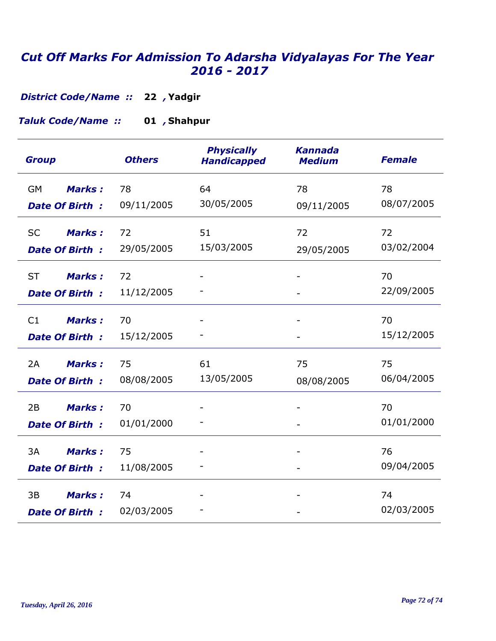**Yadgir 22** *, District Code/Name ::* 

#### **Shahpur 01** *, Taluk Code/Name ::*

| <b>Group</b>                                        | <b>Others</b>    | <b>Physically</b><br><b>Handicapped</b> | <b>Kannada</b><br><b>Medium</b> | <b>Female</b>    |
|-----------------------------------------------------|------------------|-----------------------------------------|---------------------------------|------------------|
| <b>Marks:</b><br>GM<br><b>Date Of Birth:</b>        | 78<br>09/11/2005 | 64<br>30/05/2005                        | 78<br>09/11/2005                | 78<br>08/07/2005 |
| <b>Marks:</b><br><b>SC</b><br><b>Date Of Birth:</b> | 72<br>29/05/2005 | 51<br>15/03/2005                        | 72<br>29/05/2005                | 72<br>03/02/2004 |
| <b>ST</b><br><b>Marks:</b><br><b>Date Of Birth:</b> | 72<br>11/12/2005 |                                         |                                 | 70<br>22/09/2005 |
| C1<br><b>Marks:</b><br>Date Of Birth:               | 70<br>15/12/2005 |                                         |                                 | 70<br>15/12/2005 |
| <b>Marks:</b><br>2A<br><b>Date Of Birth:</b>        | 75<br>08/08/2005 | 61<br>13/05/2005                        | 75<br>08/08/2005                | 75<br>06/04/2005 |
| <b>Marks:</b><br>2B<br><b>Date Of Birth:</b>        | 70<br>01/01/2000 |                                         |                                 | 70<br>01/01/2000 |
| 3A<br><b>Marks:</b><br><b>Date Of Birth:</b>        | 75<br>11/08/2005 |                                         |                                 | 76<br>09/04/2005 |
| 3B<br><b>Marks:</b><br><b>Date Of Birth:</b>        | 74<br>02/03/2005 |                                         |                                 | 74<br>02/03/2005 |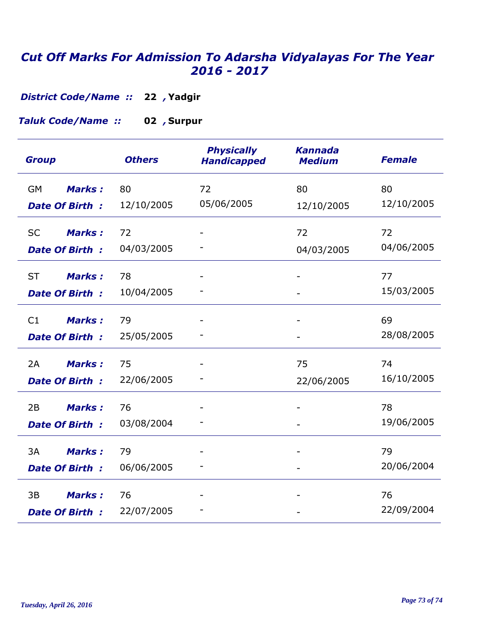## *Cut Off Marks For Admission To Adarsha Vidyalayas For The Year 2016 - 2017*

**Yadgir 22** *, District Code/Name ::* 

**Surpur 02** *, Taluk Code/Name ::* 

| <b>Group</b>                                        | <b>Others</b>    | <b>Physically</b><br><b>Handicapped</b> | <b>Kannada</b><br><b>Medium</b> | <b>Female</b>    |
|-----------------------------------------------------|------------------|-----------------------------------------|---------------------------------|------------------|
| <b>GM</b><br><b>Marks:</b><br><b>Date Of Birth:</b> | 80<br>12/10/2005 | 72<br>05/06/2005                        | 80<br>12/10/2005                | 80<br>12/10/2005 |
| <b>SC</b><br><b>Marks:</b><br><b>Date Of Birth:</b> | 72<br>04/03/2005 |                                         | 72<br>04/03/2005                | 72<br>04/06/2005 |
| <b>ST</b><br><b>Marks:</b><br><b>Date Of Birth:</b> | 78<br>10/04/2005 |                                         |                                 | 77<br>15/03/2005 |
| <b>Marks:</b><br>C1<br>Date Of Birth:               | 79<br>25/05/2005 |                                         |                                 | 69<br>28/08/2005 |
| Marks:<br>2A<br><b>Date Of Birth:</b>               | 75<br>22/06/2005 |                                         | 75<br>22/06/2005                | 74<br>16/10/2005 |
| <b>Marks:</b><br>2B<br><b>Date Of Birth:</b>        | 76<br>03/08/2004 |                                         |                                 | 78<br>19/06/2005 |
| 3A<br><b>Marks:</b><br><b>Date Of Birth:</b>        | 79<br>06/06/2005 |                                         |                                 | 79<br>20/06/2004 |
| <b>Marks:</b><br>3B<br><b>Date Of Birth:</b>        | 76<br>22/07/2005 |                                         |                                 | 76<br>22/09/2004 |